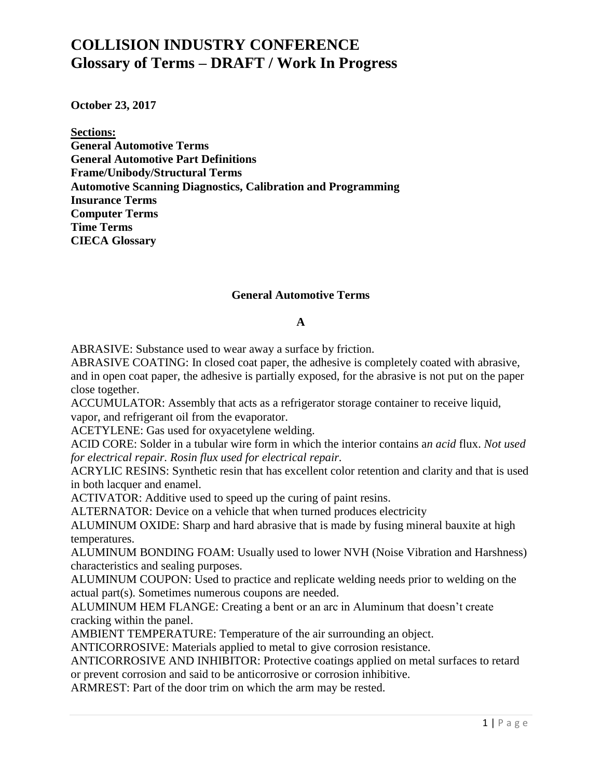**October 23, 2017**

**Sections:**

**General Automotive Terms General Automotive Part Definitions Frame/Unibody/Structural Terms Automotive Scanning Diagnostics, Calibration and Programming Insurance Terms Computer Terms Time Terms CIECA Glossary**

#### **General Automotive Terms**

#### **A**

ABRASIVE: Substance used to wear away a surface by friction.

ABRASIVE COATING: In closed coat paper, the adhesive is completely coated with abrasive, and in open coat paper, the adhesive is partially exposed, for the abrasive is not put on the paper close together.

ACCUMULATOR: Assembly that acts as a refrigerator storage container to receive liquid, vapor, and refrigerant oil from the evaporator.

ACETYLENE: Gas used for oxyacetylene welding.

ACID CORE: Solder in a tubular wire form in which the interior contains a*n acid* flux. *Not used for electrical repair. Rosin flux used for electrical repair.*

ACRYLIC RESINS: Synthetic resin that has excellent color retention and clarity and that is used in both lacquer and enamel.

ACTIVATOR: Additive used to speed up the curing of paint resins.

ALTERNATOR: Device on a vehicle that when turned produces electricity

ALUMINUM OXIDE: Sharp and hard abrasive that is made by fusing mineral bauxite at high temperatures.

ALUMINUM BONDING FOAM: Usually used to lower NVH (Noise Vibration and Harshness) characteristics and sealing purposes.

ALUMINUM COUPON: Used to practice and replicate welding needs prior to welding on the actual part(s). Sometimes numerous coupons are needed.

ALUMINUM HEM FLANGE: Creating a bent or an arc in Aluminum that doesn't create cracking within the panel.

AMBIENT TEMPERATURE: Temperature of the air surrounding an object.

ANTICORROSIVE: Materials applied to metal to give corrosion resistance.

ANTICORROSIVE AND INHIBITOR: Protective coatings applied on metal surfaces to retard or prevent corrosion and said to be anticorrosive or corrosion inhibitive.

ARMREST: Part of the door trim on which the arm may be rested.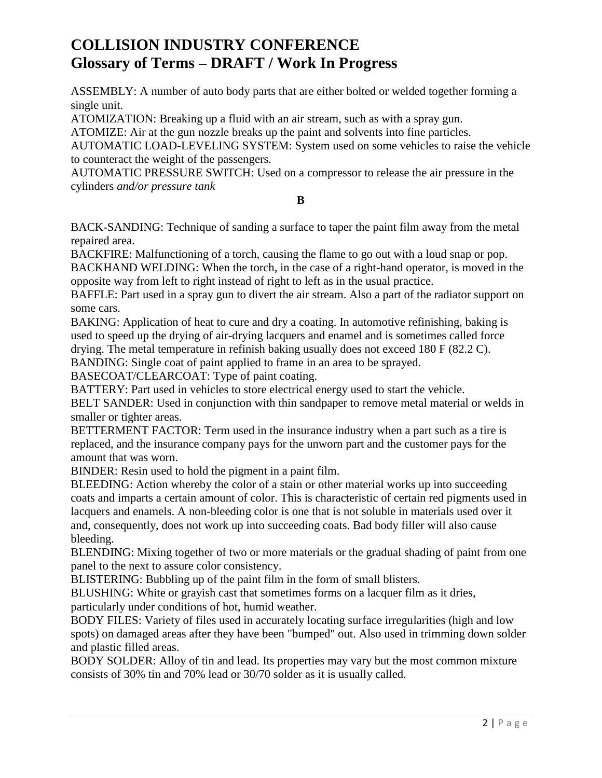ASSEMBLY: A number of auto body parts that are either bolted or welded together forming a single unit.

ATOMIZATION: Breaking up a fluid with an air stream, such as with a spray gun.

ATOMIZE: Air at the gun nozzle breaks up the paint and solvents into fine particles.

AUTOMATIC LOAD-LEVELING SYSTEM: System used on some vehicles to raise the vehicle to counteract the weight of the passengers.

AUTOMATIC PRESSURE SWITCH: Used on a compressor to release the air pressure in the cylinders *and/or pressure tank*

#### **B**

BACK-SANDING: Technique of sanding a surface to taper the paint film away from the metal repaired area.

BACKFIRE: Malfunctioning of a torch, causing the flame to go out with a loud snap or pop. BACKHAND WELDING: When the torch, in the case of a right-hand operator, is moved in the opposite way from left to right instead of right to left as in the usual practice.

BAFFLE: Part used in a spray gun to divert the air stream. Also a part of the radiator support on some cars.

BAKING: Application of heat to cure and dry a coating. In automotive refinishing, baking is used to speed up the drying of air-drying lacquers and enamel and is sometimes called force drying. The metal temperature in refinish baking usually does not exceed 180 F (82.2 C).

BANDING: Single coat of paint applied to frame in an area to be sprayed.

BASECOAT/CLEARCOAT: Type of paint coating.

BATTERY: Part used in vehicles to store electrical energy used to start the vehicle.

BELT SANDER: Used in conjunction with thin sandpaper to remove metal material or welds in smaller or tighter areas.

BETTERMENT FACTOR: Term used in the insurance industry when a part such as a tire is replaced, and the insurance company pays for the unworn part and the customer pays for the amount that was worn.

BINDER: Resin used to hold the pigment in a paint film.

BLEEDING: Action whereby the color of a stain or other material works up into succeeding coats and imparts a certain amount of color. This is characteristic of certain red pigments used in lacquers and enamels. A non-bleeding color is one that is not soluble in materials used over it and, consequently, does not work up into succeeding coats. Bad body filler will also cause bleeding.

BLENDING: Mixing together of two or more materials or the gradual shading of paint from one panel to the next to assure color consistency.

BLISTERING: Bubbling up of the paint film in the form of small blisters.

BLUSHING: White or grayish cast that sometimes forms on a lacquer film as it dries, particularly under conditions of hot, humid weather.

BODY FILES: Variety of files used in accurately locating surface irregularities (high and low spots) on damaged areas after they have been "bumped" out. Also used in trimming down solder and plastic filled areas.

BODY SOLDER: Alloy of tin and lead. Its properties may vary but the most common mixture consists of 30% tin and 70% lead or 30/70 solder as it is usually called.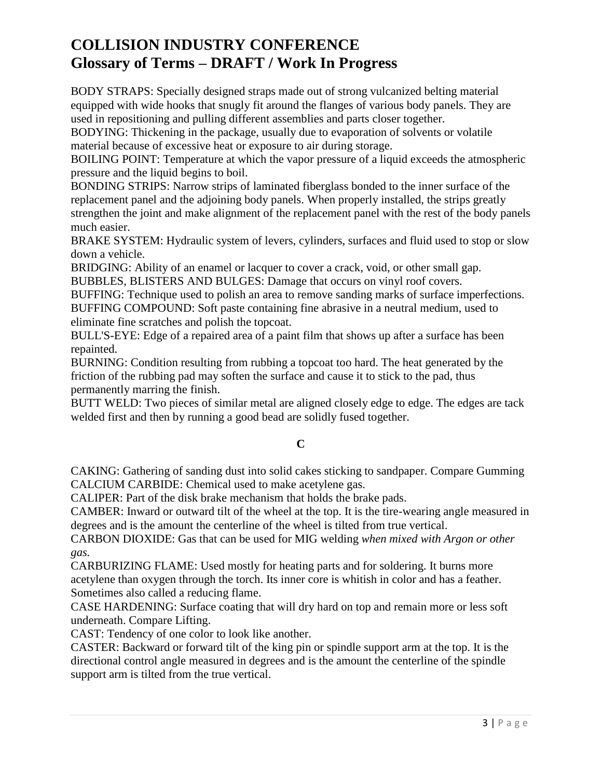BODY STRAPS: Specially designed straps made out of strong vulcanized belting material equipped with wide hooks that snugly fit around the flanges of various body panels. They are used in repositioning and pulling different assemblies and parts closer together.

BODYING: Thickening in the package, usually due to evaporation of solvents or volatile material because of excessive heat or exposure to air during storage.

BOILING POINT: Temperature at which the vapor pressure of a liquid exceeds the atmospheric pressure and the liquid begins to boil.

BONDING STRIPS: Narrow strips of laminated fiberglass bonded to the inner surface of the replacement panel and the adjoining body panels. When properly installed, the strips greatly strengthen the joint and make alignment of the replacement panel with the rest of the body panels much easier.

BRAKE SYSTEM: Hydraulic system of levers, cylinders, surfaces and fluid used to stop or slow down a vehicle.

BRIDGING: Ability of an enamel or lacquer to cover a crack, void, or other small gap. BUBBLES, BLISTERS AND BULGES: Damage that occurs on vinyl roof covers.

BUFFING: Technique used to polish an area to remove sanding marks of surface imperfections.

BUFFING COMPOUND: Soft paste containing fine abrasive in a neutral medium, used to eliminate fine scratches and polish the topcoat.

BULL'S-EYE: Edge of a repaired area of a paint film that shows up after a surface has been repainted.

BURNING: Condition resulting from rubbing a topcoat too hard. The heat generated by the friction of the rubbing pad may soften the surface and cause it to stick to the pad, thus permanently marring the finish.

BUTT WELD: Two pieces of similar metal are aligned closely edge to edge. The edges are tack welded first and then by running a good bead are solidly fused together.

### **C**

CAKING: Gathering of sanding dust into solid cakes sticking to sandpaper. Compare Gumming CALCIUM CARBIDE: Chemical used to make acetylene gas.

CALIPER: Part of the disk brake mechanism that holds the brake pads.

CAMBER: Inward or outward tilt of the wheel at the top. It is the tire-wearing angle measured in degrees and is the amount the centerline of the wheel is tilted from true vertical.

CARBON DIOXIDE: Gas that can be used for MIG welding *when mixed with Argon or other gas.*

CARBURIZING FLAME: Used mostly for heating parts and for soldering. It burns more acetylene than oxygen through the torch. Its inner core is whitish in color and has a feather. Sometimes also called a reducing flame.

CASE HARDENING: Surface coating that will dry hard on top and remain more or less soft underneath. Compare Lifting.

CAST: Tendency of one color to look like another.

CASTER: Backward or forward tilt of the king pin or spindle support arm at the top. It is the directional control angle measured in degrees and is the amount the centerline of the spindle support arm is tilted from the true vertical.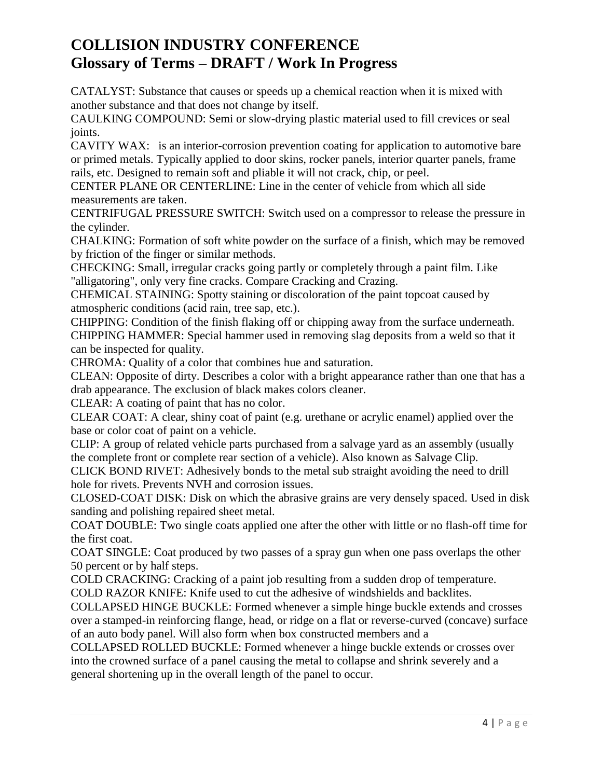CATALYST: Substance that causes or speeds up a chemical reaction when it is mixed with another substance and that does not change by itself.

CAULKING COMPOUND: Semi or slow-drying plastic material used to fill crevices or seal joints.

CAVITY WAX: is an interior-corrosion prevention coating for application to automotive bare or primed metals. Typically applied to door skins, rocker panels, interior quarter panels, frame rails, etc. Designed to remain soft and pliable it will not crack, chip, or peel.

CENTER PLANE OR CENTERLINE: Line in the center of vehicle from which all side measurements are taken.

CENTRIFUGAL PRESSURE SWITCH: Switch used on a compressor to release the pressure in the cylinder.

CHALKING: Formation of soft white powder on the surface of a finish, which may be removed by friction of the finger or similar methods.

CHECKING: Small, irregular cracks going partly or completely through a paint film. Like "alligatoring", only very fine cracks. Compare Cracking and Crazing.

CHEMICAL STAINING: Spotty staining or discoloration of the paint topcoat caused by atmospheric conditions (acid rain, tree sap, etc.).

CHIPPING: Condition of the finish flaking off or chipping away from the surface underneath. CHIPPING HAMMER: Special hammer used in removing slag deposits from a weld so that it can be inspected for quality.

CHROMA: Quality of a color that combines hue and saturation.

CLEAN: Opposite of dirty. Describes a color with a bright appearance rather than one that has a drab appearance. The exclusion of black makes colors cleaner.

CLEAR: A coating of paint that has no color.

CLEAR COAT: A clear, shiny coat of paint (e.g. urethane or acrylic enamel) applied over the base or color coat of paint on a vehicle.

CLIP: A group of related vehicle parts purchased from a salvage yard as an assembly (usually the complete front or complete rear section of a vehicle). Also known as Salvage Clip.

CLICK BOND RIVET: Adhesively bonds to the metal sub straight avoiding the need to drill hole for rivets. Prevents NVH and corrosion issues.

CLOSED-COAT DISK: Disk on which the abrasive grains are very densely spaced. Used in disk sanding and polishing repaired sheet metal.

COAT DOUBLE: Two single coats applied one after the other with little or no flash-off time for the first coat.

COAT SINGLE: Coat produced by two passes of a spray gun when one pass overlaps the other 50 percent or by half steps.

COLD CRACKING: Cracking of a paint job resulting from a sudden drop of temperature.

COLD RAZOR KNIFE: Knife used to cut the adhesive of windshields and backlites.

COLLAPSED HINGE BUCKLE: Formed whenever a simple hinge buckle extends and crosses over a stamped-in reinforcing flange, head, or ridge on a flat or reverse-curved (concave) surface of an auto body panel. Will also form when box constructed members and a

COLLAPSED ROLLED BUCKLE: Formed whenever a hinge buckle extends or crosses over into the crowned surface of a panel causing the metal to collapse and shrink severely and a general shortening up in the overall length of the panel to occur.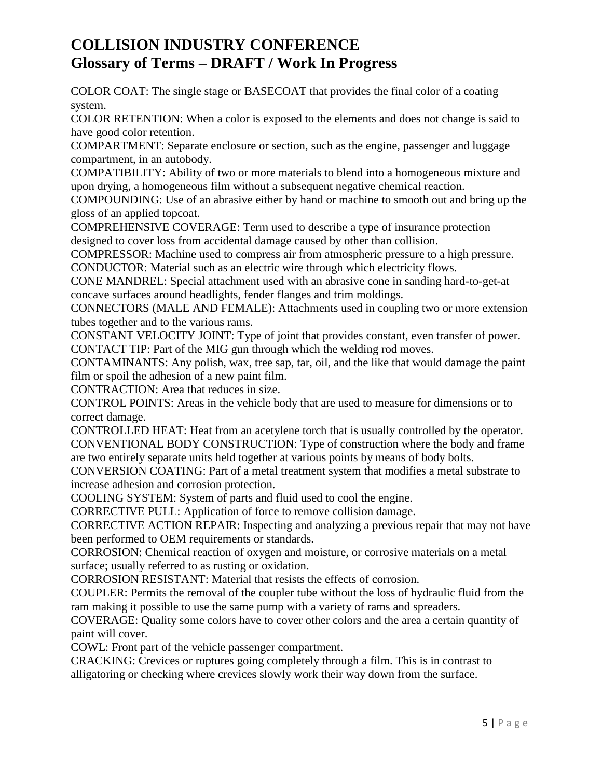COLOR COAT: The single stage or BASECOAT that provides the final color of a coating system.

COLOR RETENTION: When a color is exposed to the elements and does not change is said to have good color retention.

COMPARTMENT: Separate enclosure or section, such as the engine, passenger and luggage compartment, in an autobody.

COMPATIBILITY: Ability of two or more materials to blend into a homogeneous mixture and upon drying, a homogeneous film without a subsequent negative chemical reaction.

COMPOUNDING: Use of an abrasive either by hand or machine to smooth out and bring up the gloss of an applied topcoat.

COMPREHENSIVE COVERAGE: Term used to describe a type of insurance protection designed to cover loss from accidental damage caused by other than collision.

COMPRESSOR: Machine used to compress air from atmospheric pressure to a high pressure. CONDUCTOR: Material such as an electric wire through which electricity flows.

CONE MANDREL: Special attachment used with an abrasive cone in sanding hard-to-get-at concave surfaces around headlights, fender flanges and trim moldings.

CONNECTORS (MALE AND FEMALE): Attachments used in coupling two or more extension tubes together and to the various rams.

CONSTANT VELOCITY JOINT: Type of joint that provides constant, even transfer of power. CONTACT TIP: Part of the MIG gun through which the welding rod moves.

CONTAMINANTS: Any polish, wax, tree sap, tar, oil, and the like that would damage the paint film or spoil the adhesion of a new paint film.

CONTRACTION: Area that reduces in size.

CONTROL POINTS: Areas in the vehicle body that are used to measure for dimensions or to correct damage.

CONTROLLED HEAT: Heat from an acetylene torch that is usually controlled by the operator. CONVENTIONAL BODY CONSTRUCTION: Type of construction where the body and frame are two entirely separate units held together at various points by means of body bolts.

CONVERSION COATING: Part of a metal treatment system that modifies a metal substrate to increase adhesion and corrosion protection.

COOLING SYSTEM: System of parts and fluid used to cool the engine.

CORRECTIVE PULL: Application of force to remove collision damage.

CORRECTIVE ACTION REPAIR: Inspecting and analyzing a previous repair that may not have been performed to OEM requirements or standards.

CORROSION: Chemical reaction of oxygen and moisture, or corrosive materials on a metal surface; usually referred to as rusting or oxidation.

CORROSION RESISTANT: Material that resists the effects of corrosion.

COUPLER: Permits the removal of the coupler tube without the loss of hydraulic fluid from the ram making it possible to use the same pump with a variety of rams and spreaders.

COVERAGE: Quality some colors have to cover other colors and the area a certain quantity of paint will cover.

COWL: Front part of the vehicle passenger compartment.

CRACKING: Crevices or ruptures going completely through a film. This is in contrast to alligatoring or checking where crevices slowly work their way down from the surface.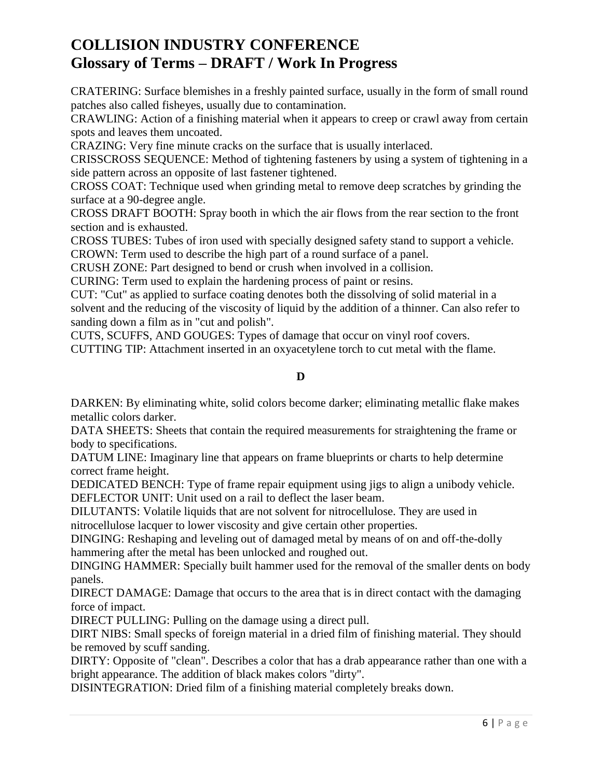CRATERING: Surface blemishes in a freshly painted surface, usually in the form of small round patches also called fisheyes, usually due to contamination.

CRAWLING: Action of a finishing material when it appears to creep or crawl away from certain spots and leaves them uncoated.

CRAZING: Very fine minute cracks on the surface that is usually interlaced.

CRISSCROSS SEQUENCE: Method of tightening fasteners by using a system of tightening in a side pattern across an opposite of last fastener tightened.

CROSS COAT: Technique used when grinding metal to remove deep scratches by grinding the surface at a 90-degree angle.

CROSS DRAFT BOOTH: Spray booth in which the air flows from the rear section to the front section and is exhausted.

CROSS TUBES: Tubes of iron used with specially designed safety stand to support a vehicle. CROWN: Term used to describe the high part of a round surface of a panel.

CRUSH ZONE: Part designed to bend or crush when involved in a collision.

CURING: Term used to explain the hardening process of paint or resins.

CUT: "Cut" as applied to surface coating denotes both the dissolving of solid material in a solvent and the reducing of the viscosity of liquid by the addition of a thinner. Can also refer to sanding down a film as in "cut and polish".

CUTS, SCUFFS, AND GOUGES: Types of damage that occur on vinyl roof covers.

CUTTING TIP: Attachment inserted in an oxyacetylene torch to cut metal with the flame.

#### **D**

DARKEN: By eliminating white, solid colors become darker; eliminating metallic flake makes metallic colors darker.

DATA SHEETS: Sheets that contain the required measurements for straightening the frame or body to specifications.

DATUM LINE: Imaginary line that appears on frame blueprints or charts to help determine correct frame height.

DEDICATED BENCH: Type of frame repair equipment using jigs to align a unibody vehicle. DEFLECTOR UNIT: Unit used on a rail to deflect the laser beam.

DILUTANTS: Volatile liquids that are not solvent for nitrocellulose. They are used in nitrocellulose lacquer to lower viscosity and give certain other properties.

DINGING: Reshaping and leveling out of damaged metal by means of on and off-the-dolly hammering after the metal has been unlocked and roughed out.

DINGING HAMMER: Specially built hammer used for the removal of the smaller dents on body panels.

DIRECT DAMAGE: Damage that occurs to the area that is in direct contact with the damaging force of impact.

DIRECT PULLING: Pulling on the damage using a direct pull.

DIRT NIBS: Small specks of foreign material in a dried film of finishing material. They should be removed by scuff sanding.

DIRTY: Opposite of "clean". Describes a color that has a drab appearance rather than one with a bright appearance. The addition of black makes colors "dirty".

DISINTEGRATION: Dried film of a finishing material completely breaks down.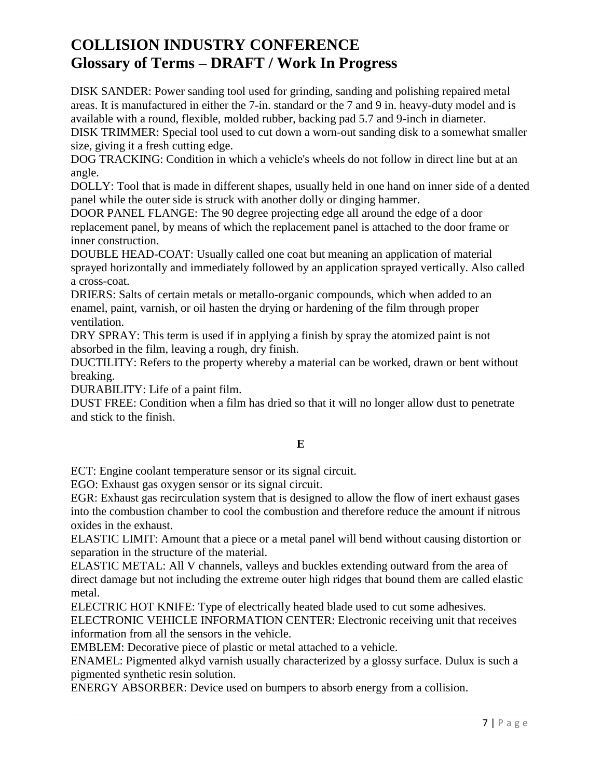DISK SANDER: Power sanding tool used for grinding, sanding and polishing repaired metal areas. It is manufactured in either the 7-in. standard or the 7 and 9 in. heavy-duty model and is available with a round, flexible, molded rubber, backing pad 5.7 and 9-inch in diameter.

DISK TRIMMER: Special tool used to cut down a worn-out sanding disk to a somewhat smaller size, giving it a fresh cutting edge.

DOG TRACKING: Condition in which a vehicle's wheels do not follow in direct line but at an angle.

DOLLY: Tool that is made in different shapes, usually held in one hand on inner side of a dented panel while the outer side is struck with another dolly or dinging hammer.

DOOR PANEL FLANGE: The 90 degree projecting edge all around the edge of a door replacement panel, by means of which the replacement panel is attached to the door frame or inner construction.

DOUBLE HEAD-COAT: Usually called one coat but meaning an application of material sprayed horizontally and immediately followed by an application sprayed vertically. Also called a cross-coat.

DRIERS: Salts of certain metals or metallo-organic compounds, which when added to an enamel, paint, varnish, or oil hasten the drying or hardening of the film through proper ventilation.

DRY SPRAY: This term is used if in applying a finish by spray the atomized paint is not absorbed in the film, leaving a rough, dry finish.

DUCTILITY: Refers to the property whereby a material can be worked, drawn or bent without breaking.

DURABILITY: Life of a paint film.

DUST FREE: Condition when a film has dried so that it will no longer allow dust to penetrate and stick to the finish.

### **E**

ECT: Engine coolant temperature sensor or its signal circuit.

EGO: Exhaust gas oxygen sensor or its signal circuit.

EGR: Exhaust gas recirculation system that is designed to allow the flow of inert exhaust gases into the combustion chamber to cool the combustion and therefore reduce the amount if nitrous oxides in the exhaust.

ELASTIC LIMIT: Amount that a piece or a metal panel will bend without causing distortion or separation in the structure of the material.

ELASTIC METAL: All V channels, valleys and buckles extending outward from the area of direct damage but not including the extreme outer high ridges that bound them are called elastic metal.

ELECTRIC HOT KNIFE: Type of electrically heated blade used to cut some adhesives.

ELECTRONIC VEHICLE INFORMATION CENTER: Electronic receiving unit that receives information from all the sensors in the vehicle.

EMBLEM: Decorative piece of plastic or metal attached to a vehicle.

ENAMEL: Pigmented alkyd varnish usually characterized by a glossy surface. Dulux is such a pigmented synthetic resin solution.

ENERGY ABSORBER: Device used on bumpers to absorb energy from a collision.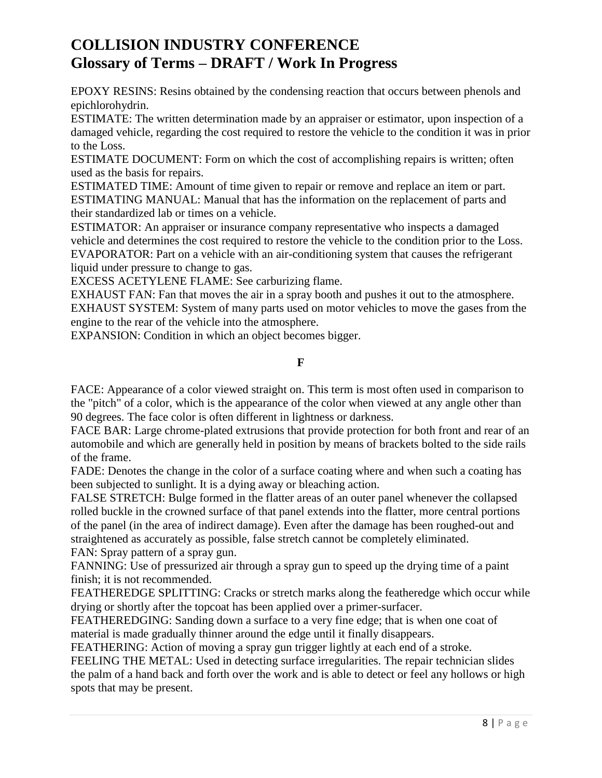EPOXY RESINS: Resins obtained by the condensing reaction that occurs between phenols and epichlorohydrin.

ESTIMATE: The written determination made by an appraiser or estimator, upon inspection of a damaged vehicle, regarding the cost required to restore the vehicle to the condition it was in prior to the Loss.

ESTIMATE DOCUMENT: Form on which the cost of accomplishing repairs is written; often used as the basis for repairs.

ESTIMATED TIME: Amount of time given to repair or remove and replace an item or part. ESTIMATING MANUAL: Manual that has the information on the replacement of parts and their standardized lab or times on a vehicle.

ESTIMATOR: An appraiser or insurance company representative who inspects a damaged vehicle and determines the cost required to restore the vehicle to the condition prior to the Loss. EVAPORATOR: Part on a vehicle with an air-conditioning system that causes the refrigerant liquid under pressure to change to gas.

EXCESS ACETYLENE FLAME: See carburizing flame.

EXHAUST FAN: Fan that moves the air in a spray booth and pushes it out to the atmosphere. EXHAUST SYSTEM: System of many parts used on motor vehicles to move the gases from the engine to the rear of the vehicle into the atmosphere.

EXPANSION: Condition in which an object becomes bigger.

#### **F**

FACE: Appearance of a color viewed straight on. This term is most often used in comparison to the "pitch" of a color, which is the appearance of the color when viewed at any angle other than 90 degrees. The face color is often different in lightness or darkness.

FACE BAR: Large chrome-plated extrusions that provide protection for both front and rear of an automobile and which are generally held in position by means of brackets bolted to the side rails of the frame.

FADE: Denotes the change in the color of a surface coating where and when such a coating has been subjected to sunlight. It is a dying away or bleaching action.

FALSE STRETCH: Bulge formed in the flatter areas of an outer panel whenever the collapsed rolled buckle in the crowned surface of that panel extends into the flatter, more central portions of the panel (in the area of indirect damage). Even after the damage has been roughed-out and straightened as accurately as possible, false stretch cannot be completely eliminated. FAN: Spray pattern of a spray gun.

FANNING: Use of pressurized air through a spray gun to speed up the drying time of a paint finish; it is not recommended.

FEATHEREDGE SPLITTING: Cracks or stretch marks along the featheredge which occur while drying or shortly after the topcoat has been applied over a primer-surfacer.

FEATHEREDGING: Sanding down a surface to a very fine edge; that is when one coat of material is made gradually thinner around the edge until it finally disappears.

FEATHERING: Action of moving a spray gun trigger lightly at each end of a stroke.

FEELING THE METAL: Used in detecting surface irregularities. The repair technician slides the palm of a hand back and forth over the work and is able to detect or feel any hollows or high spots that may be present.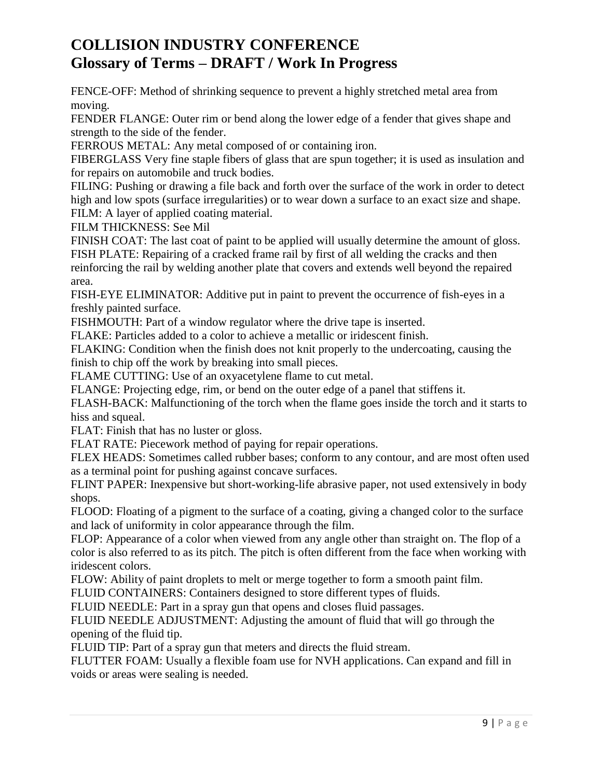FENCE-OFF: Method of shrinking sequence to prevent a highly stretched metal area from moving.

FENDER FLANGE: Outer rim or bend along the lower edge of a fender that gives shape and strength to the side of the fender.

FERROUS METAL: Any metal composed of or containing iron.

FIBERGLASS Very fine staple fibers of glass that are spun together; it is used as insulation and for repairs on automobile and truck bodies.

FILING: Pushing or drawing a file back and forth over the surface of the work in order to detect high and low spots (surface irregularities) or to wear down a surface to an exact size and shape. FILM: A layer of applied coating material.

FILM THICKNESS: See Mil

FINISH COAT: The last coat of paint to be applied will usually determine the amount of gloss. FISH PLATE: Repairing of a cracked frame rail by first of all welding the cracks and then reinforcing the rail by welding another plate that covers and extends well beyond the repaired area.

FISH-EYE ELIMINATOR: Additive put in paint to prevent the occurrence of fish-eyes in a freshly painted surface.

FISHMOUTH: Part of a window regulator where the drive tape is inserted.

FLAKE: Particles added to a color to achieve a metallic or iridescent finish.

FLAKING: Condition when the finish does not knit properly to the undercoating, causing the finish to chip off the work by breaking into small pieces.

FLAME CUTTING: Use of an oxyacetylene flame to cut metal.

FLANGE: Projecting edge, rim, or bend on the outer edge of a panel that stiffens it.

FLASH-BACK: Malfunctioning of the torch when the flame goes inside the torch and it starts to hiss and squeal.

FLAT: Finish that has no luster or gloss.

FLAT RATE: Piecework method of paying for repair operations.

FLEX HEADS: Sometimes called rubber bases; conform to any contour, and are most often used as a terminal point for pushing against concave surfaces.

FLINT PAPER: Inexpensive but short-working-life abrasive paper, not used extensively in body shops.

FLOOD: Floating of a pigment to the surface of a coating, giving a changed color to the surface and lack of uniformity in color appearance through the film.

FLOP: Appearance of a color when viewed from any angle other than straight on. The flop of a color is also referred to as its pitch. The pitch is often different from the face when working with iridescent colors.

FLOW: Ability of paint droplets to melt or merge together to form a smooth paint film.

FLUID CONTAINERS: Containers designed to store different types of fluids.

FLUID NEEDLE: Part in a spray gun that opens and closes fluid passages.

FLUID NEEDLE ADJUSTMENT: Adjusting the amount of fluid that will go through the opening of the fluid tip.

FLUID TIP: Part of a spray gun that meters and directs the fluid stream.

FLUTTER FOAM: Usually a flexible foam use for NVH applications. Can expand and fill in voids or areas were sealing is needed.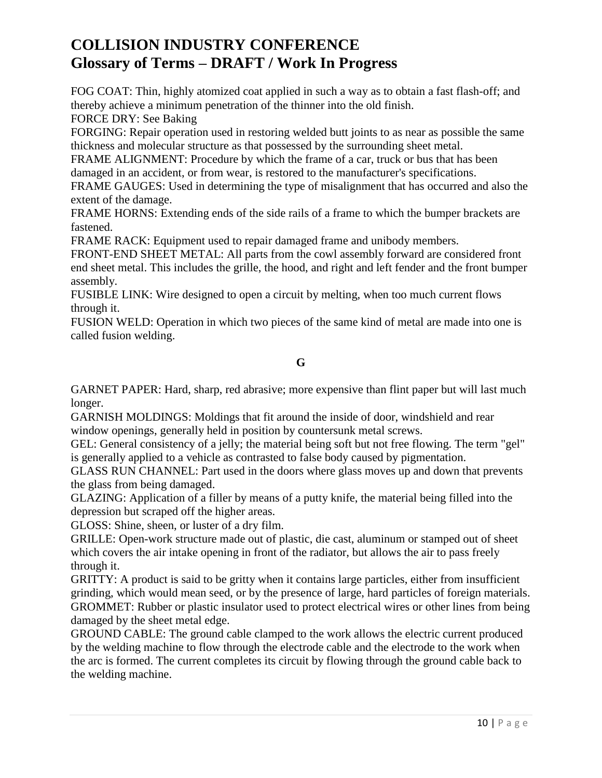FOG COAT: Thin, highly atomized coat applied in such a way as to obtain a fast flash-off; and thereby achieve a minimum penetration of the thinner into the old finish.

FORCE DRY: See Baking

FORGING: Repair operation used in restoring welded butt joints to as near as possible the same thickness and molecular structure as that possessed by the surrounding sheet metal.

FRAME ALIGNMENT: Procedure by which the frame of a car, truck or bus that has been damaged in an accident, or from wear, is restored to the manufacturer's specifications.

FRAME GAUGES: Used in determining the type of misalignment that has occurred and also the extent of the damage.

FRAME HORNS: Extending ends of the side rails of a frame to which the bumper brackets are fastened.

FRAME RACK: Equipment used to repair damaged frame and unibody members.

FRONT-END SHEET METAL: All parts from the cowl assembly forward are considered front end sheet metal. This includes the grille, the hood, and right and left fender and the front bumper assembly.

FUSIBLE LINK: Wire designed to open a circuit by melting, when too much current flows through it.

FUSION WELD: Operation in which two pieces of the same kind of metal are made into one is called fusion welding.

### **G**

GARNET PAPER: Hard, sharp, red abrasive; more expensive than flint paper but will last much longer.

GARNISH MOLDINGS: Moldings that fit around the inside of door, windshield and rear window openings, generally held in position by countersunk metal screws.

GEL: General consistency of a jelly; the material being soft but not free flowing. The term "gel" is generally applied to a vehicle as contrasted to false body caused by pigmentation.

GLASS RUN CHANNEL: Part used in the doors where glass moves up and down that prevents the glass from being damaged.

GLAZING: Application of a filler by means of a putty knife, the material being filled into the depression but scraped off the higher areas.

GLOSS: Shine, sheen, or luster of a dry film.

GRILLE: Open-work structure made out of plastic, die cast, aluminum or stamped out of sheet which covers the air intake opening in front of the radiator, but allows the air to pass freely through it.

GRITTY: A product is said to be gritty when it contains large particles, either from insufficient grinding, which would mean seed, or by the presence of large, hard particles of foreign materials. GROMMET: Rubber or plastic insulator used to protect electrical wires or other lines from being damaged by the sheet metal edge.

GROUND CABLE: The ground cable clamped to the work allows the electric current produced by the welding machine to flow through the electrode cable and the electrode to the work when the arc is formed. The current completes its circuit by flowing through the ground cable back to the welding machine.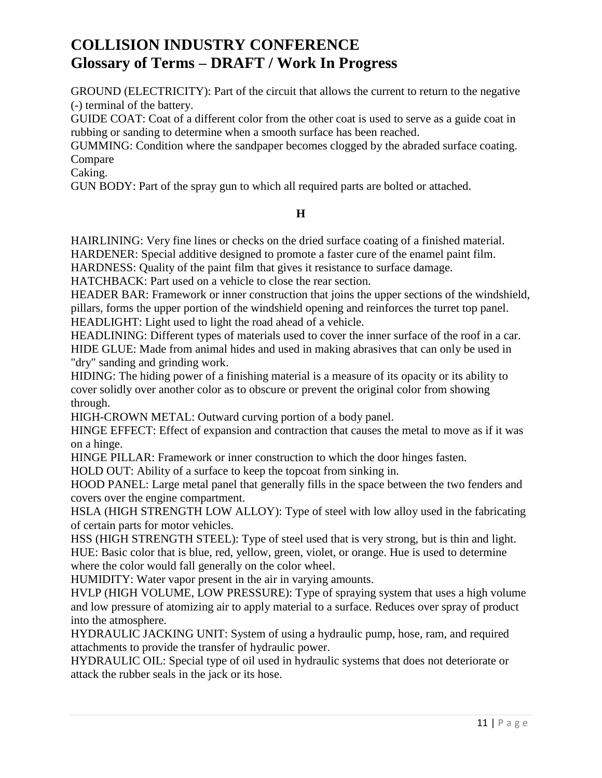GROUND (ELECTRICITY): Part of the circuit that allows the current to return to the negative (-) terminal of the battery.

GUIDE COAT: Coat of a different color from the other coat is used to serve as a guide coat in rubbing or sanding to determine when a smooth surface has been reached.

GUMMING: Condition where the sandpaper becomes clogged by the abraded surface coating. Compare

Caking.

GUN BODY: Part of the spray gun to which all required parts are bolted or attached.

### **H**

HAIRLINING: Very fine lines or checks on the dried surface coating of a finished material. HARDENER: Special additive designed to promote a faster cure of the enamel paint film.

HARDNESS: Quality of the paint film that gives it resistance to surface damage.

HATCHBACK: Part used on a vehicle to close the rear section.

HEADER BAR: Framework or inner construction that joins the upper sections of the windshield, pillars, forms the upper portion of the windshield opening and reinforces the turret top panel. HEADLIGHT: Light used to light the road ahead of a vehicle.

HEADLINING: Different types of materials used to cover the inner surface of the roof in a car. HIDE GLUE: Made from animal hides and used in making abrasives that can only be used in "dry" sanding and grinding work.

HIDING: The hiding power of a finishing material is a measure of its opacity or its ability to cover solidly over another color as to obscure or prevent the original color from showing through.

HIGH-CROWN METAL: Outward curving portion of a body panel.

HINGE EFFECT: Effect of expansion and contraction that causes the metal to move as if it was on a hinge.

HINGE PILLAR: Framework or inner construction to which the door hinges fasten.

HOLD OUT: Ability of a surface to keep the topcoat from sinking in.

HOOD PANEL: Large metal panel that generally fills in the space between the two fenders and covers over the engine compartment.

HSLA (HIGH STRENGTH LOW ALLOY): Type of steel with low alloy used in the fabricating of certain parts for motor vehicles.

HSS (HIGH STRENGTH STEEL): Type of steel used that is very strong, but is thin and light. HUE: Basic color that is blue, red, yellow, green, violet, or orange. Hue is used to determine where the color would fall generally on the color wheel.

HUMIDITY: Water vapor present in the air in varying amounts.

HVLP (HIGH VOLUME, LOW PRESSURE): Type of spraying system that uses a high volume and low pressure of atomizing air to apply material to a surface. Reduces over spray of product into the atmosphere.

HYDRAULIC JACKING UNIT: System of using a hydraulic pump, hose, ram, and required attachments to provide the transfer of hydraulic power.

HYDRAULIC OIL: Special type of oil used in hydraulic systems that does not deteriorate or attack the rubber seals in the jack or its hose.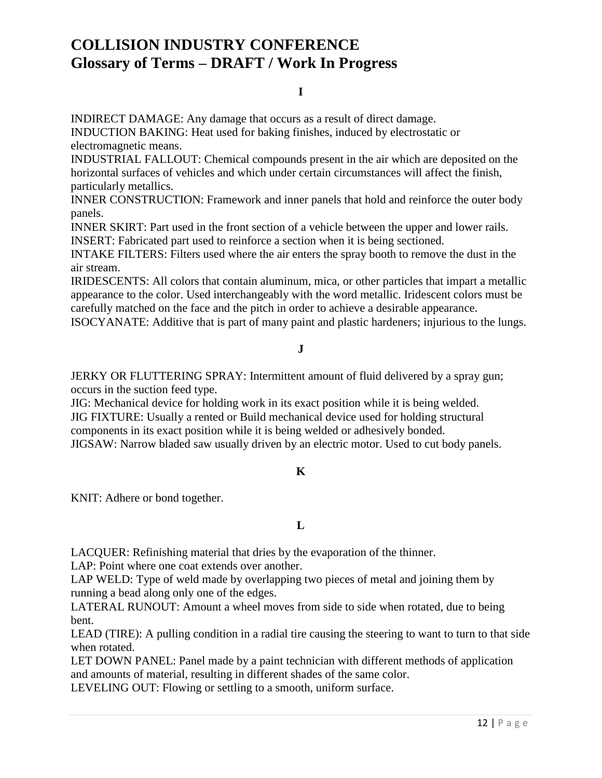#### **I**

INDIRECT DAMAGE: Any damage that occurs as a result of direct damage.

INDUCTION BAKING: Heat used for baking finishes, induced by electrostatic or electromagnetic means.

INDUSTRIAL FALLOUT: Chemical compounds present in the air which are deposited on the horizontal surfaces of vehicles and which under certain circumstances will affect the finish, particularly metallics.

INNER CONSTRUCTION: Framework and inner panels that hold and reinforce the outer body panels.

INNER SKIRT: Part used in the front section of a vehicle between the upper and lower rails. INSERT: Fabricated part used to reinforce a section when it is being sectioned.

INTAKE FILTERS: Filters used where the air enters the spray booth to remove the dust in the air stream.

IRIDESCENTS: All colors that contain aluminum, mica, or other particles that impart a metallic appearance to the color. Used interchangeably with the word metallic. Iridescent colors must be carefully matched on the face and the pitch in order to achieve a desirable appearance.

ISOCYANATE: Additive that is part of many paint and plastic hardeners; injurious to the lungs.

### **J**

JERKY OR FLUTTERING SPRAY: Intermittent amount of fluid delivered by a spray gun; occurs in the suction feed type.

JIG: Mechanical device for holding work in its exact position while it is being welded. JIG FIXTURE: Usually a rented or Build mechanical device used for holding structural components in its exact position while it is being welded or adhesively bonded. JIGSAW: Narrow bladed saw usually driven by an electric motor. Used to cut body panels.

### **K**

KNIT: Adhere or bond together.

### **L**

LACQUER: Refinishing material that dries by the evaporation of the thinner.

LAP: Point where one coat extends over another.

LAP WELD: Type of weld made by overlapping two pieces of metal and joining them by running a bead along only one of the edges.

LATERAL RUNOUT: Amount a wheel moves from side to side when rotated, due to being bent.

LEAD (TIRE): A pulling condition in a radial tire causing the steering to want to turn to that side when rotated.

LET DOWN PANEL: Panel made by a paint technician with different methods of application and amounts of material, resulting in different shades of the same color.

LEVELING OUT: Flowing or settling to a smooth, uniform surface.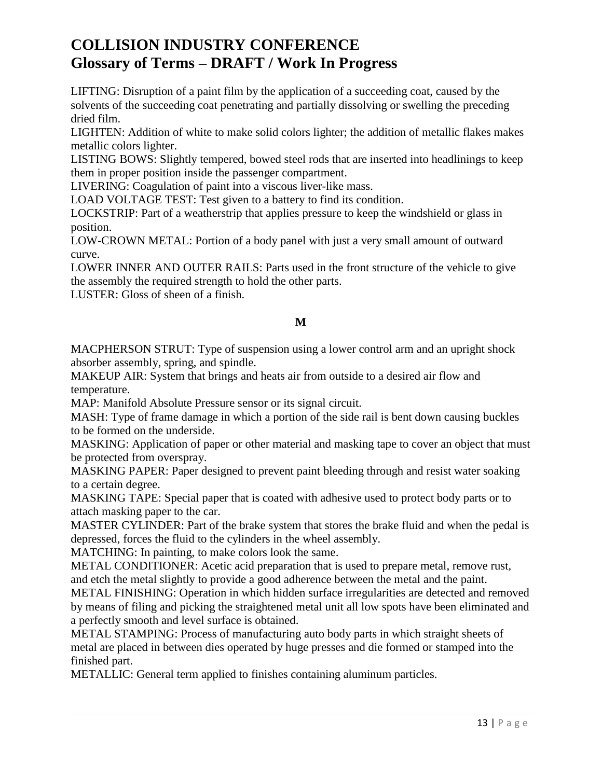LIFTING: Disruption of a paint film by the application of a succeeding coat, caused by the solvents of the succeeding coat penetrating and partially dissolving or swelling the preceding dried film.

LIGHTEN: Addition of white to make solid colors lighter; the addition of metallic flakes makes metallic colors lighter.

LISTING BOWS: Slightly tempered, bowed steel rods that are inserted into headlinings to keep them in proper position inside the passenger compartment.

LIVERING: Coagulation of paint into a viscous liver-like mass.

LOAD VOLTAGE TEST: Test given to a battery to find its condition.

LOCKSTRIP: Part of a weatherstrip that applies pressure to keep the windshield or glass in position.

LOW-CROWN METAL: Portion of a body panel with just a very small amount of outward curve.

LOWER INNER AND OUTER RAILS: Parts used in the front structure of the vehicle to give the assembly the required strength to hold the other parts.

LUSTER: Gloss of sheen of a finish.

### **M**

MACPHERSON STRUT: Type of suspension using a lower control arm and an upright shock absorber assembly, spring, and spindle.

MAKEUP AIR: System that brings and heats air from outside to a desired air flow and temperature.

MAP: Manifold Absolute Pressure sensor or its signal circuit.

MASH: Type of frame damage in which a portion of the side rail is bent down causing buckles to be formed on the underside.

MASKING: Application of paper or other material and masking tape to cover an object that must be protected from overspray.

MASKING PAPER: Paper designed to prevent paint bleeding through and resist water soaking to a certain degree.

MASKING TAPE: Special paper that is coated with adhesive used to protect body parts or to attach masking paper to the car.

MASTER CYLINDER: Part of the brake system that stores the brake fluid and when the pedal is depressed, forces the fluid to the cylinders in the wheel assembly.

MATCHING: In painting, to make colors look the same.

METAL CONDITIONER: Acetic acid preparation that is used to prepare metal, remove rust, and etch the metal slightly to provide a good adherence between the metal and the paint.

METAL FINISHING: Operation in which hidden surface irregularities are detected and removed by means of filing and picking the straightened metal unit all low spots have been eliminated and a perfectly smooth and level surface is obtained.

METAL STAMPING: Process of manufacturing auto body parts in which straight sheets of metal are placed in between dies operated by huge presses and die formed or stamped into the finished part.

METALLIC: General term applied to finishes containing aluminum particles.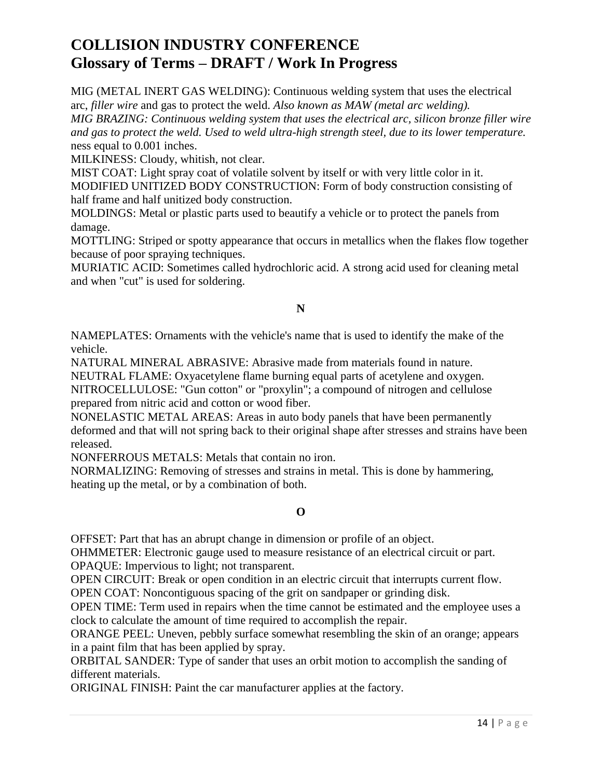MIG (METAL INERT GAS WELDING): Continuous welding system that uses the electrical arc, *filler wire* and gas to protect the weld. *Also known as MAW (metal arc welding).*

*MIG BRAZING: Continuous welding system that uses the electrical arc, silicon bronze filler wire and gas to protect the weld. Used to weld ultra-high strength steel, due to its lower temperature.* ness equal to 0.001 inches.

MILKINESS: Cloudy, whitish, not clear.

MIST COAT: Light spray coat of volatile solvent by itself or with very little color in it. MODIFIED UNITIZED BODY CONSTRUCTION: Form of body construction consisting of half frame and half unitized body construction.

MOLDINGS: Metal or plastic parts used to beautify a vehicle or to protect the panels from damage.

MOTTLING: Striped or spotty appearance that occurs in metallics when the flakes flow together because of poor spraying techniques.

MURIATIC ACID: Sometimes called hydrochloric acid. A strong acid used for cleaning metal and when "cut" is used for soldering.

### **N**

NAMEPLATES: Ornaments with the vehicle's name that is used to identify the make of the vehicle.

NATURAL MINERAL ABRASIVE: Abrasive made from materials found in nature.

NEUTRAL FLAME: Oxyacetylene flame burning equal parts of acetylene and oxygen.

NITROCELLULOSE: "Gun cotton" or "proxylin"; a compound of nitrogen and cellulose prepared from nitric acid and cotton or wood fiber.

NONELASTIC METAL AREAS: Areas in auto body panels that have been permanently deformed and that will not spring back to their original shape after stresses and strains have been released.

NONFERROUS METALS: Metals that contain no iron.

NORMALIZING: Removing of stresses and strains in metal. This is done by hammering, heating up the metal, or by a combination of both.

### **O**

OFFSET: Part that has an abrupt change in dimension or profile of an object.

OHMMETER: Electronic gauge used to measure resistance of an electrical circuit or part. OPAQUE: Impervious to light; not transparent.

OPEN CIRCUIT: Break or open condition in an electric circuit that interrupts current flow. OPEN COAT: Noncontiguous spacing of the grit on sandpaper or grinding disk.

OPEN TIME: Term used in repairs when the time cannot be estimated and the employee uses a clock to calculate the amount of time required to accomplish the repair.

ORANGE PEEL: Uneven, pebbly surface somewhat resembling the skin of an orange; appears in a paint film that has been applied by spray.

ORBITAL SANDER: Type of sander that uses an orbit motion to accomplish the sanding of different materials.

ORIGINAL FINISH: Paint the car manufacturer applies at the factory.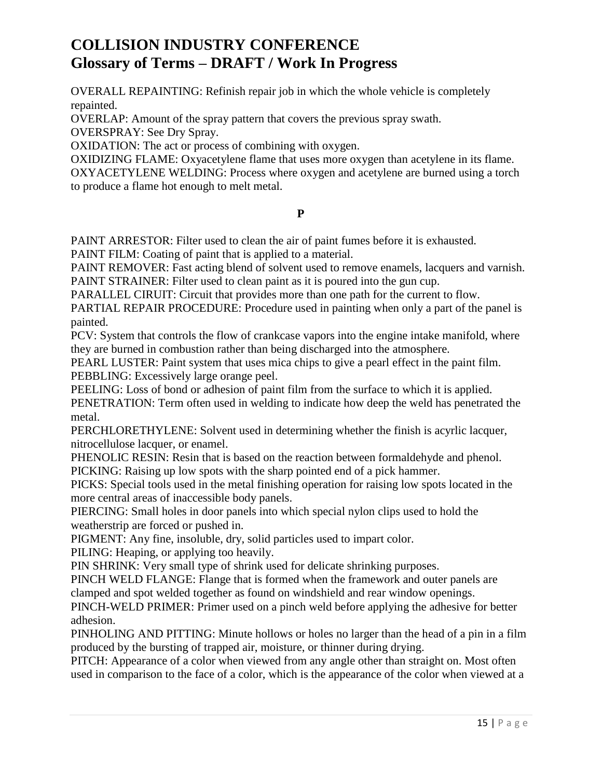OVERALL REPAINTING: Refinish repair job in which the whole vehicle is completely repainted.

OVERLAP: Amount of the spray pattern that covers the previous spray swath.

OVERSPRAY: See Dry Spray.

OXIDATION: The act or process of combining with oxygen.

OXIDIZING FLAME: Oxyacetylene flame that uses more oxygen than acetylene in its flame. OXYACETYLENE WELDING: Process where oxygen and acetylene are burned using a torch to produce a flame hot enough to melt metal.

### **P**

PAINT ARRESTOR: Filter used to clean the air of paint fumes before it is exhausted.

PAINT FILM: Coating of paint that is applied to a material.

PAINT REMOVER: Fast acting blend of solvent used to remove enamels, lacquers and varnish. PAINT STRAINER: Filter used to clean paint as it is poured into the gun cup.

PARALLEL CIRUIT: Circuit that provides more than one path for the current to flow.

PARTIAL REPAIR PROCEDURE: Procedure used in painting when only a part of the panel is painted.

PCV: System that controls the flow of crankcase vapors into the engine intake manifold, where they are burned in combustion rather than being discharged into the atmosphere.

PEARL LUSTER: Paint system that uses mica chips to give a pearl effect in the paint film. PEBBLING: Excessively large orange peel.

PEELING: Loss of bond or adhesion of paint film from the surface to which it is applied. PENETRATION: Term often used in welding to indicate how deep the weld has penetrated the metal.

PERCHLORETHYLENE: Solvent used in determining whether the finish is acyrlic lacquer, nitrocellulose lacquer, or enamel.

PHENOLIC RESIN: Resin that is based on the reaction between formaldehyde and phenol.

PICKING: Raising up low spots with the sharp pointed end of a pick hammer.

PICKS: Special tools used in the metal finishing operation for raising low spots located in the more central areas of inaccessible body panels.

PIERCING: Small holes in door panels into which special nylon clips used to hold the weatherstrip are forced or pushed in.

PIGMENT: Any fine, insoluble, dry, solid particles used to impart color.

PILING: Heaping, or applying too heavily.

PIN SHRINK: Very small type of shrink used for delicate shrinking purposes.

PINCH WELD FLANGE: Flange that is formed when the framework and outer panels are clamped and spot welded together as found on windshield and rear window openings.

PINCH-WELD PRIMER: Primer used on a pinch weld before applying the adhesive for better adhesion.

PINHOLING AND PITTING: Minute hollows or holes no larger than the head of a pin in a film produced by the bursting of trapped air, moisture, or thinner during drying.

PITCH: Appearance of a color when viewed from any angle other than straight on. Most often used in comparison to the face of a color, which is the appearance of the color when viewed at a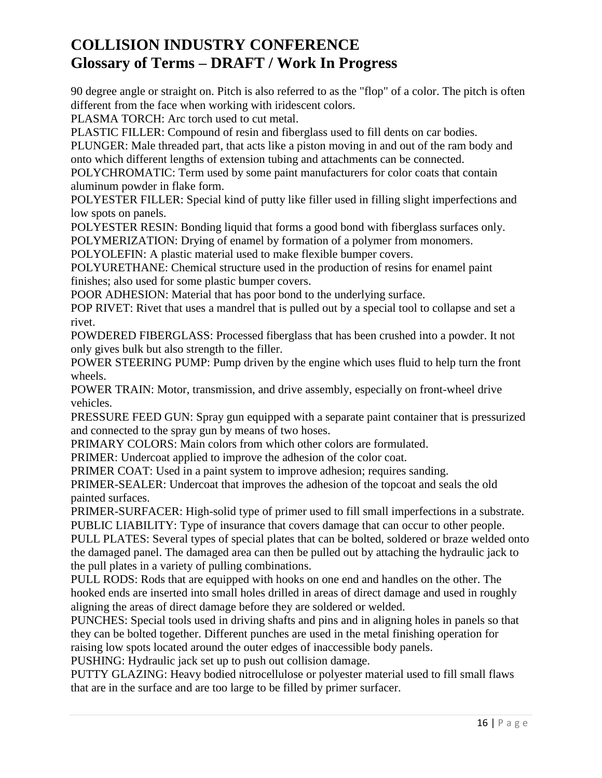90 degree angle or straight on. Pitch is also referred to as the "flop" of a color. The pitch is often different from the face when working with iridescent colors.

PLASMA TORCH: Arc torch used to cut metal.

PLASTIC FILLER: Compound of resin and fiberglass used to fill dents on car bodies.

PLUNGER: Male threaded part, that acts like a piston moving in and out of the ram body and onto which different lengths of extension tubing and attachments can be connected.

POLYCHROMATIC: Term used by some paint manufacturers for color coats that contain aluminum powder in flake form.

POLYESTER FILLER: Special kind of putty like filler used in filling slight imperfections and low spots on panels.

POLYESTER RESIN: Bonding liquid that forms a good bond with fiberglass surfaces only.

POLYMERIZATION: Drying of enamel by formation of a polymer from monomers.

POLYOLEFIN: A plastic material used to make flexible bumper covers.

POLYURETHANE: Chemical structure used in the production of resins for enamel paint finishes; also used for some plastic bumper covers.

POOR ADHESION: Material that has poor bond to the underlying surface.

POP RIVET: Rivet that uses a mandrel that is pulled out by a special tool to collapse and set a rivet.

POWDERED FIBERGLASS: Processed fiberglass that has been crushed into a powder. It not only gives bulk but also strength to the filler.

POWER STEERING PUMP: Pump driven by the engine which uses fluid to help turn the front wheels.

POWER TRAIN: Motor, transmission, and drive assembly, especially on front-wheel drive vehicles.

PRESSURE FEED GUN: Spray gun equipped with a separate paint container that is pressurized and connected to the spray gun by means of two hoses.

PRIMARY COLORS: Main colors from which other colors are formulated.

PRIMER: Undercoat applied to improve the adhesion of the color coat.

PRIMER COAT: Used in a paint system to improve adhesion; requires sanding.

PRIMER-SEALER: Undercoat that improves the adhesion of the topcoat and seals the old painted surfaces.

PRIMER-SURFACER: High-solid type of primer used to fill small imperfections in a substrate. PUBLIC LIABILITY: Type of insurance that covers damage that can occur to other people.

PULL PLATES: Several types of special plates that can be bolted, soldered or braze welded onto the damaged panel. The damaged area can then be pulled out by attaching the hydraulic jack to the pull plates in a variety of pulling combinations.

PULL RODS: Rods that are equipped with hooks on one end and handles on the other. The hooked ends are inserted into small holes drilled in areas of direct damage and used in roughly aligning the areas of direct damage before they are soldered or welded.

PUNCHES: Special tools used in driving shafts and pins and in aligning holes in panels so that they can be bolted together. Different punches are used in the metal finishing operation for raising low spots located around the outer edges of inaccessible body panels.

PUSHING: Hydraulic jack set up to push out collision damage.

PUTTY GLAZING: Heavy bodied nitrocellulose or polyester material used to fill small flaws that are in the surface and are too large to be filled by primer surfacer.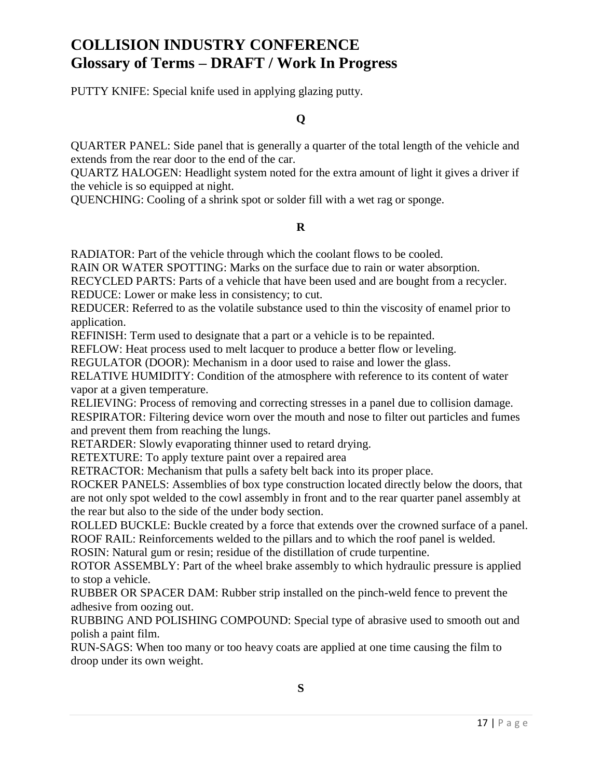PUTTY KNIFE: Special knife used in applying glazing putty.

### **Q**

QUARTER PANEL: Side panel that is generally a quarter of the total length of the vehicle and extends from the rear door to the end of the car.

QUARTZ HALOGEN: Headlight system noted for the extra amount of light it gives a driver if the vehicle is so equipped at night.

QUENCHING: Cooling of a shrink spot or solder fill with a wet rag or sponge.

### **R**

RADIATOR: Part of the vehicle through which the coolant flows to be cooled.

RAIN OR WATER SPOTTING: Marks on the surface due to rain or water absorption.

RECYCLED PARTS: Parts of a vehicle that have been used and are bought from a recycler. REDUCE: Lower or make less in consistency; to cut.

REDUCER: Referred to as the volatile substance used to thin the viscosity of enamel prior to application.

REFINISH: Term used to designate that a part or a vehicle is to be repainted.

REFLOW: Heat process used to melt lacquer to produce a better flow or leveling.

REGULATOR (DOOR): Mechanism in a door used to raise and lower the glass.

RELATIVE HUMIDITY: Condition of the atmosphere with reference to its content of water vapor at a given temperature.

RELIEVING: Process of removing and correcting stresses in a panel due to collision damage. RESPIRATOR: Filtering device worn over the mouth and nose to filter out particles and fumes and prevent them from reaching the lungs.

RETARDER: Slowly evaporating thinner used to retard drying.

RETEXTURE: To apply texture paint over a repaired area

RETRACTOR: Mechanism that pulls a safety belt back into its proper place.

ROCKER PANELS: Assemblies of box type construction located directly below the doors, that are not only spot welded to the cowl assembly in front and to the rear quarter panel assembly at the rear but also to the side of the under body section.

ROLLED BUCKLE: Buckle created by a force that extends over the crowned surface of a panel. ROOF RAIL: Reinforcements welded to the pillars and to which the roof panel is welded.

ROSIN: Natural gum or resin; residue of the distillation of crude turpentine.

ROTOR ASSEMBLY: Part of the wheel brake assembly to which hydraulic pressure is applied to stop a vehicle.

RUBBER OR SPACER DAM: Rubber strip installed on the pinch-weld fence to prevent the adhesive from oozing out.

RUBBING AND POLISHING COMPOUND: Special type of abrasive used to smooth out and polish a paint film.

RUN-SAGS: When too many or too heavy coats are applied at one time causing the film to droop under its own weight.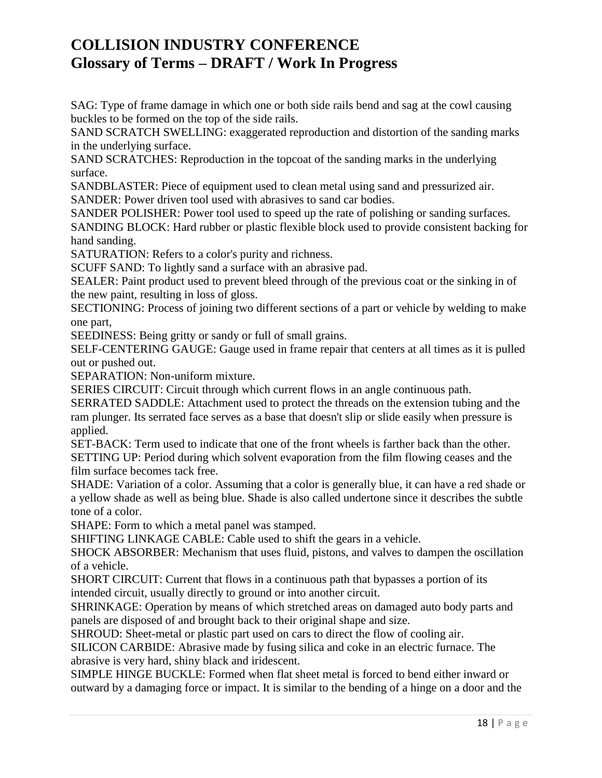SAG: Type of frame damage in which one or both side rails bend and sag at the cowl causing buckles to be formed on the top of the side rails.

SAND SCRATCH SWELLING: exaggerated reproduction and distortion of the sanding marks in the underlying surface.

SAND SCRATCHES: Reproduction in the topcoat of the sanding marks in the underlying surface.

SANDBLASTER: Piece of equipment used to clean metal using sand and pressurized air.

SANDER: Power driven tool used with abrasives to sand car bodies.

SANDER POLISHER: Power tool used to speed up the rate of polishing or sanding surfaces.

SANDING BLOCK: Hard rubber or plastic flexible block used to provide consistent backing for hand sanding.

SATURATION: Refers to a color's purity and richness.

SCUFF SAND: To lightly sand a surface with an abrasive pad.

SEALER: Paint product used to prevent bleed through of the previous coat or the sinking in of the new paint, resulting in loss of gloss.

SECTIONING: Process of joining two different sections of a part or vehicle by welding to make one part,

SEEDINESS: Being gritty or sandy or full of small grains.

SELF-CENTERING GAUGE: Gauge used in frame repair that centers at all times as it is pulled out or pushed out.

SEPARATION: Non-uniform mixture.

SERIES CIRCUIT: Circuit through which current flows in an angle continuous path.

SERRATED SADDLE: Attachment used to protect the threads on the extension tubing and the ram plunger. Its serrated face serves as a base that doesn't slip or slide easily when pressure is applied.

SET-BACK: Term used to indicate that one of the front wheels is farther back than the other. SETTING UP: Period during which solvent evaporation from the film flowing ceases and the film surface becomes tack free.

SHADE: Variation of a color. Assuming that a color is generally blue, it can have a red shade or a yellow shade as well as being blue. Shade is also called undertone since it describes the subtle tone of a color.

SHAPE: Form to which a metal panel was stamped.

SHIFTING LINKAGE CABLE: Cable used to shift the gears in a vehicle.

SHOCK ABSORBER: Mechanism that uses fluid, pistons, and valves to dampen the oscillation of a vehicle.

SHORT CIRCUIT: Current that flows in a continuous path that bypasses a portion of its intended circuit, usually directly to ground or into another circuit.

SHRINKAGE: Operation by means of which stretched areas on damaged auto body parts and panels are disposed of and brought back to their original shape and size.

SHROUD: Sheet-metal or plastic part used on cars to direct the flow of cooling air.

SILICON CARBIDE: Abrasive made by fusing silica and coke in an electric furnace. The abrasive is very hard, shiny black and iridescent.

SIMPLE HINGE BUCKLE: Formed when flat sheet metal is forced to bend either inward or outward by a damaging force or impact. It is similar to the bending of a hinge on a door and the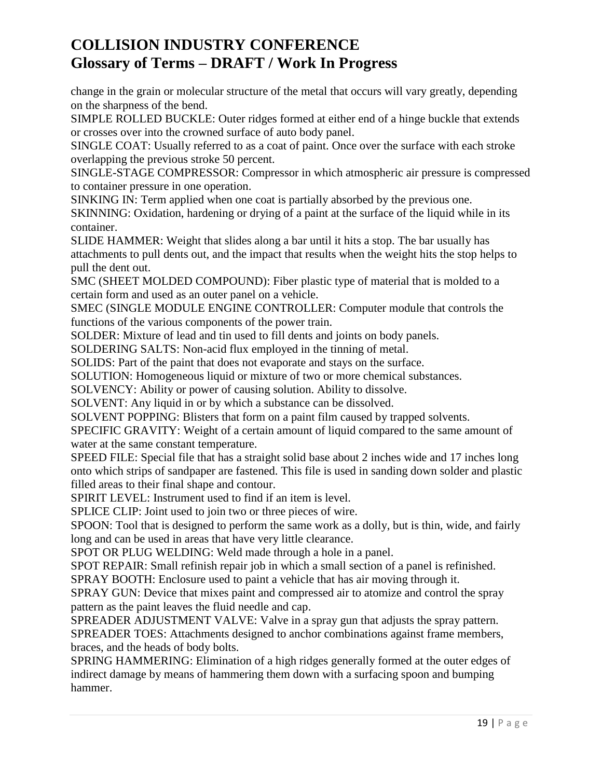change in the grain or molecular structure of the metal that occurs will vary greatly, depending on the sharpness of the bend.

SIMPLE ROLLED BUCKLE: Outer ridges formed at either end of a hinge buckle that extends or crosses over into the crowned surface of auto body panel.

SINGLE COAT: Usually referred to as a coat of paint. Once over the surface with each stroke overlapping the previous stroke 50 percent.

SINGLE-STAGE COMPRESSOR: Compressor in which atmospheric air pressure is compressed to container pressure in one operation.

SINKING IN: Term applied when one coat is partially absorbed by the previous one.

SKINNING: Oxidation, hardening or drying of a paint at the surface of the liquid while in its container.

SLIDE HAMMER: Weight that slides along a bar until it hits a stop. The bar usually has attachments to pull dents out, and the impact that results when the weight hits the stop helps to pull the dent out.

SMC (SHEET MOLDED COMPOUND): Fiber plastic type of material that is molded to a certain form and used as an outer panel on a vehicle.

SMEC (SINGLE MODULE ENGINE CONTROLLER: Computer module that controls the functions of the various components of the power train.

SOLDER: Mixture of lead and tin used to fill dents and joints on body panels.

SOLDERING SALTS: Non-acid flux employed in the tinning of metal.

SOLIDS: Part of the paint that does not evaporate and stays on the surface.

SOLUTION: Homogeneous liquid or mixture of two or more chemical substances.

SOLVENCY: Ability or power of causing solution. Ability to dissolve.

SOLVENT: Any liquid in or by which a substance can be dissolved.

SOLVENT POPPING: Blisters that form on a paint film caused by trapped solvents.

SPECIFIC GRAVITY: Weight of a certain amount of liquid compared to the same amount of water at the same constant temperature.

SPEED FILE: Special file that has a straight solid base about 2 inches wide and 17 inches long onto which strips of sandpaper are fastened. This file is used in sanding down solder and plastic filled areas to their final shape and contour.

SPIRIT LEVEL: Instrument used to find if an item is level.

SPLICE CLIP: Joint used to join two or three pieces of wire.

SPOON: Tool that is designed to perform the same work as a dolly, but is thin, wide, and fairly long and can be used in areas that have very little clearance.

SPOT OR PLUG WELDING: Weld made through a hole in a panel.

SPOT REPAIR: Small refinish repair job in which a small section of a panel is refinished.

SPRAY BOOTH: Enclosure used to paint a vehicle that has air moving through it.

SPRAY GUN: Device that mixes paint and compressed air to atomize and control the spray pattern as the paint leaves the fluid needle and cap.

SPREADER ADJUSTMENT VALVE: Valve in a spray gun that adjusts the spray pattern.

SPREADER TOES: Attachments designed to anchor combinations against frame members, braces, and the heads of body bolts.

SPRING HAMMERING: Elimination of a high ridges generally formed at the outer edges of indirect damage by means of hammering them down with a surfacing spoon and bumping hammer.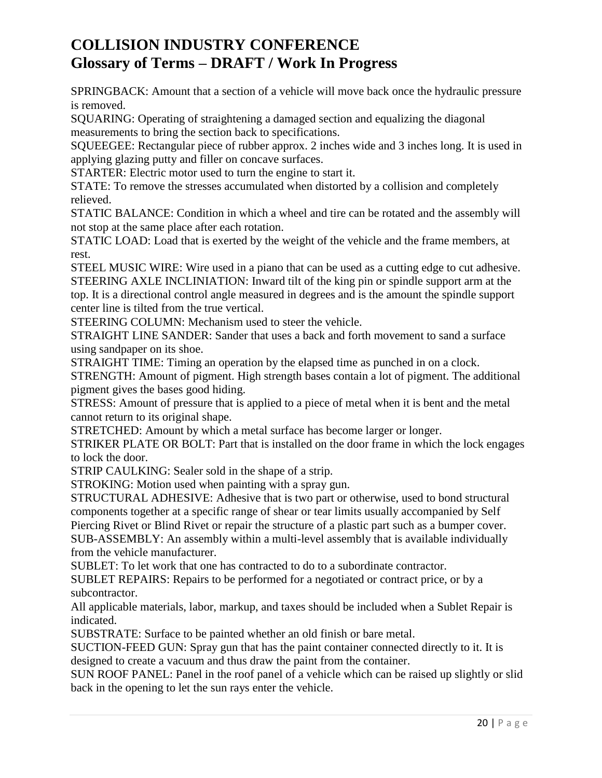SPRINGBACK: Amount that a section of a vehicle will move back once the hydraulic pressure is removed.

SQUARING: Operating of straightening a damaged section and equalizing the diagonal measurements to bring the section back to specifications.

SQUEEGEE: Rectangular piece of rubber approx. 2 inches wide and 3 inches long. It is used in applying glazing putty and filler on concave surfaces.

STARTER: Electric motor used to turn the engine to start it.

STATE: To remove the stresses accumulated when distorted by a collision and completely relieved.

STATIC BALANCE: Condition in which a wheel and tire can be rotated and the assembly will not stop at the same place after each rotation.

STATIC LOAD: Load that is exerted by the weight of the vehicle and the frame members, at rest.

STEEL MUSIC WIRE: Wire used in a piano that can be used as a cutting edge to cut adhesive. STEERING AXLE INCLINIATION: Inward tilt of the king pin or spindle support arm at the top. It is a directional control angle measured in degrees and is the amount the spindle support center line is tilted from the true vertical.

STEERING COLUMN: Mechanism used to steer the vehicle.

STRAIGHT LINE SANDER: Sander that uses a back and forth movement to sand a surface using sandpaper on its shoe.

STRAIGHT TIME: Timing an operation by the elapsed time as punched in on a clock. STRENGTH: Amount of pigment. High strength bases contain a lot of pigment. The additional pigment gives the bases good hiding.

STRESS: Amount of pressure that is applied to a piece of metal when it is bent and the metal cannot return to its original shape.

STRETCHED: Amount by which a metal surface has become larger or longer.

STRIKER PLATE OR BOLT: Part that is installed on the door frame in which the lock engages to lock the door.

STRIP CAULKING: Sealer sold in the shape of a strip.

STROKING: Motion used when painting with a spray gun.

STRUCTURAL ADHESIVE: Adhesive that is two part or otherwise, used to bond structural components together at a specific range of shear or tear limits usually accompanied by Self Piercing Rivet or Blind Rivet or repair the structure of a plastic part such as a bumper cover.

SUB-ASSEMBLY: An assembly within a multi-level assembly that is available individually from the vehicle manufacturer.

SUBLET: To let work that one has contracted to do to a subordinate contractor.

SUBLET REPAIRS: Repairs to be performed for a negotiated or contract price, or by a subcontractor.

All applicable materials, labor, markup, and taxes should be included when a Sublet Repair is indicated.

SUBSTRATE: Surface to be painted whether an old finish or bare metal.

SUCTION-FEED GUN: Spray gun that has the paint container connected directly to it. It is designed to create a vacuum and thus draw the paint from the container.

SUN ROOF PANEL: Panel in the roof panel of a vehicle which can be raised up slightly or slid back in the opening to let the sun rays enter the vehicle.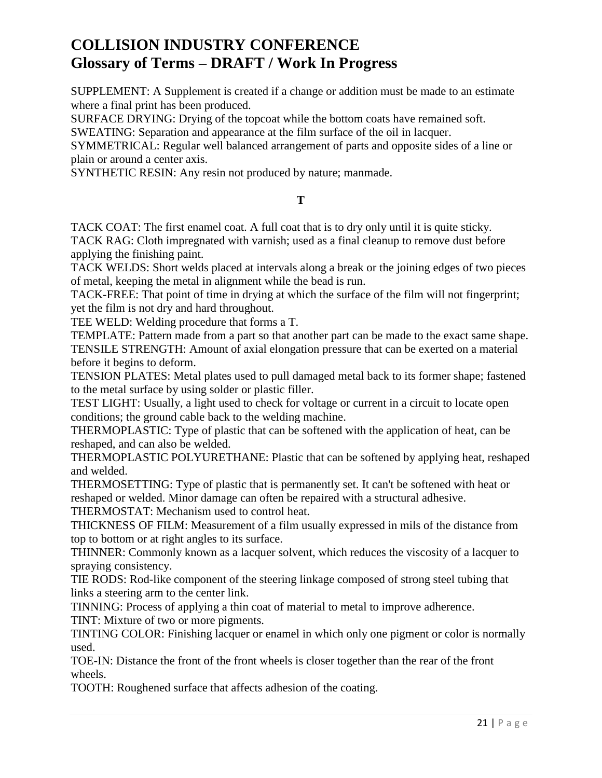SUPPLEMENT: A Supplement is created if a change or addition must be made to an estimate where a final print has been produced.

SURFACE DRYING: Drying of the topcoat while the bottom coats have remained soft.

SWEATING: Separation and appearance at the film surface of the oil in lacquer.

SYMMETRICAL: Regular well balanced arrangement of parts and opposite sides of a line or plain or around a center axis.

SYNTHETIC RESIN: Any resin not produced by nature; manmade.

### **T**

TACK COAT: The first enamel coat. A full coat that is to dry only until it is quite sticky. TACK RAG: Cloth impregnated with varnish; used as a final cleanup to remove dust before applying the finishing paint.

TACK WELDS: Short welds placed at intervals along a break or the joining edges of two pieces of metal, keeping the metal in alignment while the bead is run.

TACK-FREE: That point of time in drying at which the surface of the film will not fingerprint; yet the film is not dry and hard throughout.

TEE WELD: Welding procedure that forms a T.

TEMPLATE: Pattern made from a part so that another part can be made to the exact same shape. TENSILE STRENGTH: Amount of axial elongation pressure that can be exerted on a material before it begins to deform.

TENSION PLATES: Metal plates used to pull damaged metal back to its former shape; fastened to the metal surface by using solder or plastic filler.

TEST LIGHT: Usually, a light used to check for voltage or current in a circuit to locate open conditions; the ground cable back to the welding machine.

THERMOPLASTIC: Type of plastic that can be softened with the application of heat, can be reshaped, and can also be welded.

THERMOPLASTIC POLYURETHANE: Plastic that can be softened by applying heat, reshaped and welded.

THERMOSETTING: Type of plastic that is permanently set. It can't be softened with heat or reshaped or welded. Minor damage can often be repaired with a structural adhesive.

THERMOSTAT: Mechanism used to control heat.

THICKNESS OF FILM: Measurement of a film usually expressed in mils of the distance from top to bottom or at right angles to its surface.

THINNER: Commonly known as a lacquer solvent, which reduces the viscosity of a lacquer to spraying consistency.

TIE RODS: Rod-like component of the steering linkage composed of strong steel tubing that links a steering arm to the center link.

TINNING: Process of applying a thin coat of material to metal to improve adherence.

TINT: Mixture of two or more pigments.

TINTING COLOR: Finishing lacquer or enamel in which only one pigment or color is normally used.

TOE-IN: Distance the front of the front wheels is closer together than the rear of the front wheels.

TOOTH: Roughened surface that affects adhesion of the coating.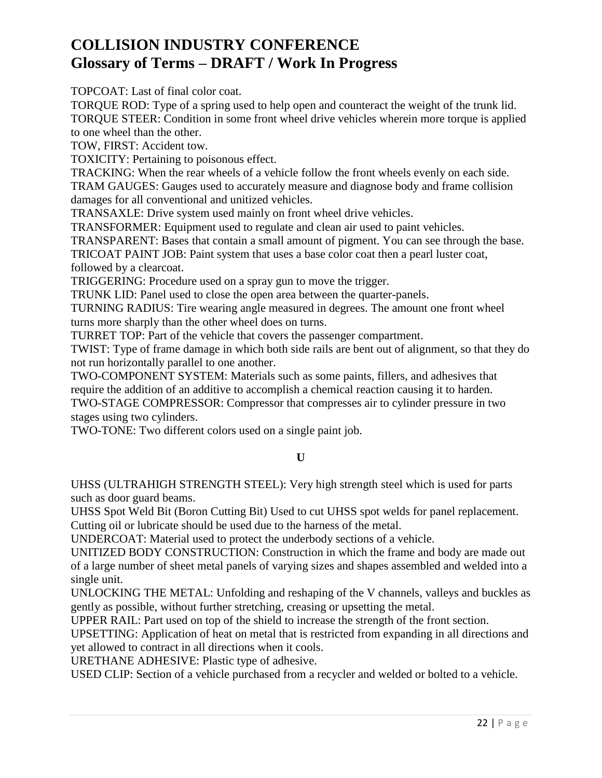TOPCOAT: Last of final color coat.

TORQUE ROD: Type of a spring used to help open and counteract the weight of the trunk lid. TORQUE STEER: Condition in some front wheel drive vehicles wherein more torque is applied to one wheel than the other.

TOW, FIRST: Accident tow.

TOXICITY: Pertaining to poisonous effect.

TRACKING: When the rear wheels of a vehicle follow the front wheels evenly on each side. TRAM GAUGES: Gauges used to accurately measure and diagnose body and frame collision damages for all conventional and unitized vehicles.

TRANSAXLE: Drive system used mainly on front wheel drive vehicles.

TRANSFORMER: Equipment used to regulate and clean air used to paint vehicles.

TRANSPARENT: Bases that contain a small amount of pigment. You can see through the base. TRICOAT PAINT JOB: Paint system that uses a base color coat then a pearl luster coat,

followed by a clearcoat.

TRIGGERING: Procedure used on a spray gun to move the trigger.

TRUNK LID: Panel used to close the open area between the quarter-panels.

TURNING RADIUS: Tire wearing angle measured in degrees. The amount one front wheel turns more sharply than the other wheel does on turns.

TURRET TOP: Part of the vehicle that covers the passenger compartment.

TWIST: Type of frame damage in which both side rails are bent out of alignment, so that they do not run horizontally parallel to one another.

TWO-COMPONENT SYSTEM: Materials such as some paints, fillers, and adhesives that require the addition of an additive to accomplish a chemical reaction causing it to harden. TWO-STAGE COMPRESSOR: Compressor that compresses air to cylinder pressure in two

stages using two cylinders.

TWO-TONE: Two different colors used on a single paint job.

### **U**

UHSS (ULTRAHIGH STRENGTH STEEL): Very high strength steel which is used for parts such as door guard beams.

UHSS Spot Weld Bit (Boron Cutting Bit) Used to cut UHSS spot welds for panel replacement. Cutting oil or lubricate should be used due to the harness of the metal.

UNDERCOAT: Material used to protect the underbody sections of a vehicle.

UNITIZED BODY CONSTRUCTION: Construction in which the frame and body are made out of a large number of sheet metal panels of varying sizes and shapes assembled and welded into a single unit.

UNLOCKING THE METAL: Unfolding and reshaping of the V channels, valleys and buckles as gently as possible, without further stretching, creasing or upsetting the metal.

UPPER RAIL: Part used on top of the shield to increase the strength of the front section.

UPSETTING: Application of heat on metal that is restricted from expanding in all directions and yet allowed to contract in all directions when it cools.

URETHANE ADHESIVE: Plastic type of adhesive.

USED CLIP: Section of a vehicle purchased from a recycler and welded or bolted to a vehicle.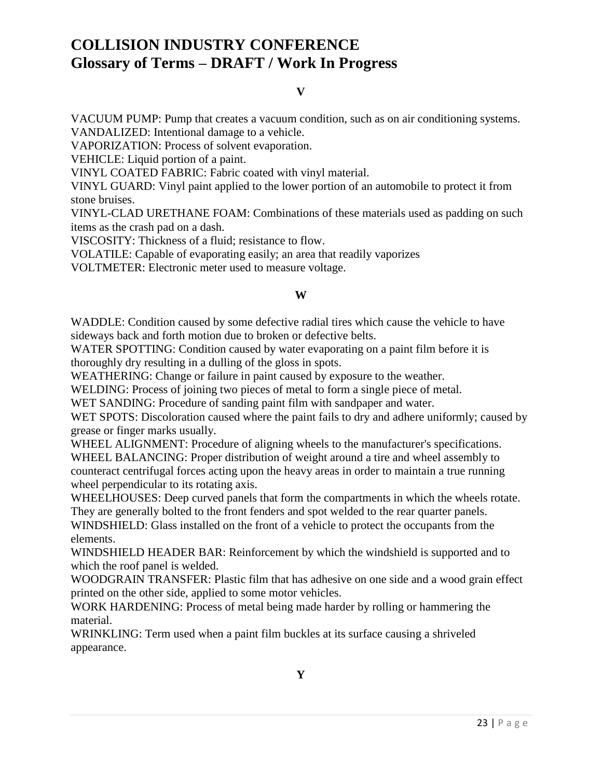#### **V**

VACUUM PUMP: Pump that creates a vacuum condition, such as on air conditioning systems. VANDALIZED: Intentional damage to a vehicle.

VAPORIZATION: Process of solvent evaporation.

VEHICLE: Liquid portion of a paint.

VINYL COATED FABRIC: Fabric coated with vinyl material.

VINYL GUARD: Vinyl paint applied to the lower portion of an automobile to protect it from stone bruises.

VINYL-CLAD URETHANE FOAM: Combinations of these materials used as padding on such items as the crash pad on a dash.

VISCOSITY: Thickness of a fluid; resistance to flow.

VOLATILE: Capable of evaporating easily; an area that readily vaporizes

VOLTMETER: Electronic meter used to measure voltage.

#### **W**

WADDLE: Condition caused by some defective radial tires which cause the vehicle to have sideways back and forth motion due to broken or defective belts.

WATER SPOTTING: Condition caused by water evaporating on a paint film before it is thoroughly dry resulting in a dulling of the gloss in spots.

WEATHERING: Change or failure in paint caused by exposure to the weather.

WELDING: Process of joining two pieces of metal to form a single piece of metal.

WET SANDING: Procedure of sanding paint film with sandpaper and water.

WET SPOTS: Discoloration caused where the paint fails to dry and adhere uniformly; caused by grease or finger marks usually.

WHEEL ALIGNMENT: Procedure of aligning wheels to the manufacturer's specifications. WHEEL BALANCING: Proper distribution of weight around a tire and wheel assembly to counteract centrifugal forces acting upon the heavy areas in order to maintain a true running wheel perpendicular to its rotating axis.

WHEELHOUSES: Deep curved panels that form the compartments in which the wheels rotate. They are generally bolted to the front fenders and spot welded to the rear quarter panels.

WINDSHIELD: Glass installed on the front of a vehicle to protect the occupants from the elements.

WINDSHIELD HEADER BAR: Reinforcement by which the windshield is supported and to which the roof panel is welded.

WOODGRAIN TRANSFER: Plastic film that has adhesive on one side and a wood grain effect printed on the other side, applied to some motor vehicles.

WORK HARDENING: Process of metal being made harder by rolling or hammering the material.

WRINKLING: Term used when a paint film buckles at its surface causing a shriveled appearance.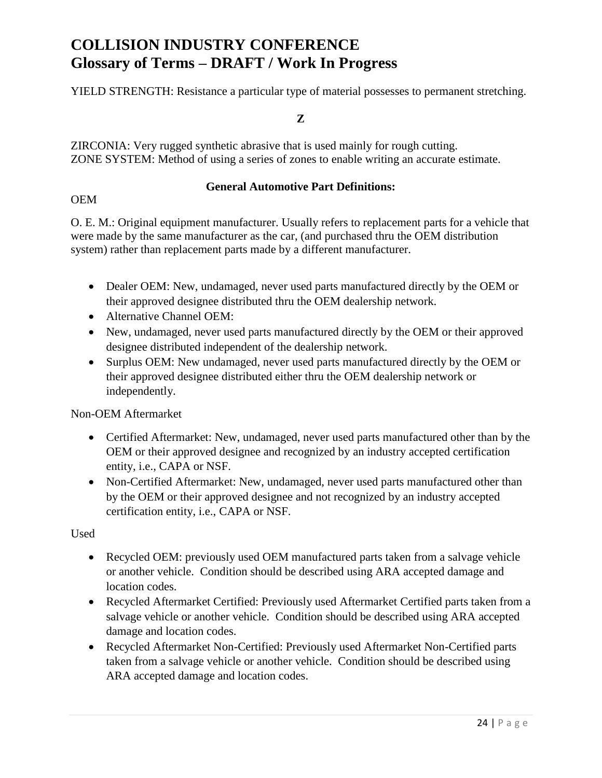YIELD STRENGTH: Resistance a particular type of material possesses to permanent stretching.

**Z**

ZIRCONIA: Very rugged synthetic abrasive that is used mainly for rough cutting. ZONE SYSTEM: Method of using a series of zones to enable writing an accurate estimate.

#### **General Automotive Part Definitions:**

#### OEM

O. E. M.: Original equipment manufacturer. Usually refers to replacement parts for a vehicle that were made by the same manufacturer as the car, (and purchased thru the OEM distribution system) rather than replacement parts made by a different manufacturer.

- Dealer OEM: New, undamaged, never used parts manufactured directly by the OEM or their approved designee distributed thru the OEM dealership network.
- Alternative Channel OEM:
- New, undamaged, never used parts manufactured directly by the OEM or their approved designee distributed independent of the dealership network.
- Surplus OEM: New undamaged, never used parts manufactured directly by the OEM or their approved designee distributed either thru the OEM dealership network or independently.

Non-OEM Aftermarket

- Certified Aftermarket: New, undamaged, never used parts manufactured other than by the OEM or their approved designee and recognized by an industry accepted certification entity, i.e., CAPA or NSF.
- Non-Certified Aftermarket: New, undamaged, never used parts manufactured other than by the OEM or their approved designee and not recognized by an industry accepted certification entity, i.e., CAPA or NSF.

### Used

- Recycled OEM: previously used OEM manufactured parts taken from a salvage vehicle or another vehicle. Condition should be described using ARA accepted damage and location codes.
- Recycled Aftermarket Certified: Previously used Aftermarket Certified parts taken from a salvage vehicle or another vehicle. Condition should be described using ARA accepted damage and location codes.
- Recycled Aftermarket Non-Certified: Previously used Aftermarket Non-Certified parts taken from a salvage vehicle or another vehicle. Condition should be described using ARA accepted damage and location codes.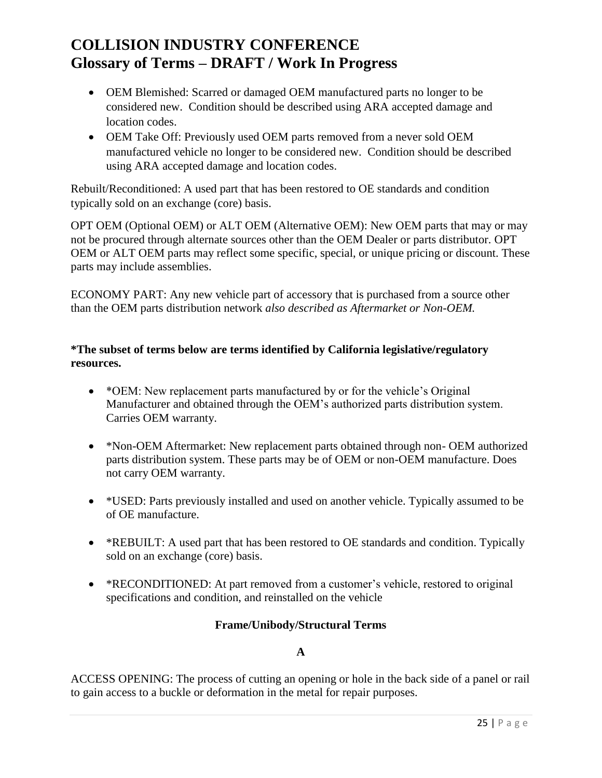- OEM Blemished: Scarred or damaged OEM manufactured parts no longer to be considered new. Condition should be described using ARA accepted damage and location codes.
- OEM Take Off: Previously used OEM parts removed from a never sold OEM manufactured vehicle no longer to be considered new. Condition should be described using ARA accepted damage and location codes.

Rebuilt/Reconditioned: A used part that has been restored to OE standards and condition typically sold on an exchange (core) basis.

OPT OEM (Optional OEM) or ALT OEM (Alternative OEM): New OEM parts that may or may not be procured through alternate sources other than the OEM Dealer or parts distributor. OPT OEM or ALT OEM parts may reflect some specific, special, or unique pricing or discount. These parts may include assemblies.

ECONOMY PART: Any new vehicle part of accessory that is purchased from a source other than the OEM parts distribution network *also described as Aftermarket or Non-OEM.*

### **\*The subset of terms below are terms identified by California legislative/regulatory resources.**

- \*OEM: New replacement parts manufactured by or for the vehicle's Original Manufacturer and obtained through the OEM's authorized parts distribution system. Carries OEM warranty.
- \*Non-OEM Aftermarket: New replacement parts obtained through non- OEM authorized parts distribution system. These parts may be of OEM or non-OEM manufacture. Does not carry OEM warranty.
- \* USED: Parts previously installed and used on another vehicle. Typically assumed to be of OE manufacture.
- \*REBUILT: A used part that has been restored to OE standards and condition. Typically sold on an exchange (core) basis.
- \*RECONDITIONED: At part removed from a customer's vehicle, restored to original specifications and condition, and reinstalled on the vehicle

### **Frame/Unibody/Structural Terms**

### **A**

ACCESS OPENING: The process of cutting an opening or hole in the back side of a panel or rail to gain access to a buckle or deformation in the metal for repair purposes.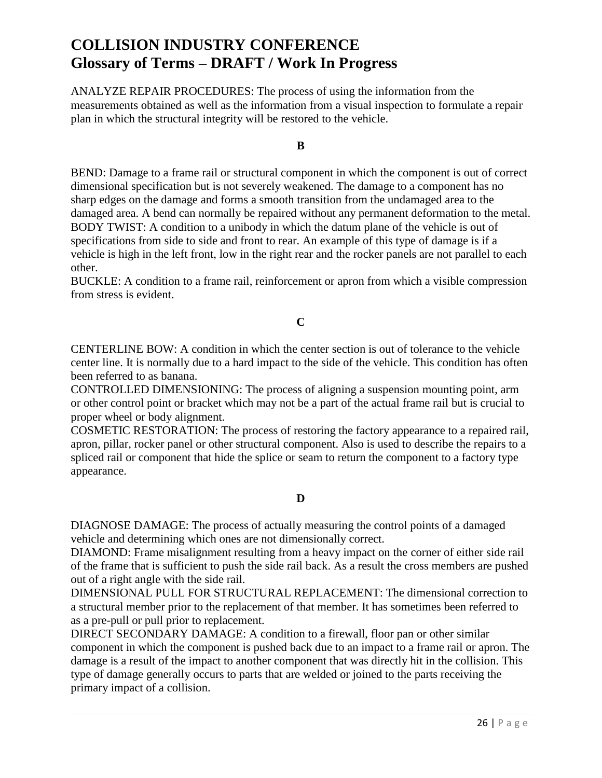ANALYZE REPAIR PROCEDURES: The process of using the information from the measurements obtained as well as the information from a visual inspection to formulate a repair plan in which the structural integrity will be restored to the vehicle.

**B**

BEND: Damage to a frame rail or structural component in which the component is out of correct dimensional specification but is not severely weakened. The damage to a component has no sharp edges on the damage and forms a smooth transition from the undamaged area to the damaged area. A bend can normally be repaired without any permanent deformation to the metal. BODY TWIST: A condition to a unibody in which the datum plane of the vehicle is out of specifications from side to side and front to rear. An example of this type of damage is if a vehicle is high in the left front, low in the right rear and the rocker panels are not parallel to each other.

BUCKLE: A condition to a frame rail, reinforcement or apron from which a visible compression from stress is evident.

**C**

CENTERLINE BOW: A condition in which the center section is out of tolerance to the vehicle center line. It is normally due to a hard impact to the side of the vehicle. This condition has often been referred to as banana.

CONTROLLED DIMENSIONING: The process of aligning a suspension mounting point, arm or other control point or bracket which may not be a part of the actual frame rail but is crucial to proper wheel or body alignment.

COSMETIC RESTORATION: The process of restoring the factory appearance to a repaired rail, apron, pillar, rocker panel or other structural component. Also is used to describe the repairs to a spliced rail or component that hide the splice or seam to return the component to a factory type appearance.

#### **D**

DIAGNOSE DAMAGE: The process of actually measuring the control points of a damaged vehicle and determining which ones are not dimensionally correct.

DIAMOND: Frame misalignment resulting from a heavy impact on the corner of either side rail of the frame that is sufficient to push the side rail back. As a result the cross members are pushed out of a right angle with the side rail.

DIMENSIONAL PULL FOR STRUCTURAL REPLACEMENT: The dimensional correction to a structural member prior to the replacement of that member. It has sometimes been referred to as a pre-pull or pull prior to replacement.

DIRECT SECONDARY DAMAGE: A condition to a firewall, floor pan or other similar component in which the component is pushed back due to an impact to a frame rail or apron. The damage is a result of the impact to another component that was directly hit in the collision. This type of damage generally occurs to parts that are welded or joined to the parts receiving the primary impact of a collision.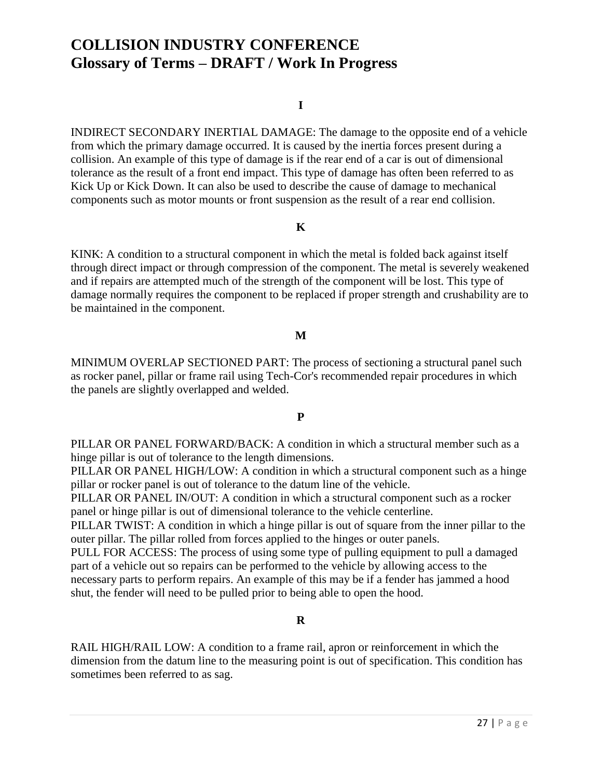#### **I**

INDIRECT SECONDARY INERTIAL DAMAGE: The damage to the opposite end of a vehicle from which the primary damage occurred. It is caused by the inertia forces present during a collision. An example of this type of damage is if the rear end of a car is out of dimensional tolerance as the result of a front end impact. This type of damage has often been referred to as Kick Up or Kick Down. It can also be used to describe the cause of damage to mechanical components such as motor mounts or front suspension as the result of a rear end collision.

### **K**

KINK: A condition to a structural component in which the metal is folded back against itself through direct impact or through compression of the component. The metal is severely weakened and if repairs are attempted much of the strength of the component will be lost. This type of damage normally requires the component to be replaced if proper strength and crushability are to be maintained in the component.

#### **M**

MINIMUM OVERLAP SECTIONED PART: The process of sectioning a structural panel such as rocker panel, pillar or frame rail using Tech-Cor's recommended repair procedures in which the panels are slightly overlapped and welded.

#### **P**

PILLAR OR PANEL FORWARD/BACK: A condition in which a structural member such as a hinge pillar is out of tolerance to the length dimensions.

PILLAR OR PANEL HIGH/LOW: A condition in which a structural component such as a hinge pillar or rocker panel is out of tolerance to the datum line of the vehicle.

PILLAR OR PANEL IN/OUT: A condition in which a structural component such as a rocker panel or hinge pillar is out of dimensional tolerance to the vehicle centerline.

PILLAR TWIST: A condition in which a hinge pillar is out of square from the inner pillar to the outer pillar. The pillar rolled from forces applied to the hinges or outer panels.

PULL FOR ACCESS: The process of using some type of pulling equipment to pull a damaged part of a vehicle out so repairs can be performed to the vehicle by allowing access to the necessary parts to perform repairs. An example of this may be if a fender has jammed a hood shut, the fender will need to be pulled prior to being able to open the hood.

#### **R**

RAIL HIGH/RAIL LOW: A condition to a frame rail, apron or reinforcement in which the dimension from the datum line to the measuring point is out of specification. This condition has sometimes been referred to as sag.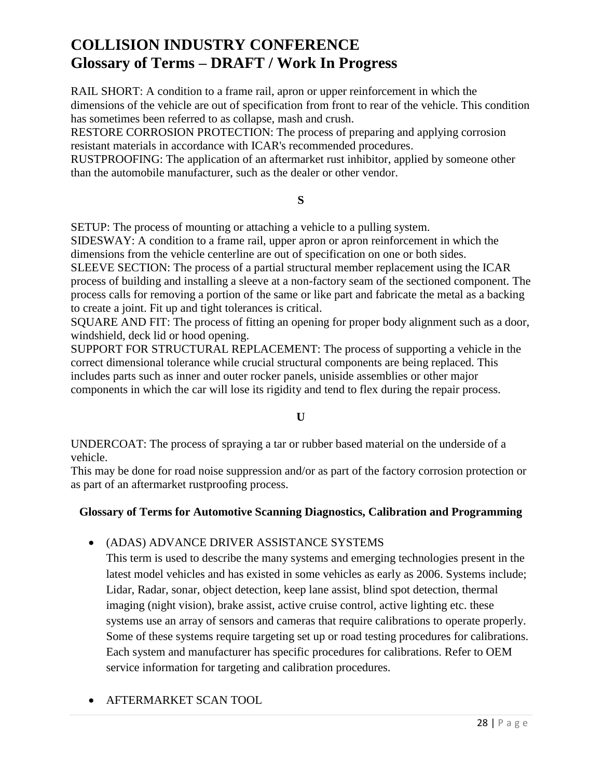RAIL SHORT: A condition to a frame rail, apron or upper reinforcement in which the dimensions of the vehicle are out of specification from front to rear of the vehicle. This condition has sometimes been referred to as collapse, mash and crush.

RESTORE CORROSION PROTECTION: The process of preparing and applying corrosion resistant materials in accordance with ICAR's recommended procedures.

RUSTPROOFING: The application of an aftermarket rust inhibitor, applied by someone other than the automobile manufacturer, such as the dealer or other vendor.

### **S**

SETUP: The process of mounting or attaching a vehicle to a pulling system.

SIDESWAY: A condition to a frame rail, upper apron or apron reinforcement in which the dimensions from the vehicle centerline are out of specification on one or both sides.

SLEEVE SECTION: The process of a partial structural member replacement using the ICAR process of building and installing a sleeve at a non-factory seam of the sectioned component. The process calls for removing a portion of the same or like part and fabricate the metal as a backing to create a joint. Fit up and tight tolerances is critical.

SQUARE AND FIT: The process of fitting an opening for proper body alignment such as a door, windshield, deck lid or hood opening.

SUPPORT FOR STRUCTURAL REPLACEMENT: The process of supporting a vehicle in the correct dimensional tolerance while crucial structural components are being replaced. This includes parts such as inner and outer rocker panels, uniside assemblies or other major components in which the car will lose its rigidity and tend to flex during the repair process.

### **U**

UNDERCOAT: The process of spraying a tar or rubber based material on the underside of a vehicle.

This may be done for road noise suppression and/or as part of the factory corrosion protection or as part of an aftermarket rustproofing process.

### **Glossary of Terms for Automotive Scanning Diagnostics, Calibration and Programming**

### (ADAS) ADVANCE DRIVER ASSISTANCE SYSTEMS

This term is used to describe the many systems and emerging technologies present in the latest model vehicles and has existed in some vehicles as early as 2006. Systems include; Lidar, Radar, sonar, object detection, keep lane assist, blind spot detection, thermal imaging (night vision), brake assist, active cruise control, active lighting etc. these systems use an array of sensors and cameras that require calibrations to operate properly. Some of these systems require targeting set up or road testing procedures for calibrations. Each system and manufacturer has specific procedures for calibrations. Refer to OEM service information for targeting and calibration procedures.

### AFTERMARKET SCAN TOOL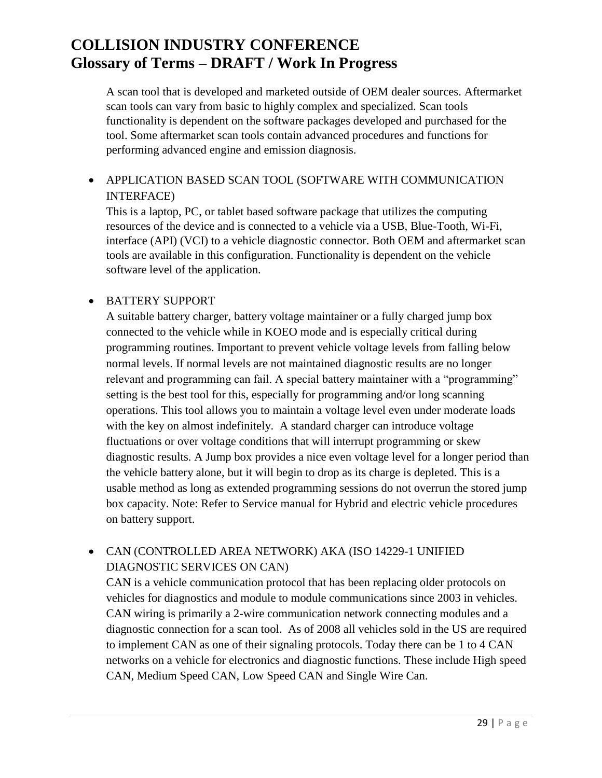A scan tool that is developed and marketed outside of OEM dealer sources. Aftermarket scan tools can vary from basic to highly complex and specialized. Scan tools functionality is dependent on the software packages developed and purchased for the tool. Some aftermarket scan tools contain advanced procedures and functions for performing advanced engine and emission diagnosis.

## APPLICATION BASED SCAN TOOL (SOFTWARE WITH COMMUNICATION INTERFACE)

This is a laptop, PC, or tablet based software package that utilizes the computing resources of the device and is connected to a vehicle via a USB, Blue-Tooth, Wi-Fi, interface (API) (VCI) to a vehicle diagnostic connector. Both OEM and aftermarket scan tools are available in this configuration. Functionality is dependent on the vehicle software level of the application.

### BATTERY SUPPORT

A suitable battery charger, battery voltage maintainer or a fully charged jump box connected to the vehicle while in KOEO mode and is especially critical during programming routines. Important to prevent vehicle voltage levels from falling below normal levels. If normal levels are not maintained diagnostic results are no longer relevant and programming can fail. A special battery maintainer with a "programming" setting is the best tool for this, especially for programming and/or long scanning operations. This tool allows you to maintain a voltage level even under moderate loads with the key on almost indefinitely. A standard charger can introduce voltage fluctuations or over voltage conditions that will interrupt programming or skew diagnostic results. A Jump box provides a nice even voltage level for a longer period than the vehicle battery alone, but it will begin to drop as its charge is depleted. This is a usable method as long as extended programming sessions do not overrun the stored jump box capacity. Note: Refer to Service manual for Hybrid and electric vehicle procedures on battery support.

## CAN (CONTROLLED AREA NETWORK) AKA (ISO 14229-1 UNIFIED DIAGNOSTIC SERVICES ON CAN)

CAN is a vehicle communication protocol that has been replacing older protocols on vehicles for diagnostics and module to module communications since 2003 in vehicles. CAN wiring is primarily a 2-wire communication network connecting modules and a diagnostic connection for a scan tool. As of 2008 all vehicles sold in the US are required to implement CAN as one of their signaling protocols. Today there can be 1 to 4 CAN networks on a vehicle for electronics and diagnostic functions. These include High speed CAN, Medium Speed CAN, Low Speed CAN and Single Wire Can.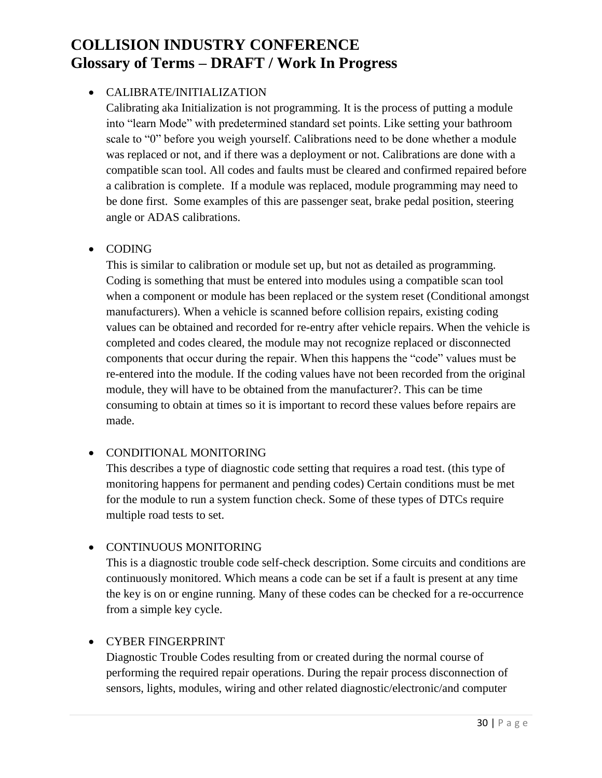### CALIBRATE/INITIALIZATION

Calibrating aka Initialization is not programming. It is the process of putting a module into "learn Mode" with predetermined standard set points. Like setting your bathroom scale to "0" before you weigh yourself. Calibrations need to be done whether a module was replaced or not, and if there was a deployment or not. Calibrations are done with a compatible scan tool. All codes and faults must be cleared and confirmed repaired before a calibration is complete. If a module was replaced, module programming may need to be done first. Some examples of this are passenger seat, brake pedal position, steering angle or ADAS calibrations.

### • CODING

This is similar to calibration or module set up, but not as detailed as programming. Coding is something that must be entered into modules using a compatible scan tool when a component or module has been replaced or the system reset (Conditional amongst manufacturers). When a vehicle is scanned before collision repairs, existing coding values can be obtained and recorded for re-entry after vehicle repairs. When the vehicle is completed and codes cleared, the module may not recognize replaced or disconnected components that occur during the repair. When this happens the "code" values must be re-entered into the module. If the coding values have not been recorded from the original module, they will have to be obtained from the manufacturer?. This can be time consuming to obtain at times so it is important to record these values before repairs are made.

### CONDITIONAL MONITORING

This describes a type of diagnostic code setting that requires a road test. (this type of monitoring happens for permanent and pending codes) Certain conditions must be met for the module to run a system function check. Some of these types of DTCs require multiple road tests to set.

### CONTINUOUS MONITORING

This is a diagnostic trouble code self-check description. Some circuits and conditions are continuously monitored. Which means a code can be set if a fault is present at any time the key is on or engine running. Many of these codes can be checked for a re-occurrence from a simple key cycle.

### CYBER FINGERPRINT

Diagnostic Trouble Codes resulting from or created during the normal course of performing the required repair operations. During the repair process disconnection of sensors, lights, modules, wiring and other related diagnostic/electronic/and computer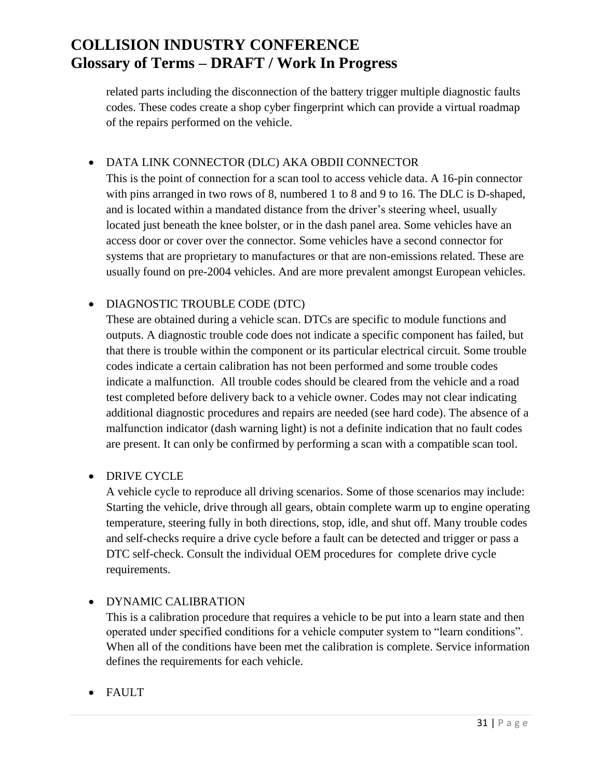related parts including the disconnection of the battery trigger multiple diagnostic faults codes. These codes create a shop cyber fingerprint which can provide a virtual roadmap of the repairs performed on the vehicle.

### DATA LINK CONNECTOR (DLC) AKA OBDII CONNECTOR

This is the point of connection for a scan tool to access vehicle data. A 16-pin connector with pins arranged in two rows of 8, numbered 1 to 8 and 9 to 16. The DLC is D-shaped, and is located within a mandated distance from the driver's steering wheel, usually located just beneath the knee bolster, or in the dash panel area. Some vehicles have an access door or cover over the connector. Some vehicles have a second connector for systems that are proprietary to manufactures or that are non-emissions related. These are usually found on pre-2004 vehicles. And are more prevalent amongst European vehicles.

### DIAGNOSTIC TROUBLE CODE (DTC)

These are obtained during a vehicle scan. DTCs are specific to module functions and outputs. A diagnostic trouble code does not indicate a specific component has failed, but that there is trouble within the component or its particular electrical circuit. Some trouble codes indicate a certain calibration has not been performed and some trouble codes indicate a malfunction. All trouble codes should be cleared from the vehicle and a road test completed before delivery back to a vehicle owner. Codes may not clear indicating additional diagnostic procedures and repairs are needed (see hard code). The absence of a malfunction indicator (dash warning light) is not a definite indication that no fault codes are present. It can only be confirmed by performing a scan with a compatible scan tool.

### • DRIVE CYCLE

A vehicle cycle to reproduce all driving scenarios. Some of those scenarios may include: Starting the vehicle, drive through all gears, obtain complete warm up to engine operating temperature, steering fully in both directions, stop, idle, and shut off. Many trouble codes and self-checks require a drive cycle before a fault can be detected and trigger or pass a DTC self-check. Consult the individual OEM procedures for complete drive cycle requirements.

### DYNAMIC CALIBRATION

This is a calibration procedure that requires a vehicle to be put into a learn state and then operated under specified conditions for a vehicle computer system to "learn conditions". When all of the conditions have been met the calibration is complete. Service information defines the requirements for each vehicle.

FAULT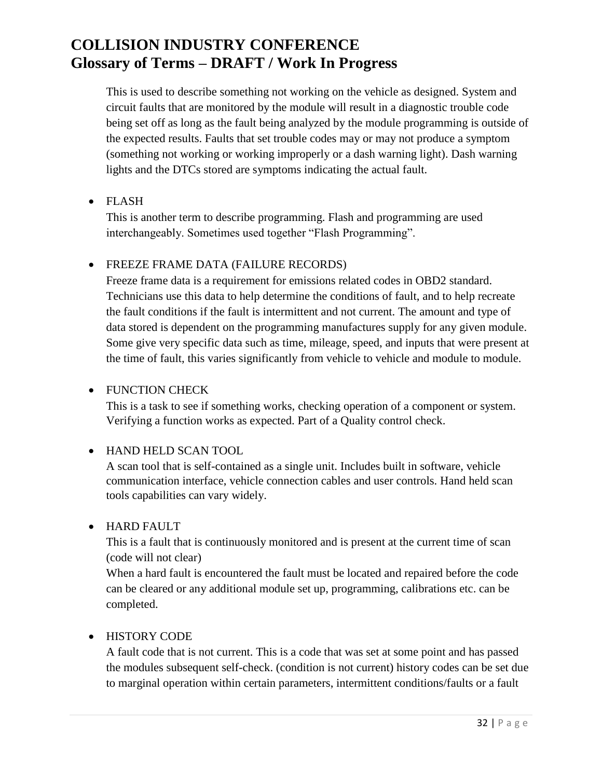This is used to describe something not working on the vehicle as designed. System and circuit faults that are monitored by the module will result in a diagnostic trouble code being set off as long as the fault being analyzed by the module programming is outside of the expected results. Faults that set trouble codes may or may not produce a symptom (something not working or working improperly or a dash warning light). Dash warning lights and the DTCs stored are symptoms indicating the actual fault.

FLASH

This is another term to describe programming. Flash and programming are used interchangeably. Sometimes used together "Flash Programming".

### FREEZE FRAME DATA (FAILURE RECORDS)

Freeze frame data is a requirement for emissions related codes in OBD2 standard. Technicians use this data to help determine the conditions of fault, and to help recreate the fault conditions if the fault is intermittent and not current. The amount and type of data stored is dependent on the programming manufactures supply for any given module. Some give very specific data such as time, mileage, speed, and inputs that were present at the time of fault, this varies significantly from vehicle to vehicle and module to module.

### • FUNCTION CHECK

This is a task to see if something works, checking operation of a component or system. Verifying a function works as expected. Part of a Quality control check.

### HAND HELD SCAN TOOL

A scan tool that is self-contained as a single unit. Includes built in software, vehicle communication interface, vehicle connection cables and user controls. Hand held scan tools capabilities can vary widely.

### HARD FAULT

This is a fault that is continuously monitored and is present at the current time of scan (code will not clear)

When a hard fault is encountered the fault must be located and repaired before the code can be cleared or any additional module set up, programming, calibrations etc. can be completed.

### HISTORY CODE

A fault code that is not current. This is a code that was set at some point and has passed the modules subsequent self-check. (condition is not current) history codes can be set due to marginal operation within certain parameters, intermittent conditions/faults or a fault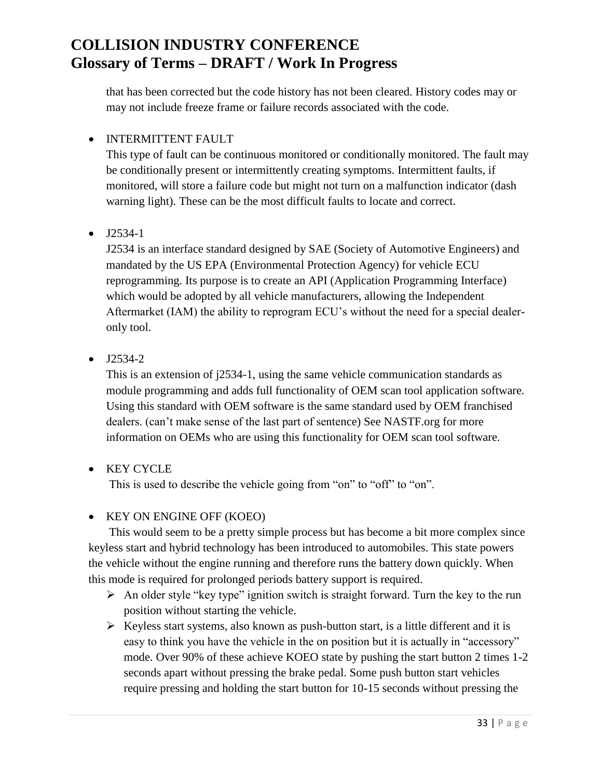that has been corrected but the code history has not been cleared. History codes may or may not include freeze frame or failure records associated with the code.

### • INTERMITTENT FAULT

This type of fault can be continuous monitored or conditionally monitored. The fault may be conditionally present or intermittently creating symptoms. Intermittent faults, if monitored, will store a failure code but might not turn on a malfunction indicator (dash warning light). These can be the most difficult faults to locate and correct.

### $\bullet$  J2534-1

J2534 is an interface standard designed by SAE (Society of Automotive Engineers) and mandated by the US EPA (Environmental Protection Agency) for vehicle ECU reprogramming. Its purpose is to create an API (Application Programming Interface) which would be adopted by all vehicle manufacturers, allowing the Independent Aftermarket (IAM) the ability to reprogram ECU's without the need for a special dealeronly tool.

### $-$  J2534-2

This is an extension of j2534-1, using the same vehicle communication standards as module programming and adds full functionality of OEM scan tool application software. Using this standard with OEM software is the same standard used by OEM franchised dealers. (can't make sense of the last part of sentence) See NASTF.org for more information on OEMs who are using this functionality for OEM scan tool software.

## KEY CYCLE

This is used to describe the vehicle going from "on" to "off" to "on".

### • KEY ON ENGINE OFF (KOEO)

 This would seem to be a pretty simple process but has become a bit more complex since keyless start and hybrid technology has been introduced to automobiles. This state powers the vehicle without the engine running and therefore runs the battery down quickly. When this mode is required for prolonged periods battery support is required.

- $\triangleright$  An older style "key type" ignition switch is straight forward. Turn the key to the run position without starting the vehicle.
- $\triangleright$  Keyless start systems, also known as push-button start, is a little different and it is easy to think you have the vehicle in the on position but it is actually in "accessory" mode. Over 90% of these achieve KOEO state by pushing the start button 2 times 1-2 seconds apart without pressing the brake pedal. Some push button start vehicles require pressing and holding the start button for 10-15 seconds without pressing the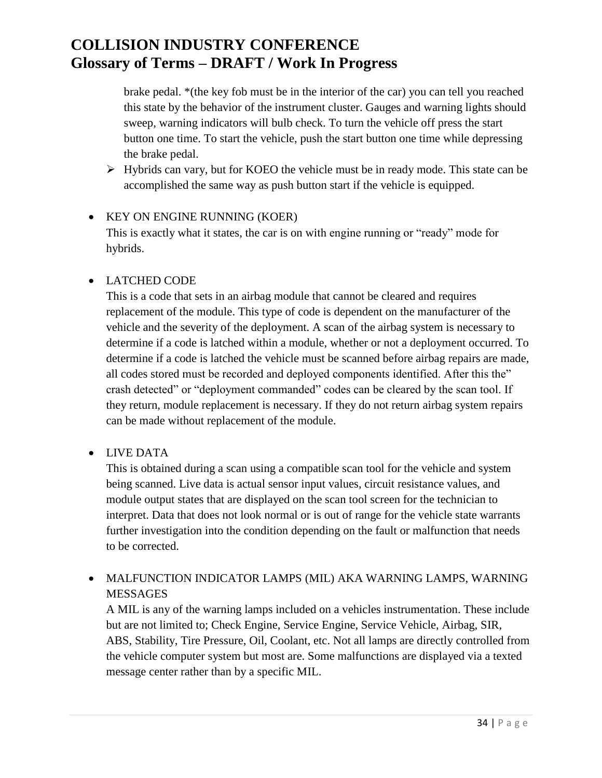brake pedal. \*(the key fob must be in the interior of the car) you can tell you reached this state by the behavior of the instrument cluster. Gauges and warning lights should sweep, warning indicators will bulb check. To turn the vehicle off press the start button one time. To start the vehicle, push the start button one time while depressing the brake pedal.

 Hybrids can vary, but for KOEO the vehicle must be in ready mode. This state can be accomplished the same way as push button start if the vehicle is equipped.

## • KEY ON ENGINE RUNNING (KOER) This is exactly what it states, the car is on with engine running or "ready" mode for hybrids.

### LATCHED CODE

This is a code that sets in an airbag module that cannot be cleared and requires replacement of the module. This type of code is dependent on the manufacturer of the vehicle and the severity of the deployment. A scan of the airbag system is necessary to determine if a code is latched within a module, whether or not a deployment occurred. To determine if a code is latched the vehicle must be scanned before airbag repairs are made, all codes stored must be recorded and deployed components identified. After this the" crash detected" or "deployment commanded" codes can be cleared by the scan tool. If they return, module replacement is necessary. If they do not return airbag system repairs can be made without replacement of the module.

### LIVE DATA

This is obtained during a scan using a compatible scan tool for the vehicle and system being scanned. Live data is actual sensor input values, circuit resistance values, and module output states that are displayed on the scan tool screen for the technician to interpret. Data that does not look normal or is out of range for the vehicle state warrants further investigation into the condition depending on the fault or malfunction that needs to be corrected.

### MALFUNCTION INDICATOR LAMPS (MIL) AKA WARNING LAMPS, WARNING MESSAGES

A MIL is any of the warning lamps included on a vehicles instrumentation. These include but are not limited to; Check Engine, Service Engine, Service Vehicle, Airbag, SIR, ABS, Stability, Tire Pressure, Oil, Coolant, etc. Not all lamps are directly controlled from the vehicle computer system but most are. Some malfunctions are displayed via a texted message center rather than by a specific MIL.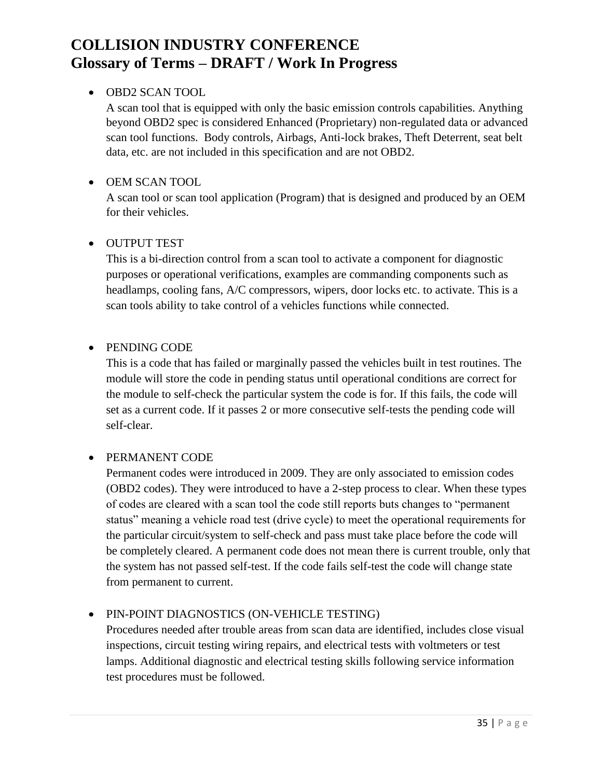### OBD2 SCAN TOOL

A scan tool that is equipped with only the basic emission controls capabilities. Anything beyond OBD2 spec is considered Enhanced (Proprietary) non-regulated data or advanced scan tool functions. Body controls, Airbags, Anti-lock brakes, Theft Deterrent, seat belt data, etc. are not included in this specification and are not OBD2.

### OEM SCAN TOOL

A scan tool or scan tool application (Program) that is designed and produced by an OEM for their vehicles.

### OUTPUT TEST

This is a bi-direction control from a scan tool to activate a component for diagnostic purposes or operational verifications, examples are commanding components such as headlamps, cooling fans, A/C compressors, wipers, door locks etc. to activate. This is a scan tools ability to take control of a vehicles functions while connected.

### • PENDING CODE

This is a code that has failed or marginally passed the vehicles built in test routines. The module will store the code in pending status until operational conditions are correct for the module to self-check the particular system the code is for. If this fails, the code will set as a current code. If it passes 2 or more consecutive self-tests the pending code will self-clear.

### PERMANENT CODE

Permanent codes were introduced in 2009. They are only associated to emission codes (OBD2 codes). They were introduced to have a 2-step process to clear. When these types of codes are cleared with a scan tool the code still reports buts changes to "permanent status" meaning a vehicle road test (drive cycle) to meet the operational requirements for the particular circuit/system to self-check and pass must take place before the code will be completely cleared. A permanent code does not mean there is current trouble, only that the system has not passed self-test. If the code fails self-test the code will change state from permanent to current.

## PIN-POINT DIAGNOSTICS (ON-VEHICLE TESTING)

Procedures needed after trouble areas from scan data are identified, includes close visual inspections, circuit testing wiring repairs, and electrical tests with voltmeters or test lamps. Additional diagnostic and electrical testing skills following service information test procedures must be followed.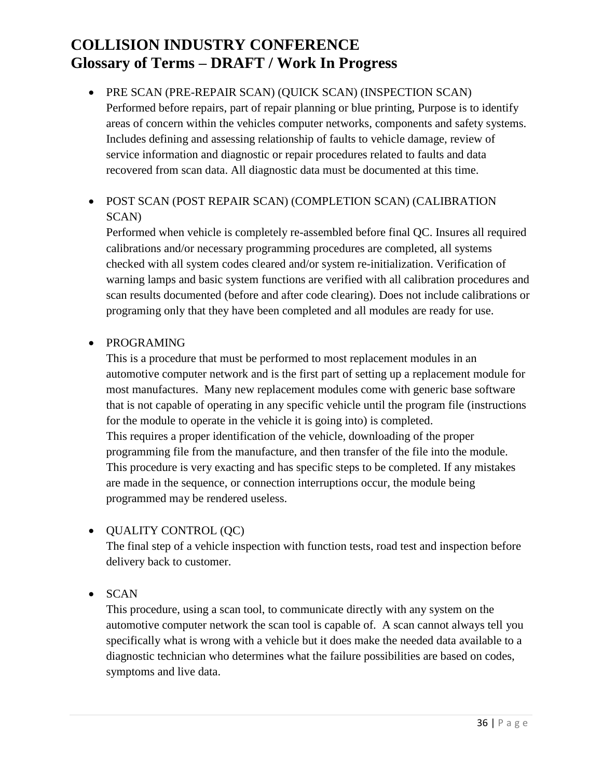### PRE SCAN (PRE-REPAIR SCAN) (QUICK SCAN) (INSPECTION SCAN)

Performed before repairs, part of repair planning or blue printing, Purpose is to identify areas of concern within the vehicles computer networks, components and safety systems. Includes defining and assessing relationship of faults to vehicle damage, review of service information and diagnostic or repair procedures related to faults and data recovered from scan data. All diagnostic data must be documented at this time.

### POST SCAN (POST REPAIR SCAN) (COMPLETION SCAN) (CALIBRATION SCAN)

Performed when vehicle is completely re-assembled before final QC. Insures all required calibrations and/or necessary programming procedures are completed, all systems checked with all system codes cleared and/or system re-initialization. Verification of warning lamps and basic system functions are verified with all calibration procedures and scan results documented (before and after code clearing). Does not include calibrations or programing only that they have been completed and all modules are ready for use.

### • PROGRAMING

This is a procedure that must be performed to most replacement modules in an automotive computer network and is the first part of setting up a replacement module for most manufactures. Many new replacement modules come with generic base software that is not capable of operating in any specific vehicle until the program file (instructions for the module to operate in the vehicle it is going into) is completed. This requires a proper identification of the vehicle, downloading of the proper programming file from the manufacture, and then transfer of the file into the module. This procedure is very exacting and has specific steps to be completed. If any mistakes are made in the sequence, or connection interruptions occur, the module being programmed may be rendered useless.

### QUALITY CONTROL (QC)

The final step of a vehicle inspection with function tests, road test and inspection before delivery back to customer.

• SCAN

This procedure, using a scan tool, to communicate directly with any system on the automotive computer network the scan tool is capable of. A scan cannot always tell you specifically what is wrong with a vehicle but it does make the needed data available to a diagnostic technician who determines what the failure possibilities are based on codes, symptoms and live data.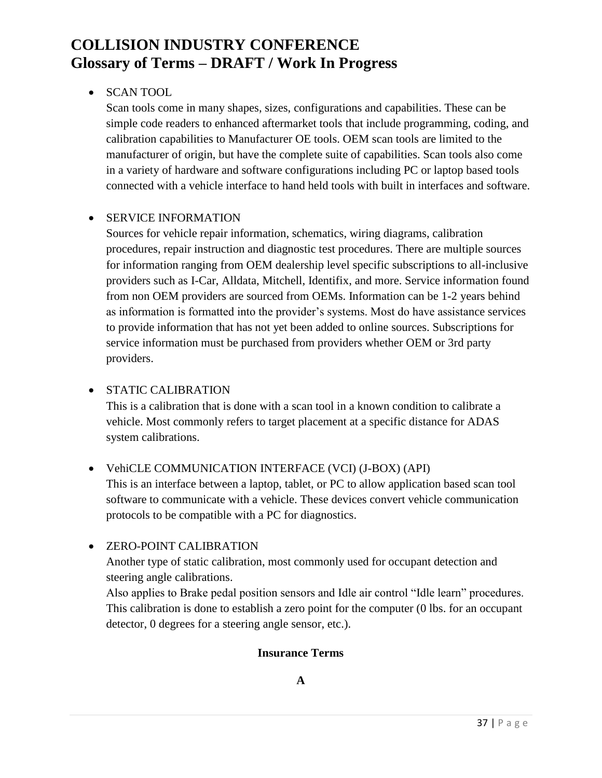### SCAN TOOL

Scan tools come in many shapes, sizes, configurations and capabilities. These can be simple code readers to enhanced aftermarket tools that include programming, coding, and calibration capabilities to Manufacturer OE tools. OEM scan tools are limited to the manufacturer of origin, but have the complete suite of capabilities. Scan tools also come in a variety of hardware and software configurations including PC or laptop based tools connected with a vehicle interface to hand held tools with built in interfaces and software.

### • SERVICE INFORMATION

Sources for vehicle repair information, schematics, wiring diagrams, calibration procedures, repair instruction and diagnostic test procedures. There are multiple sources for information ranging from OEM dealership level specific subscriptions to all-inclusive providers such as I-Car, Alldata, Mitchell, Identifix, and more. Service information found from non OEM providers are sourced from OEMs. Information can be 1-2 years behind as information is formatted into the provider's systems. Most do have assistance services to provide information that has not yet been added to online sources. Subscriptions for service information must be purchased from providers whether OEM or 3rd party providers.

### • STATIC CALIBRATION

This is a calibration that is done with a scan tool in a known condition to calibrate a vehicle. Most commonly refers to target placement at a specific distance for ADAS system calibrations.

### VehiCLE COMMUNICATION INTERFACE (VCI) (J-BOX) (API)

This is an interface between a laptop, tablet, or PC to allow application based scan tool software to communicate with a vehicle. These devices convert vehicle communication protocols to be compatible with a PC for diagnostics.

### ZERO-POINT CALIBRATION

Another type of static calibration, most commonly used for occupant detection and steering angle calibrations.

Also applies to Brake pedal position sensors and Idle air control "Idle learn" procedures. This calibration is done to establish a zero point for the computer (0 lbs. for an occupant detector, 0 degrees for a steering angle sensor, etc.).

### **Insurance Terms**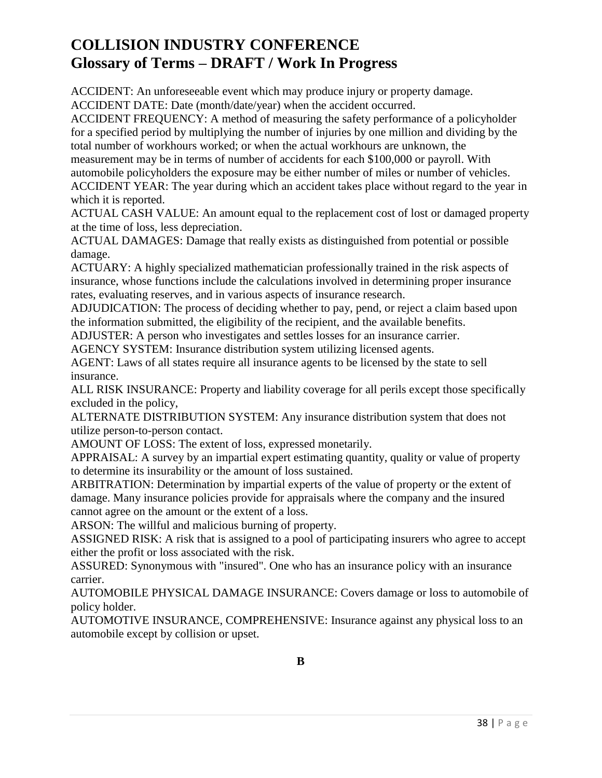ACCIDENT: An unforeseeable event which may produce injury or property damage.

ACCIDENT DATE: Date (month/date/year) when the accident occurred.

ACCIDENT FREQUENCY: A method of measuring the safety performance of a policyholder for a specified period by multiplying the number of injuries by one million and dividing by the total number of workhours worked; or when the actual workhours are unknown, the

measurement may be in terms of number of accidents for each \$100,000 or payroll. With automobile policyholders the exposure may be either number of miles or number of vehicles.

ACCIDENT YEAR: The year during which an accident takes place without regard to the year in which it is reported.

ACTUAL CASH VALUE: An amount equal to the replacement cost of lost or damaged property at the time of loss, less depreciation.

ACTUAL DAMAGES: Damage that really exists as distinguished from potential or possible damage.

ACTUARY: A highly specialized mathematician professionally trained in the risk aspects of insurance, whose functions include the calculations involved in determining proper insurance rates, evaluating reserves, and in various aspects of insurance research.

ADJUDICATION: The process of deciding whether to pay, pend, or reject a claim based upon the information submitted, the eligibility of the recipient, and the available benefits.

ADJUSTER: A person who investigates and settles losses for an insurance carrier.

AGENCY SYSTEM: Insurance distribution system utilizing licensed agents.

AGENT: Laws of all states require all insurance agents to be licensed by the state to sell insurance.

ALL RISK INSURANCE: Property and liability coverage for all perils except those specifically excluded in the policy,

ALTERNATE DISTRIBUTION SYSTEM: Any insurance distribution system that does not utilize person-to-person contact.

AMOUNT OF LOSS: The extent of loss, expressed monetarily.

APPRAISAL: A survey by an impartial expert estimating quantity, quality or value of property to determine its insurability or the amount of loss sustained.

ARBITRATION: Determination by impartial experts of the value of property or the extent of damage. Many insurance policies provide for appraisals where the company and the insured cannot agree on the amount or the extent of a loss.

ARSON: The willful and malicious burning of property.

ASSIGNED RISK: A risk that is assigned to a pool of participating insurers who agree to accept either the profit or loss associated with the risk.

ASSURED: Synonymous with "insured". One who has an insurance policy with an insurance carrier.

AUTOMOBILE PHYSICAL DAMAGE INSURANCE: Covers damage or loss to automobile of policy holder.

AUTOMOTIVE INSURANCE, COMPREHENSIVE: Insurance against any physical loss to an automobile except by collision or upset.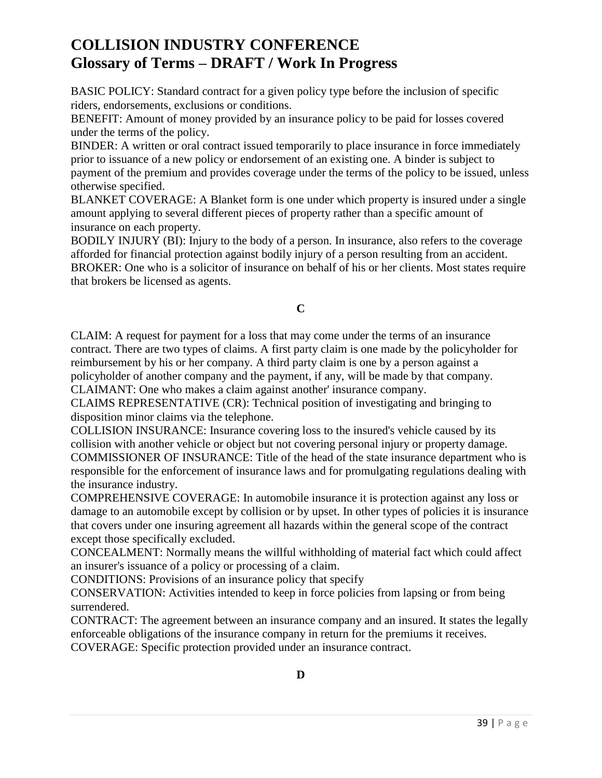BASIC POLICY: Standard contract for a given policy type before the inclusion of specific riders, endorsements, exclusions or conditions.

BENEFIT: Amount of money provided by an insurance policy to be paid for losses covered under the terms of the policy.

BINDER: A written or oral contract issued temporarily to place insurance in force immediately prior to issuance of a new policy or endorsement of an existing one. A binder is subject to payment of the premium and provides coverage under the terms of the policy to be issued, unless otherwise specified.

BLANKET COVERAGE: A Blanket form is one under which property is insured under a single amount applying to several different pieces of property rather than a specific amount of insurance on each property.

BODILY INJURY (BI): Injury to the body of a person. In insurance, also refers to the coverage afforded for financial protection against bodily injury of a person resulting from an accident. BROKER: One who is a solicitor of insurance on behalf of his or her clients. Most states require that brokers be licensed as agents.

**C**

CLAIM: A request for payment for a loss that may come under the terms of an insurance contract. There are two types of claims. A first party claim is one made by the policyholder for reimbursement by his or her company. A third party claim is one by a person against a policyholder of another company and the payment, if any, will be made by that company. CLAIMANT: One who makes a claim against another' insurance company.

CLAIMS REPRESENTATIVE (CR): Technical position of investigating and bringing to disposition minor claims via the telephone.

COLLISION INSURANCE: Insurance covering loss to the insured's vehicle caused by its collision with another vehicle or object but not covering personal injury or property damage. COMMISSIONER OF INSURANCE: Title of the head of the state insurance department who is responsible for the enforcement of insurance laws and for promulgating regulations dealing with the insurance industry.

COMPREHENSIVE COVERAGE: In automobile insurance it is protection against any loss or damage to an automobile except by collision or by upset. In other types of policies it is insurance that covers under one insuring agreement all hazards within the general scope of the contract except those specifically excluded.

CONCEALMENT: Normally means the willful withholding of material fact which could affect an insurer's issuance of a policy or processing of a claim.

CONDITIONS: Provisions of an insurance policy that specify

CONSERVATION: Activities intended to keep in force policies from lapsing or from being surrendered.

CONTRACT: The agreement between an insurance company and an insured. It states the legally enforceable obligations of the insurance company in return for the premiums it receives. COVERAGE: Specific protection provided under an insurance contract.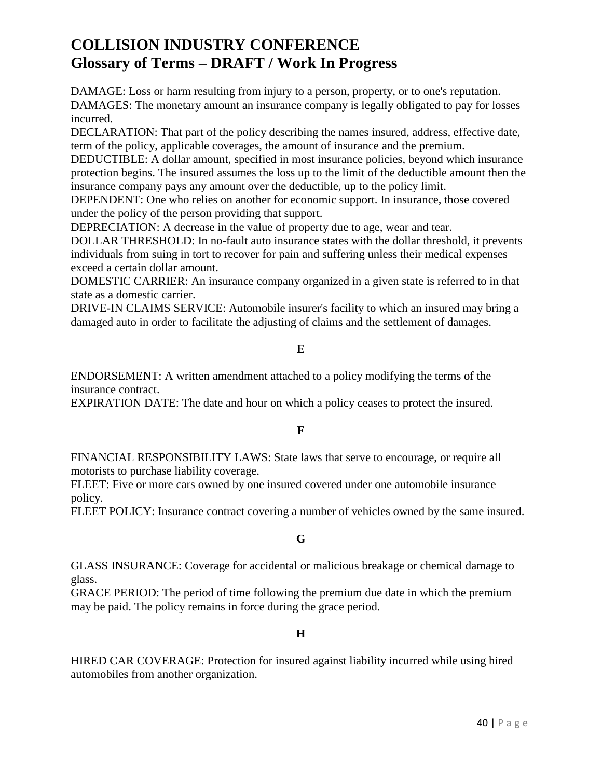DAMAGE: Loss or harm resulting from injury to a person, property, or to one's reputation. DAMAGES: The monetary amount an insurance company is legally obligated to pay for losses incurred.

DECLARATION: That part of the policy describing the names insured, address, effective date, term of the policy, applicable coverages, the amount of insurance and the premium.

DEDUCTIBLE: A dollar amount, specified in most insurance policies, beyond which insurance protection begins. The insured assumes the loss up to the limit of the deductible amount then the insurance company pays any amount over the deductible, up to the policy limit.

DEPENDENT: One who relies on another for economic support. In insurance, those covered under the policy of the person providing that support.

DEPRECIATION: A decrease in the value of property due to age, wear and tear.

DOLLAR THRESHOLD: In no-fault auto insurance states with the dollar threshold, it prevents individuals from suing in tort to recover for pain and suffering unless their medical expenses exceed a certain dollar amount.

DOMESTIC CARRIER: An insurance company organized in a given state is referred to in that state as a domestic carrier.

DRIVE-IN CLAIMS SERVICE: Automobile insurer's facility to which an insured may bring a damaged auto in order to facilitate the adjusting of claims and the settlement of damages.

#### **E**

ENDORSEMENT: A written amendment attached to a policy modifying the terms of the insurance contract.

EXPIRATION DATE: The date and hour on which a policy ceases to protect the insured.

### **F**

FINANCIAL RESPONSIBILITY LAWS: State laws that serve to encourage, or require all motorists to purchase liability coverage.

FLEET: Five or more cars owned by one insured covered under one automobile insurance policy.

FLEET POLICY: Insurance contract covering a number of vehicles owned by the same insured.

### **G**

GLASS INSURANCE: Coverage for accidental or malicious breakage or chemical damage to glass.

GRACE PERIOD: The period of time following the premium due date in which the premium may be paid. The policy remains in force during the grace period.

### **H**

HIRED CAR COVERAGE: Protection for insured against liability incurred while using hired automobiles from another organization.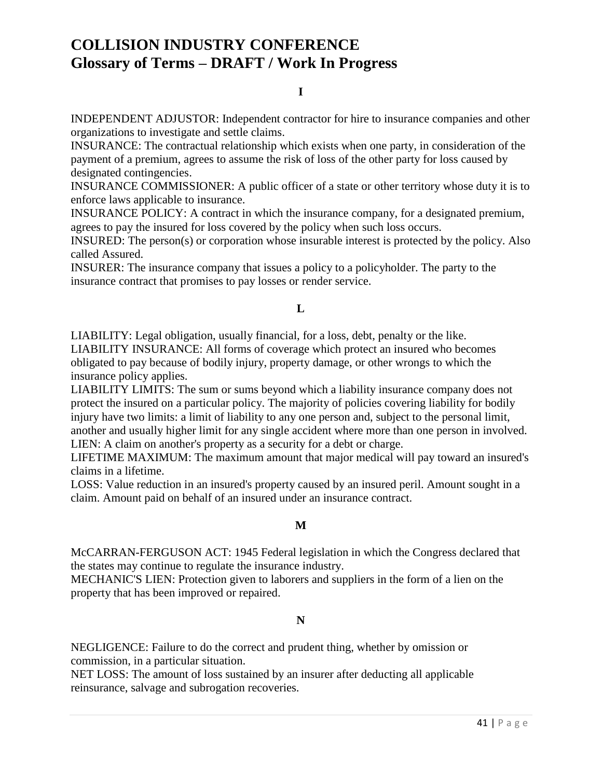#### **I**

INDEPENDENT ADJUSTOR: Independent contractor for hire to insurance companies and other organizations to investigate and settle claims.

INSURANCE: The contractual relationship which exists when one party, in consideration of the payment of a premium, agrees to assume the risk of loss of the other party for loss caused by designated contingencies.

INSURANCE COMMISSIONER: A public officer of a state or other territory whose duty it is to enforce laws applicable to insurance.

INSURANCE POLICY: A contract in which the insurance company, for a designated premium, agrees to pay the insured for loss covered by the policy when such loss occurs.

INSURED: The person(s) or corporation whose insurable interest is protected by the policy. Also called Assured.

INSURER: The insurance company that issues a policy to a policyholder. The party to the insurance contract that promises to pay losses or render service.

### **L**

LIABILITY: Legal obligation, usually financial, for a loss, debt, penalty or the like. LIABILITY INSURANCE: All forms of coverage which protect an insured who becomes obligated to pay because of bodily injury, property damage, or other wrongs to which the insurance policy applies.

LIABILITY LIMITS: The sum or sums beyond which a liability insurance company does not protect the insured on a particular policy. The majority of policies covering liability for bodily injury have two limits: a limit of liability to any one person and, subject to the personal limit, another and usually higher limit for any single accident where more than one person in involved. LIEN: A claim on another's property as a security for a debt or charge.

LIFETIME MAXIMUM: The maximum amount that major medical will pay toward an insured's claims in a lifetime.

LOSS: Value reduction in an insured's property caused by an insured peril. Amount sought in a claim. Amount paid on behalf of an insured under an insurance contract.

### **M**

McCARRAN-FERGUSON ACT: 1945 Federal legislation in which the Congress declared that the states may continue to regulate the insurance industry.

MECHANIC'S LIEN: Protection given to laborers and suppliers in the form of a lien on the property that has been improved or repaired.

#### **N**

NEGLIGENCE: Failure to do the correct and prudent thing, whether by omission or commission, in a particular situation.

NET LOSS: The amount of loss sustained by an insurer after deducting all applicable reinsurance, salvage and subrogation recoveries.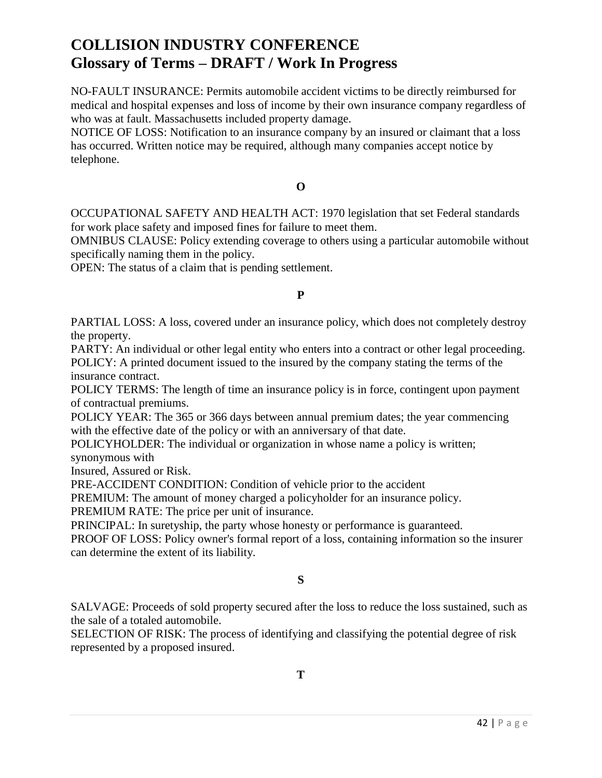NO-FAULT INSURANCE: Permits automobile accident victims to be directly reimbursed for medical and hospital expenses and loss of income by their own insurance company regardless of who was at fault. Massachusetts included property damage.

NOTICE OF LOSS: Notification to an insurance company by an insured or claimant that a loss has occurred. Written notice may be required, although many companies accept notice by telephone.

**O**

OCCUPATIONAL SAFETY AND HEALTH ACT: 1970 legislation that set Federal standards for work place safety and imposed fines for failure to meet them.

OMNIBUS CLAUSE: Policy extending coverage to others using a particular automobile without specifically naming them in the policy.

OPEN: The status of a claim that is pending settlement.

#### **P**

PARTIAL LOSS: A loss, covered under an insurance policy, which does not completely destroy the property.

PARTY: An individual or other legal entity who enters into a contract or other legal proceeding. POLICY: A printed document issued to the insured by the company stating the terms of the insurance contract.

POLICY TERMS: The length of time an insurance policy is in force, contingent upon payment of contractual premiums.

POLICY YEAR: The 365 or 366 days between annual premium dates; the year commencing with the effective date of the policy or with an anniversary of that date.

POLICYHOLDER: The individual or organization in whose name a policy is written; synonymous with

Insured, Assured or Risk.

PRE-ACCIDENT CONDITION: Condition of vehicle prior to the accident

PREMIUM: The amount of money charged a policyholder for an insurance policy.

PREMIUM RATE: The price per unit of insurance.

PRINCIPAL: In suretyship, the party whose honesty or performance is guaranteed.

PROOF OF LOSS: Policy owner's formal report of a loss, containing information so the insurer can determine the extent of its liability.

### **S**

SALVAGE: Proceeds of sold property secured after the loss to reduce the loss sustained, such as the sale of a totaled automobile.

SELECTION OF RISK: The process of identifying and classifying the potential degree of risk represented by a proposed insured.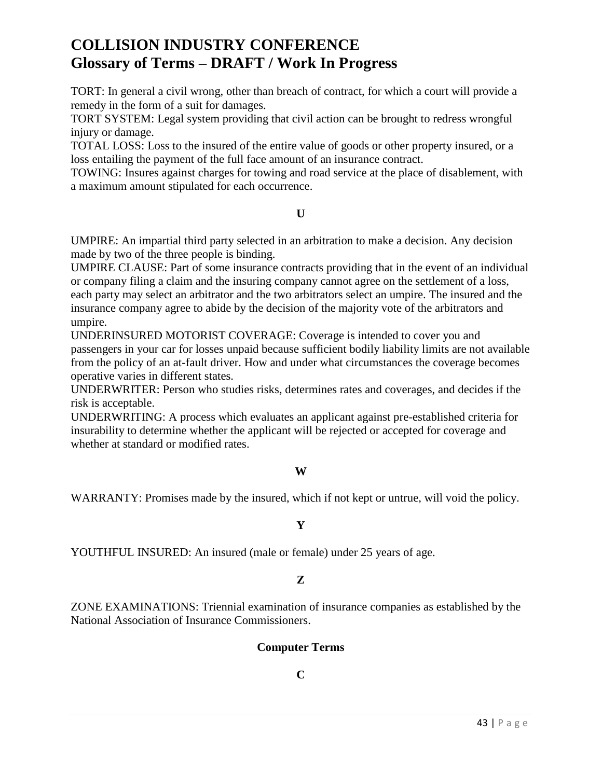TORT: In general a civil wrong, other than breach of contract, for which a court will provide a remedy in the form of a suit for damages.

TORT SYSTEM: Legal system providing that civil action can be brought to redress wrongful injury or damage.

TOTAL LOSS: Loss to the insured of the entire value of goods or other property insured, or a loss entailing the payment of the full face amount of an insurance contract.

TOWING: Insures against charges for towing and road service at the place of disablement, with a maximum amount stipulated for each occurrence.

**U**

UMPIRE: An impartial third party selected in an arbitration to make a decision. Any decision made by two of the three people is binding.

UMPIRE CLAUSE: Part of some insurance contracts providing that in the event of an individual or company filing a claim and the insuring company cannot agree on the settlement of a loss, each party may select an arbitrator and the two arbitrators select an umpire. The insured and the insurance company agree to abide by the decision of the majority vote of the arbitrators and umpire.

UNDERINSURED MOTORIST COVERAGE: Coverage is intended to cover you and passengers in your car for losses unpaid because sufficient bodily liability limits are not available from the policy of an at-fault driver. How and under what circumstances the coverage becomes operative varies in different states.

UNDERWRITER: Person who studies risks, determines rates and coverages, and decides if the risk is acceptable.

UNDERWRITING: A process which evaluates an applicant against pre-established criteria for insurability to determine whether the applicant will be rejected or accepted for coverage and whether at standard or modified rates.

### **W**

WARRANTY: Promises made by the insured, which if not kept or untrue, will void the policy.

#### **Y**

YOUTHFUL INSURED: An insured (male or female) under 25 years of age.

#### **Z**

ZONE EXAMINATIONS: Triennial examination of insurance companies as established by the National Association of Insurance Commissioners.

### **Computer Terms**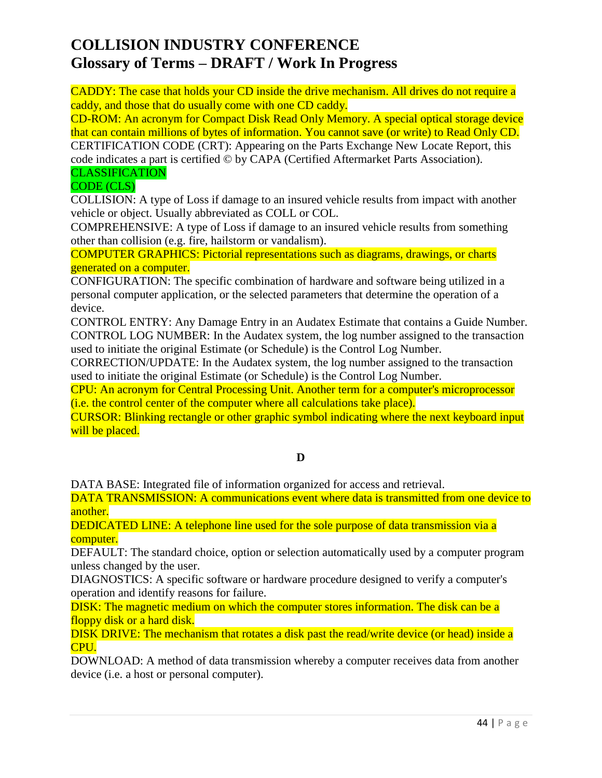CADDY: The case that holds your CD inside the drive mechanism. All drives do not require a caddy, and those that do usually come with one CD caddy.

CD-ROM: An acronym for Compact Disk Read Only Memory. A special optical storage device that can contain millions of bytes of information. You cannot save (or write) to Read Only CD.

CERTIFICATION CODE (CRT): Appearing on the Parts Exchange New Locate Report, this code indicates a part is certified © by CAPA (Certified Aftermarket Parts Association). **CLASSIFICATION** 

## CODE (CLS)

COLLISION: A type of Loss if damage to an insured vehicle results from impact with another vehicle or object. Usually abbreviated as COLL or COL.

COMPREHENSIVE: A type of Loss if damage to an insured vehicle results from something other than collision (e.g. fire, hailstorm or vandalism).

COMPUTER GRAPHICS: Pictorial representations such as diagrams, drawings, or charts generated on a computer.

CONFIGURATION: The specific combination of hardware and software being utilized in a personal computer application, or the selected parameters that determine the operation of a device.

CONTROL ENTRY: Any Damage Entry in an Audatex Estimate that contains a Guide Number. CONTROL LOG NUMBER: In the Audatex system, the log number assigned to the transaction used to initiate the original Estimate (or Schedule) is the Control Log Number.

CORRECTION/UPDATE: In the Audatex system, the log number assigned to the transaction used to initiate the original Estimate (or Schedule) is the Control Log Number.

CPU: An acronym for Central Processing Unit. Another term for a computer's microprocessor (i.e. the control center of the computer where all calculations take place).

CURSOR: Blinking rectangle or other graphic symbol indicating where the next keyboard input will be placed.

## **D**

DATA BASE: Integrated file of information organized for access and retrieval.

DATA TRANSMISSION: A communications event where data is transmitted from one device to another.

DEDICATED LINE: A telephone line used for the sole purpose of data transmission via a computer.

DEFAULT: The standard choice, option or selection automatically used by a computer program unless changed by the user.

DIAGNOSTICS: A specific software or hardware procedure designed to verify a computer's operation and identify reasons for failure.

DISK: The magnetic medium on which the computer stores information. The disk can be a floppy disk or a hard disk.

DISK DRIVE: The mechanism that rotates a disk past the read/write device (or head) inside a CPU.

DOWNLOAD: A method of data transmission whereby a computer receives data from another device (i.e. a host or personal computer).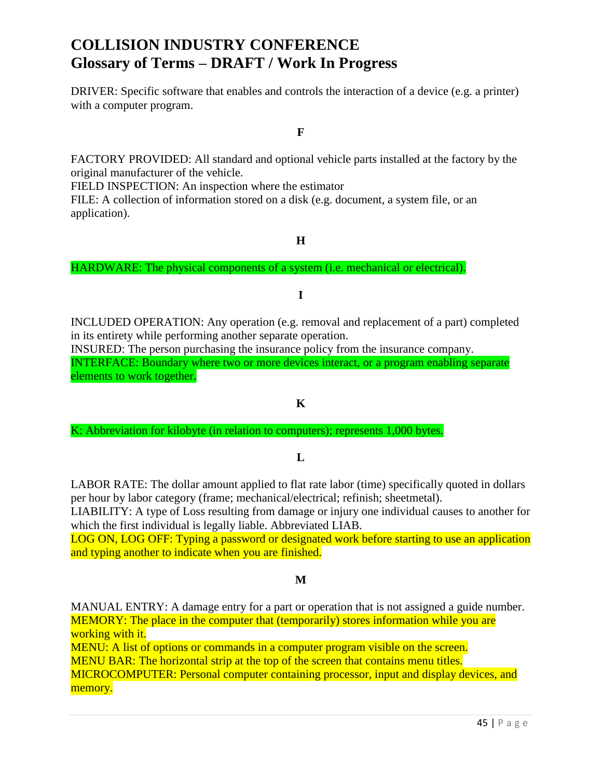DRIVER: Specific software that enables and controls the interaction of a device (e.g. a printer) with a computer program.

**F**

FACTORY PROVIDED: All standard and optional vehicle parts installed at the factory by the original manufacturer of the vehicle.

FIELD INSPECTION: An inspection where the estimator

FILE: A collection of information stored on a disk (e.g. document, a system file, or an application).

**H**

HARDWARE: The physical components of a system (i.e. mechanical or electrical).

### **I**

INCLUDED OPERATION: Any operation (e.g. removal and replacement of a part) completed in its entirety while performing another separate operation.

INSURED: The person purchasing the insurance policy from the insurance company. INTERFACE: Boundary where two or more devices interact, or a program enabling separate elements to work together.

#### **K**

K: Abbreviation for kilobyte (in relation to computers); represents 1,000 bytes.

### **L**

LABOR RATE: The dollar amount applied to flat rate labor (time) specifically quoted in dollars per hour by labor category (frame; mechanical/electrical; refinish; sheetmetal).

LIABILITY: A type of Loss resulting from damage or injury one individual causes to another for which the first individual is legally liable. Abbreviated LIAB.

LOG ON, LOG OFF: Typing a password or designated work before starting to use an application and typing another to indicate when you are finished.

### **M**

MANUAL ENTRY: A damage entry for a part or operation that is not assigned a guide number. MEMORY: The place in the computer that (temporarily) stores information while you are working with it.

MENU: A list of options or commands in a computer program visible on the screen. MENU BAR: The horizontal strip at the top of the screen that contains menu titles. MICROCOMPUTER: Personal computer containing processor, input and display devices, and memory.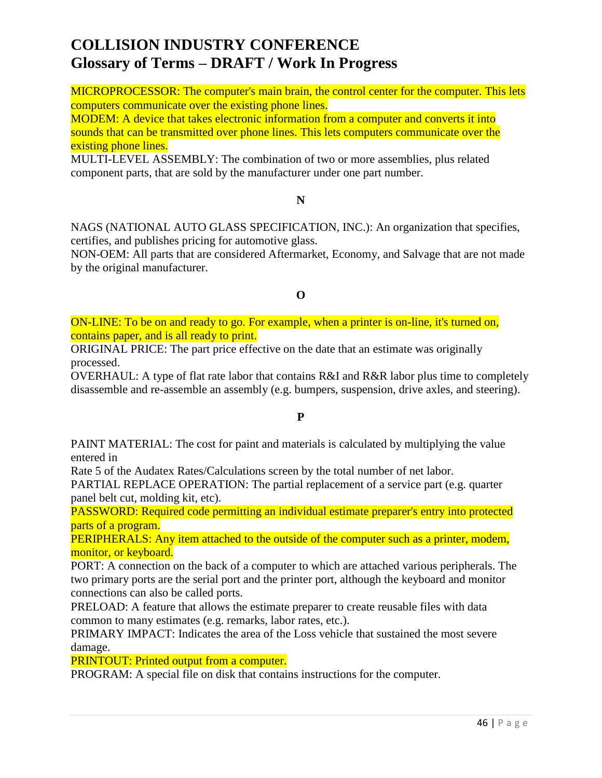MICROPROCESSOR: The computer's main brain, the control center for the computer. This lets computers communicate over the existing phone lines.

MODEM: A device that takes electronic information from a computer and converts it into sounds that can be transmitted over phone lines. This lets computers communicate over the existing phone lines.

MULTI-LEVEL ASSEMBLY: The combination of two or more assemblies, plus related component parts, that are sold by the manufacturer under one part number.

**N**

NAGS (NATIONAL AUTO GLASS SPECIFICATION, INC.): An organization that specifies, certifies, and publishes pricing for automotive glass.

NON-OEM: All parts that are considered Aftermarket, Economy, and Salvage that are not made by the original manufacturer.

**O**

ON-LINE: To be on and ready to go. For example, when a printer is on-line, it's turned on, contains paper, and is all ready to print.

ORIGINAL PRICE: The part price effective on the date that an estimate was originally processed.

OVERHAUL: A type of flat rate labor that contains R&I and R&R labor plus time to completely disassemble and re-assemble an assembly (e.g. bumpers, suspension, drive axles, and steering).

### **P**

PAINT MATERIAL: The cost for paint and materials is calculated by multiplying the value entered in

Rate 5 of the Audatex Rates/Calculations screen by the total number of net labor.

PARTIAL REPLACE OPERATION: The partial replacement of a service part (e.g. quarter panel belt cut, molding kit, etc).

PASSWORD: Required code permitting an individual estimate preparer's entry into protected parts of a program.

PERIPHERALS: Any item attached to the outside of the computer such as a printer, modem, monitor, or keyboard.

PORT: A connection on the back of a computer to which are attached various peripherals. The two primary ports are the serial port and the printer port, although the keyboard and monitor connections can also be called ports.

PRELOAD: A feature that allows the estimate preparer to create reusable files with data common to many estimates (e.g. remarks, labor rates, etc.).

PRIMARY IMPACT: Indicates the area of the Loss vehicle that sustained the most severe damage.

PRINTOUT: Printed output from a computer.

PROGRAM: A special file on disk that contains instructions for the computer.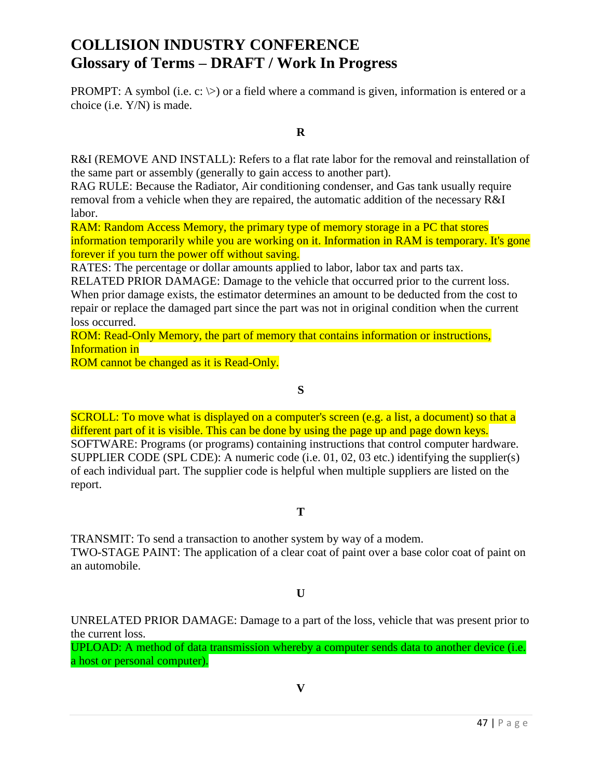**PROMPT:** A symbol (i.e. c:  $\gg$ ) or a field where a command is given, information is entered or a choice (i.e. Y/N) is made.

**R**

R&I (REMOVE AND INSTALL): Refers to a flat rate labor for the removal and reinstallation of the same part or assembly (generally to gain access to another part).

RAG RULE: Because the Radiator, Air conditioning condenser, and Gas tank usually require removal from a vehicle when they are repaired, the automatic addition of the necessary R&I labor.

RAM: Random Access Memory, the primary type of memory storage in a PC that stores information temporarily while you are working on it. Information in RAM is temporary. It's gone forever if you turn the power off without saving.

RATES: The percentage or dollar amounts applied to labor, labor tax and parts tax.

RELATED PRIOR DAMAGE: Damage to the vehicle that occurred prior to the current loss. When prior damage exists, the estimator determines an amount to be deducted from the cost to repair or replace the damaged part since the part was not in original condition when the current loss occurred.

ROM: Read-Only Memory, the part of memory that contains information or instructions, Information in

ROM cannot be changed as it is Read-Only.

**S**

SCROLL: To move what is displayed on a computer's screen (e.g. a list, a document) so that a different part of it is visible. This can be done by using the page up and page down keys. SOFTWARE: Programs (or programs) containing instructions that control computer hardware. SUPPLIER CODE (SPL CDE): A numeric code (i.e. 01, 02, 03 etc.) identifying the supplier(s) of each individual part. The supplier code is helpful when multiple suppliers are listed on the report.

### **T**

TRANSMIT: To send a transaction to another system by way of a modem. TWO-STAGE PAINT: The application of a clear coat of paint over a base color coat of paint on an automobile.

**U**

UNRELATED PRIOR DAMAGE: Damage to a part of the loss, vehicle that was present prior to the current loss.

UPLOAD: A method of data transmission whereby a computer sends data to another device (i.e. a host or personal computer).

**V**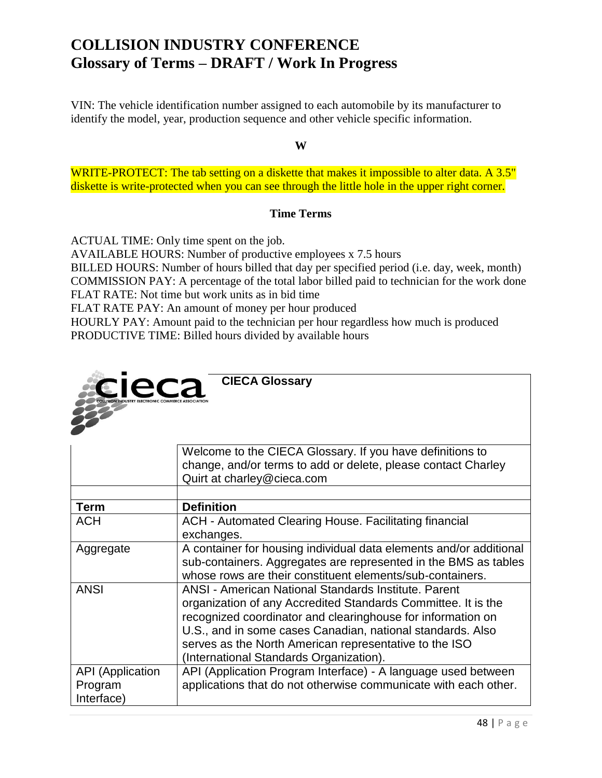VIN: The vehicle identification number assigned to each automobile by its manufacturer to identify the model, year, production sequence and other vehicle specific information.

**W**

WRITE-PROTECT: The tab setting on a diskette that makes it impossible to alter data. A 3.5" diskette is write-protected when you can see through the little hole in the upper right corner.

### **Time Terms**

ACTUAL TIME: Only time spent on the job.

AVAILABLE HOURS: Number of productive employees x 7.5 hours

BILLED HOURS: Number of hours billed that day per specified period (i.e. day, week, month) COMMISSION PAY: A percentage of the total labor billed paid to technician for the work done FLAT RATE: Not time but work units as in bid time

FLAT RATE PAY: An amount of money per hour produced

HOURLY PAY: Amount paid to the technician per hour regardless how much is produced PRODUCTIVE TIME: Billed hours divided by available hours

| <b>CIECA Glossary</b><br>e                       |                                                                                                                                                                                                                                                                                                                                                         |
|--------------------------------------------------|---------------------------------------------------------------------------------------------------------------------------------------------------------------------------------------------------------------------------------------------------------------------------------------------------------------------------------------------------------|
|                                                  | Welcome to the CIECA Glossary. If you have definitions to<br>change, and/or terms to add or delete, please contact Charley<br>Quirt at charley@cieca.com                                                                                                                                                                                                |
| <b>Term</b>                                      | <b>Definition</b>                                                                                                                                                                                                                                                                                                                                       |
| <b>ACH</b>                                       | <b>ACH</b> - Automated Clearing House. Facilitating financial<br>exchanges.                                                                                                                                                                                                                                                                             |
| Aggregate                                        | A container for housing individual data elements and/or additional<br>sub-containers. Aggregates are represented in the BMS as tables<br>whose rows are their constituent elements/sub-containers.                                                                                                                                                      |
| <b>ANSI</b>                                      | ANSI - American National Standards Institute. Parent<br>organization of any Accredited Standards Committee. It is the<br>recognized coordinator and clearinghouse for information on<br>U.S., and in some cases Canadian, national standards. Also<br>serves as the North American representative to the ISO<br>(International Standards Organization). |
| <b>API</b> (Application<br>Program<br>Interface) | API (Application Program Interface) - A language used between<br>applications that do not otherwise communicate with each other.                                                                                                                                                                                                                        |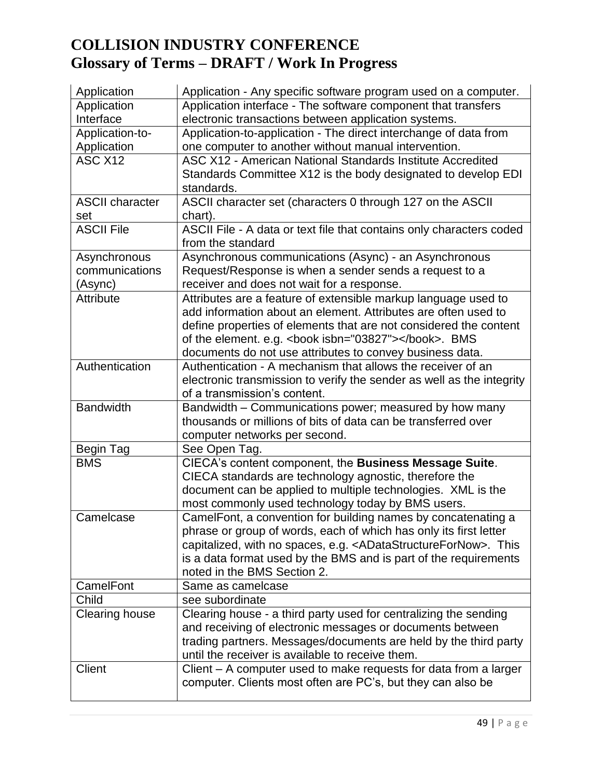| Application            | Application - Any specific software program used on a computer.                                                                    |
|------------------------|------------------------------------------------------------------------------------------------------------------------------------|
| Application            | Application interface - The software component that transfers                                                                      |
| Interface              | electronic transactions between application systems.                                                                               |
| Application-to-        | Application-to-application - The direct interchange of data from                                                                   |
| Application            | one computer to another without manual intervention.                                                                               |
| ASC <sub>X12</sub>     | ASC X12 - American National Standards Institute Accredited                                                                         |
|                        | Standards Committee X12 is the body designated to develop EDI                                                                      |
|                        | standards.                                                                                                                         |
| <b>ASCII character</b> | ASCII character set (characters 0 through 127 on the ASCII                                                                         |
| set                    | chart).                                                                                                                            |
| <b>ASCII File</b>      | ASCII File - A data or text file that contains only characters coded                                                               |
|                        | from the standard                                                                                                                  |
| Asynchronous           | Asynchronous communications (Async) - an Asynchronous                                                                              |
| communications         | Request/Response is when a sender sends a request to a                                                                             |
| (Async)                | receiver and does not wait for a response.                                                                                         |
| <b>Attribute</b>       | Attributes are a feature of extensible markup language used to                                                                     |
|                        | add information about an element. Attributes are often used to                                                                     |
|                        | define properties of elements that are not considered the content                                                                  |
|                        | of the element. e.g. <book isbn="03827"></book> . BMS                                                                              |
|                        | documents do not use attributes to convey business data.                                                                           |
| Authentication         | Authentication - A mechanism that allows the receiver of an                                                                        |
|                        | electronic transmission to verify the sender as well as the integrity                                                              |
|                        | of a transmission's content.                                                                                                       |
| <b>Bandwidth</b>       | Bandwidth - Communications power; measured by how many                                                                             |
|                        | thousands or millions of bits of data can be transferred over                                                                      |
|                        | computer networks per second.                                                                                                      |
| Begin Tag              | See Open Tag.                                                                                                                      |
| <b>BMS</b>             | CIECA's content component, the Business Message Suite.                                                                             |
|                        | CIECA standards are technology agnostic, therefore the                                                                             |
|                        | document can be applied to multiple technologies. XML is the                                                                       |
| Camelcase              | most commonly used technology today by BMS users.                                                                                  |
|                        | CamelFont, a convention for building names by concatenating a<br>phrase or group of words, each of which has only its first letter |
|                        | capitalized, with no spaces, e.g. <adatastructurefornow>. This</adatastructurefornow>                                              |
|                        | is a data format used by the BMS and is part of the requirements                                                                   |
|                        | noted in the BMS Section 2.                                                                                                        |
| CamelFont              | Same as camelcase                                                                                                                  |
| Child                  | see subordinate                                                                                                                    |
| <b>Clearing house</b>  | Clearing house - a third party used for centralizing the sending                                                                   |
|                        | and receiving of electronic messages or documents between                                                                          |
|                        | trading partners. Messages/documents are held by the third party                                                                   |
|                        | until the receiver is available to receive them.                                                                                   |
| <b>Client</b>          | Client – A computer used to make requests for data from a larger                                                                   |
|                        | computer. Clients most often are PC's, but they can also be                                                                        |
|                        |                                                                                                                                    |
|                        |                                                                                                                                    |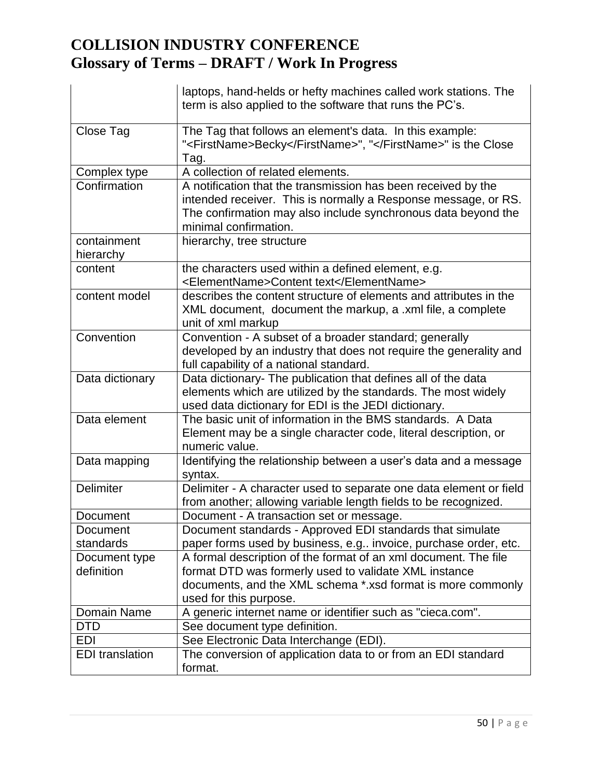|                             | laptops, hand-helds or hefty machines called work stations. The<br>term is also applied to the software that runs the PC's.                                                                                               |
|-----------------------------|---------------------------------------------------------------------------------------------------------------------------------------------------------------------------------------------------------------------------|
| Close Tag                   | The Tag that follows an element's data. In this example:<br>" <firstname>Becky</firstname> ", "" is the Close<br>Tag.                                                                                                     |
| Complex type                | A collection of related elements.                                                                                                                                                                                         |
| Confirmation                | A notification that the transmission has been received by the<br>intended receiver. This is normally a Response message, or RS.<br>The confirmation may also include synchronous data beyond the<br>minimal confirmation. |
| containment<br>hierarchy    | hierarchy, tree structure                                                                                                                                                                                                 |
| content                     | the characters used within a defined element, e.g.<br><elementname>Content text</elementname>                                                                                                                             |
| content model               | describes the content structure of elements and attributes in the<br>XML document, document the markup, a .xml file, a complete<br>unit of xml markup                                                                     |
| Convention                  | Convention - A subset of a broader standard; generally<br>developed by an industry that does not require the generality and<br>full capability of a national standard.                                                    |
| Data dictionary             | Data dictionary- The publication that defines all of the data<br>elements which are utilized by the standards. The most widely<br>used data dictionary for EDI is the JEDI dictionary.                                    |
| Data element                | The basic unit of information in the BMS standards. A Data<br>Element may be a single character code, literal description, or<br>numeric value.                                                                           |
| Data mapping                | Identifying the relationship between a user's data and a message<br>syntax.                                                                                                                                               |
| Delimiter                   | Delimiter - A character used to separate one data element or field<br>from another; allowing variable length fields to be recognized.                                                                                     |
| Document                    | Document - A transaction set or message.                                                                                                                                                                                  |
| Document                    | Document standards - Approved EDI standards that simulate                                                                                                                                                                 |
| standards                   | paper forms used by business, e.g invoice, purchase order, etc.                                                                                                                                                           |
| Document type<br>definition | A formal description of the format of an xml document. The file<br>format DTD was formerly used to validate XML instance<br>documents, and the XML schema *.xsd format is more commonly<br>used for this purpose.         |
| Domain Name                 | A generic internet name or identifier such as "cieca.com".                                                                                                                                                                |
| <b>DTD</b>                  | See document type definition.                                                                                                                                                                                             |
| <b>EDI</b>                  | See Electronic Data Interchange (EDI).                                                                                                                                                                                    |
| <b>EDI</b> translation      | The conversion of application data to or from an EDI standard<br>format.                                                                                                                                                  |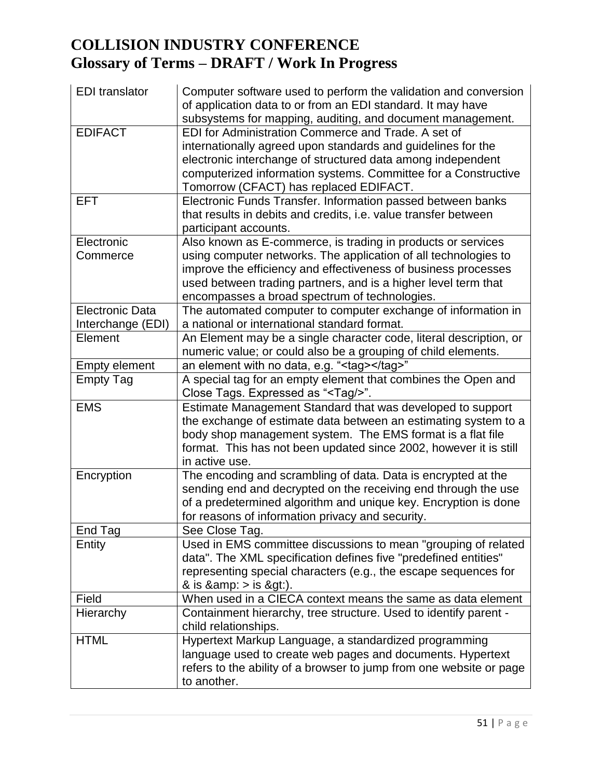| <b>EDI</b> translator  | Computer software used to perform the validation and conversion                                                           |
|------------------------|---------------------------------------------------------------------------------------------------------------------------|
|                        | of application data to or from an EDI standard. It may have<br>subsystems for mapping, auditing, and document management. |
| <b>EDIFACT</b>         | EDI for Administration Commerce and Trade. A set of                                                                       |
|                        | internationally agreed upon standards and guidelines for the                                                              |
|                        | electronic interchange of structured data among independent                                                               |
|                        | computerized information systems. Committee for a Constructive                                                            |
|                        | Tomorrow (CFACT) has replaced EDIFACT.                                                                                    |
| <b>EFT</b>             | Electronic Funds Transfer. Information passed between banks                                                               |
|                        | that results in debits and credits, i.e. value transfer between                                                           |
|                        | participant accounts.                                                                                                     |
| Electronic             | Also known as E-commerce, is trading in products or services                                                              |
| Commerce               | using computer networks. The application of all technologies to                                                           |
|                        | improve the efficiency and effectiveness of business processes                                                            |
|                        | used between trading partners, and is a higher level term that                                                            |
|                        | encompasses a broad spectrum of technologies.                                                                             |
| <b>Electronic Data</b> | The automated computer to computer exchange of information in                                                             |
| Interchange (EDI)      | a national or international standard format.                                                                              |
| Element                | An Element may be a single character code, literal description, or                                                        |
|                        | numeric value; or could also be a grouping of child elements.                                                             |
| <b>Empty element</b>   | an element with no data, e.g. " <tag></tag> "                                                                             |
| <b>Empty Tag</b>       | A special tag for an empty element that combines the Open and                                                             |
|                        | Close Tags. Expressed as " <tag></tag> ".                                                                                 |
| <b>EMS</b>             | Estimate Management Standard that was developed to support                                                                |
|                        | the exchange of estimate data between an estimating system to a                                                           |
|                        | body shop management system. The EMS format is a flat file                                                                |
|                        | format. This has not been updated since 2002, however it is still                                                         |
|                        | in active use.                                                                                                            |
| Encryption             | The encoding and scrambling of data. Data is encrypted at the                                                             |
|                        | sending end and decrypted on the receiving end through the use                                                            |
|                        | of a predetermined algorithm and unique key. Encryption is done                                                           |
|                        | for reasons of information privacy and security.                                                                          |
| End Tag                | See Close Tag.                                                                                                            |
| Entity                 | Used in EMS committee discussions to mean "grouping of related                                                            |
|                        | data". The XML specification defines five "predefined entities"                                                           |
|                        | representing special characters (e.g., the escape sequences for                                                           |
|                        | & is $\&$ amp: $>$ is $\&$ gt:).                                                                                          |
| Field                  | When used in a CIECA context means the same as data element                                                               |
| Hierarchy              | Containment hierarchy, tree structure. Used to identify parent -                                                          |
|                        | child relationships.                                                                                                      |
| <b>HTML</b>            | Hypertext Markup Language, a standardized programming                                                                     |
|                        | language used to create web pages and documents. Hypertext                                                                |
|                        | refers to the ability of a browser to jump from one website or page                                                       |
|                        | to another.                                                                                                               |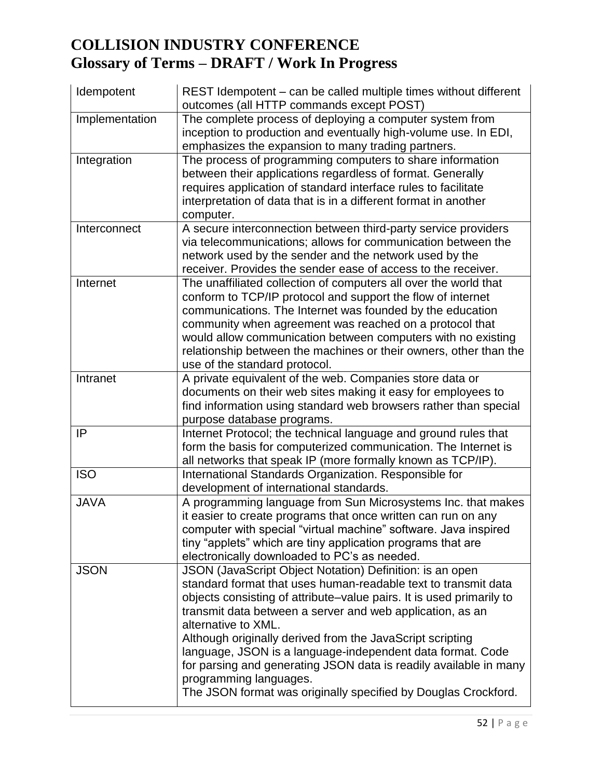| Idempotent     | REST Idempotent - can be called multiple times without different<br>outcomes (all HTTP commands except POST)                                                                                                                                                                                                                                                                                                                                                                                                                                                                       |
|----------------|------------------------------------------------------------------------------------------------------------------------------------------------------------------------------------------------------------------------------------------------------------------------------------------------------------------------------------------------------------------------------------------------------------------------------------------------------------------------------------------------------------------------------------------------------------------------------------|
| Implementation | The complete process of deploying a computer system from<br>inception to production and eventually high-volume use. In EDI,<br>emphasizes the expansion to many trading partners.                                                                                                                                                                                                                                                                                                                                                                                                  |
| Integration    | The process of programming computers to share information<br>between their applications regardless of format. Generally<br>requires application of standard interface rules to facilitate<br>interpretation of data that is in a different format in another<br>computer.                                                                                                                                                                                                                                                                                                          |
| Interconnect   | A secure interconnection between third-party service providers<br>via telecommunications; allows for communication between the<br>network used by the sender and the network used by the<br>receiver. Provides the sender ease of access to the receiver.                                                                                                                                                                                                                                                                                                                          |
| Internet       | The unaffiliated collection of computers all over the world that<br>conform to TCP/IP protocol and support the flow of internet<br>communications. The Internet was founded by the education<br>community when agreement was reached on a protocol that<br>would allow communication between computers with no existing<br>relationship between the machines or their owners, other than the<br>use of the standard protocol.                                                                                                                                                      |
| Intranet       | A private equivalent of the web. Companies store data or<br>documents on their web sites making it easy for employees to<br>find information using standard web browsers rather than special<br>purpose database programs.                                                                                                                                                                                                                                                                                                                                                         |
| IP             | Internet Protocol; the technical language and ground rules that<br>form the basis for computerized communication. The Internet is<br>all networks that speak IP (more formally known as TCP/IP).                                                                                                                                                                                                                                                                                                                                                                                   |
| <b>ISO</b>     | International Standards Organization. Responsible for<br>development of international standards.                                                                                                                                                                                                                                                                                                                                                                                                                                                                                   |
| <b>JAVA</b>    | A programming language from Sun Microsystems Inc. that makes<br>it easier to create programs that once written can run on any<br>computer with special "virtual machine" software. Java inspired<br>tiny "applets" which are tiny application programs that are<br>electronically downloaded to PC's as needed.                                                                                                                                                                                                                                                                    |
| <b>JSON</b>    | JSON (JavaScript Object Notation) Definition: is an open<br>standard format that uses human-readable text to transmit data<br>objects consisting of attribute-value pairs. It is used primarily to<br>transmit data between a server and web application, as an<br>alternative to XML.<br>Although originally derived from the JavaScript scripting<br>language, JSON is a language-independent data format. Code<br>for parsing and generating JSON data is readily available in many<br>programming languages.<br>The JSON format was originally specified by Douglas Crockford. |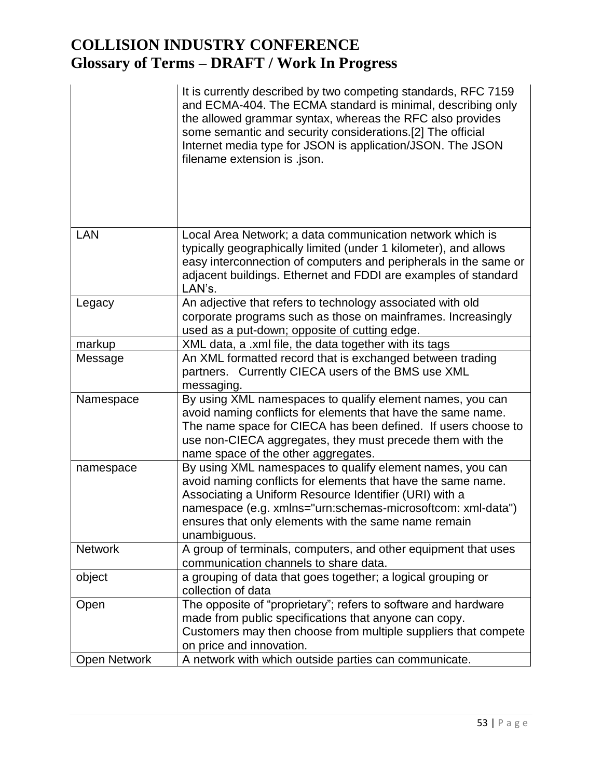|                     | It is currently described by two competing standards, RFC 7159<br>and ECMA-404. The ECMA standard is minimal, describing only<br>the allowed grammar syntax, whereas the RFC also provides<br>some semantic and security considerations.[2] The official<br>Internet media type for JSON is application/JSON. The JSON<br>filename extension is .json. |
|---------------------|--------------------------------------------------------------------------------------------------------------------------------------------------------------------------------------------------------------------------------------------------------------------------------------------------------------------------------------------------------|
| <b>LAN</b>          | Local Area Network; a data communication network which is<br>typically geographically limited (under 1 kilometer), and allows<br>easy interconnection of computers and peripherals in the same or<br>adjacent buildings. Ethernet and FDDI are examples of standard<br>LAN's.                                                                          |
| Legacy              | An adjective that refers to technology associated with old                                                                                                                                                                                                                                                                                             |
|                     | corporate programs such as those on mainframes. Increasingly                                                                                                                                                                                                                                                                                           |
|                     | used as a put-down; opposite of cutting edge.                                                                                                                                                                                                                                                                                                          |
| markup              | XML data, a .xml file, the data together with its tags                                                                                                                                                                                                                                                                                                 |
| Message             | An XML formatted record that is exchanged between trading<br>partners. Currently CIECA users of the BMS use XML<br>messaging.                                                                                                                                                                                                                          |
| Namespace           | By using XML namespaces to qualify element names, you can<br>avoid naming conflicts for elements that have the same name.<br>The name space for CIECA has been defined. If users choose to<br>use non-CIECA aggregates, they must precede them with the<br>name space of the other aggregates.                                                         |
| namespace           | By using XML namespaces to qualify element names, you can<br>avoid naming conflicts for elements that have the same name.<br>Associating a Uniform Resource Identifier (URI) with a<br>namespace (e.g. xmlns="urn:schemas-microsoftcom: xml-data")<br>ensures that only elements with the same name remain<br>unambiguous.                             |
| <b>Network</b>      | A group of terminals, computers, and other equipment that uses<br>communication channels to share data.                                                                                                                                                                                                                                                |
| object              | a grouping of data that goes together; a logical grouping or<br>collection of data                                                                                                                                                                                                                                                                     |
| Open                | The opposite of "proprietary"; refers to software and hardware<br>made from public specifications that anyone can copy.<br>Customers may then choose from multiple suppliers that compete<br>on price and innovation.                                                                                                                                  |
| <b>Open Network</b> | A network with which outside parties can communicate.                                                                                                                                                                                                                                                                                                  |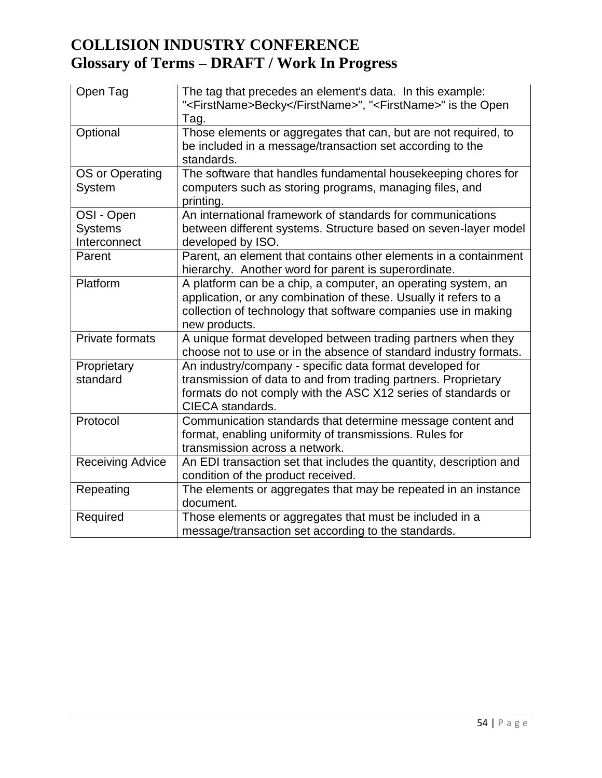| Open Tag                                     | The tag that precedes an element's data. In this example:<br>" <firstname>Becky</firstname> ", " <firstname>" is the Open<br/>Tag.</firstname>                                                                       |
|----------------------------------------------|----------------------------------------------------------------------------------------------------------------------------------------------------------------------------------------------------------------------|
| Optional                                     | Those elements or aggregates that can, but are not required, to<br>be included in a message/transaction set according to the<br>standards.                                                                           |
| OS or Operating<br>System                    | The software that handles fundamental housekeeping chores for<br>computers such as storing programs, managing files, and<br>printing.                                                                                |
| OSI - Open<br><b>Systems</b><br>Interconnect | An international framework of standards for communications<br>between different systems. Structure based on seven-layer model<br>developed by ISO.                                                                   |
| Parent                                       | Parent, an element that contains other elements in a containment<br>hierarchy. Another word for parent is superordinate.                                                                                             |
| Platform                                     | A platform can be a chip, a computer, an operating system, an<br>application, or any combination of these. Usually it refers to a<br>collection of technology that software companies use in making<br>new products. |
| <b>Private formats</b>                       | A unique format developed between trading partners when they<br>choose not to use or in the absence of standard industry formats.                                                                                    |
| Proprietary<br>standard                      | An industry/company - specific data format developed for<br>transmission of data to and from trading partners. Proprietary<br>formats do not comply with the ASC X12 series of standards or<br>CIECA standards.      |
| Protocol                                     | Communication standards that determine message content and<br>format, enabling uniformity of transmissions. Rules for<br>transmission across a network.                                                              |
| <b>Receiving Advice</b>                      | An EDI transaction set that includes the quantity, description and<br>condition of the product received.                                                                                                             |
| Repeating                                    | The elements or aggregates that may be repeated in an instance<br>document.                                                                                                                                          |
| Required                                     | Those elements or aggregates that must be included in a<br>message/transaction set according to the standards.                                                                                                       |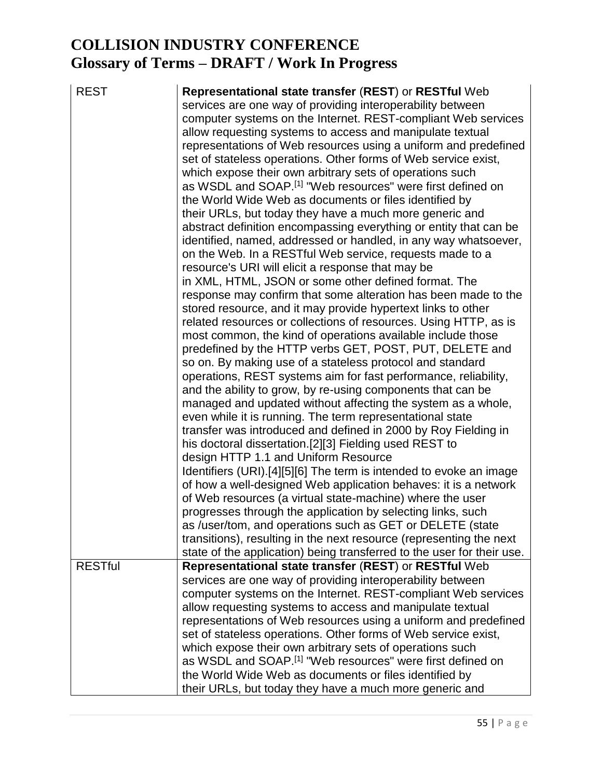REST **Representational state transfer** (**REST**) or **RESTful** Web services are one way of providing interoperability between computer systems on the Internet. REST-compliant Web services allow requesting systems to access and manipulate textual representations of Web resources using a uniform and predefined set of stateless operations. Other forms of Web service exist, which expose their own arbitrary sets of operations such as WSDL and SOAP.[1] "Web resources" were first defined on the World Wide Web as documents or files identified by their URLs, but today they have a much more generic and abstract definition encompassing everything or entity that can be identified, named, addressed or handled, in any way whatsoever, on the Web. In a RESTful Web service, requests made to a resource's URI will elicit a response that may be in XML, HTML, JSON or some other defined format. The response may confirm that some alteration has been made to the stored resource, and it may provide hypertext links to other related resources or collections of resources. Using HTTP, as is most common, the kind of operations available include those predefined by the HTTP verbs GET, POST, PUT, DELETE and so on. By making use of a stateless protocol and standard operations, REST systems aim for fast performance, reliability, and the ability to grow, by re-using components that can be managed and updated without affecting the system as a whole, even while it is running. The term representational state transfer was introduced and defined in 2000 by Roy Fielding in his doctoral dissertation.[2][3] Fielding used REST to design HTTP 1.1 and Uniform Resource Identifiers (URI).[4][5][6] The term is intended to evoke an image of how a well-designed Web application behaves: it is a network of Web resources (a virtual state-machine) where the user progresses through the application by selecting links, such as /user/tom, and operations such as GET or DELETE (state transitions), resulting in the next resource (representing the next state of the application) being transferred to the user for their use. RESTful **Representational state transfer** (**REST**) or **RESTful** Web services are one way of providing interoperability between computer systems on the Internet. REST-compliant Web services allow requesting systems to access and manipulate textual representations of Web resources using a uniform and predefined set of stateless operations. Other forms of Web service exist, which expose their own arbitrary sets of operations such as WSDL and SOAP.[1] "Web resources" were first defined on the World Wide Web as documents or files identified by their URLs, but today they have a much more generic and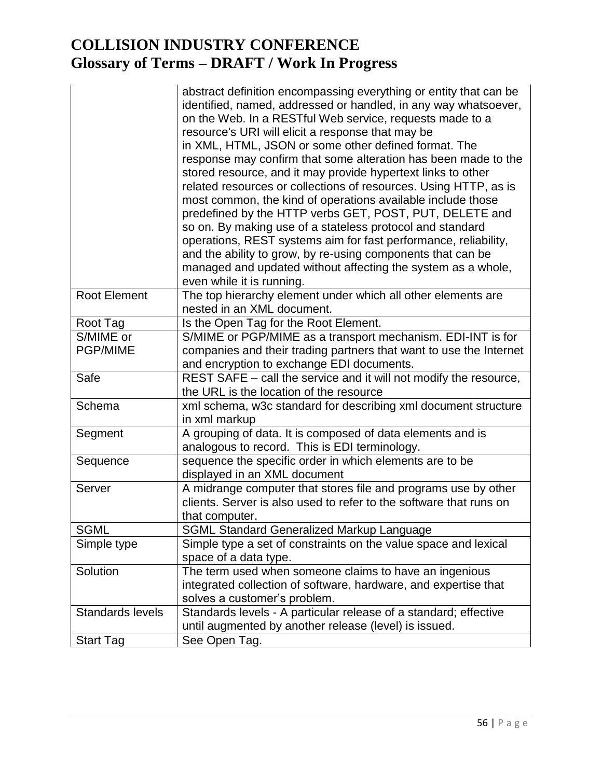|                         | abstract definition encompassing everything or entity that can be<br>identified, named, addressed or handled, in any way whatsoever,<br>on the Web. In a RESTful Web service, requests made to a<br>resource's URI will elicit a response that may be<br>in XML, HTML, JSON or some other defined format. The<br>response may confirm that some alteration has been made to the<br>stored resource, and it may provide hypertext links to other<br>related resources or collections of resources. Using HTTP, as is<br>most common, the kind of operations available include those<br>predefined by the HTTP verbs GET, POST, PUT, DELETE and<br>so on. By making use of a stateless protocol and standard<br>operations, REST systems aim for fast performance, reliability,<br>and the ability to grow, by re-using components that can be<br>managed and updated without affecting the system as a whole,<br>even while it is running. |
|-------------------------|-------------------------------------------------------------------------------------------------------------------------------------------------------------------------------------------------------------------------------------------------------------------------------------------------------------------------------------------------------------------------------------------------------------------------------------------------------------------------------------------------------------------------------------------------------------------------------------------------------------------------------------------------------------------------------------------------------------------------------------------------------------------------------------------------------------------------------------------------------------------------------------------------------------------------------------------|
| <b>Root Element</b>     | The top hierarchy element under which all other elements are<br>nested in an XML document.                                                                                                                                                                                                                                                                                                                                                                                                                                                                                                                                                                                                                                                                                                                                                                                                                                                |
| Root Tag                | Is the Open Tag for the Root Element.                                                                                                                                                                                                                                                                                                                                                                                                                                                                                                                                                                                                                                                                                                                                                                                                                                                                                                     |
| S/MIME or               | S/MIME or PGP/MIME as a transport mechanism. EDI-INT is for                                                                                                                                                                                                                                                                                                                                                                                                                                                                                                                                                                                                                                                                                                                                                                                                                                                                               |
| <b>PGP/MIME</b>         | companies and their trading partners that want to use the Internet<br>and encryption to exchange EDI documents.                                                                                                                                                                                                                                                                                                                                                                                                                                                                                                                                                                                                                                                                                                                                                                                                                           |
| Safe                    | REST SAFE – call the service and it will not modify the resource,<br>the URL is the location of the resource                                                                                                                                                                                                                                                                                                                                                                                                                                                                                                                                                                                                                                                                                                                                                                                                                              |
| Schema                  | xml schema, w3c standard for describing xml document structure<br>in xml markup                                                                                                                                                                                                                                                                                                                                                                                                                                                                                                                                                                                                                                                                                                                                                                                                                                                           |
| Segment                 | A grouping of data. It is composed of data elements and is<br>analogous to record. This is EDI terminology.                                                                                                                                                                                                                                                                                                                                                                                                                                                                                                                                                                                                                                                                                                                                                                                                                               |
| Sequence                | sequence the specific order in which elements are to be<br>displayed in an XML document                                                                                                                                                                                                                                                                                                                                                                                                                                                                                                                                                                                                                                                                                                                                                                                                                                                   |
| Server                  | A midrange computer that stores file and programs use by other<br>clients. Server is also used to refer to the software that runs on<br>that computer.                                                                                                                                                                                                                                                                                                                                                                                                                                                                                                                                                                                                                                                                                                                                                                                    |
| <b>SGML</b>             | <b>SGML Standard Generalized Markup Language</b>                                                                                                                                                                                                                                                                                                                                                                                                                                                                                                                                                                                                                                                                                                                                                                                                                                                                                          |
| Simple type             | Simple type a set of constraints on the value space and lexical<br>space of a data type.                                                                                                                                                                                                                                                                                                                                                                                                                                                                                                                                                                                                                                                                                                                                                                                                                                                  |
| Solution                | The term used when someone claims to have an ingenious<br>integrated collection of software, hardware, and expertise that<br>solves a customer's problem.                                                                                                                                                                                                                                                                                                                                                                                                                                                                                                                                                                                                                                                                                                                                                                                 |
| <b>Standards levels</b> | Standards levels - A particular release of a standard; effective<br>until augmented by another release (level) is issued.                                                                                                                                                                                                                                                                                                                                                                                                                                                                                                                                                                                                                                                                                                                                                                                                                 |
| <b>Start Tag</b>        | See Open Tag.                                                                                                                                                                                                                                                                                                                                                                                                                                                                                                                                                                                                                                                                                                                                                                                                                                                                                                                             |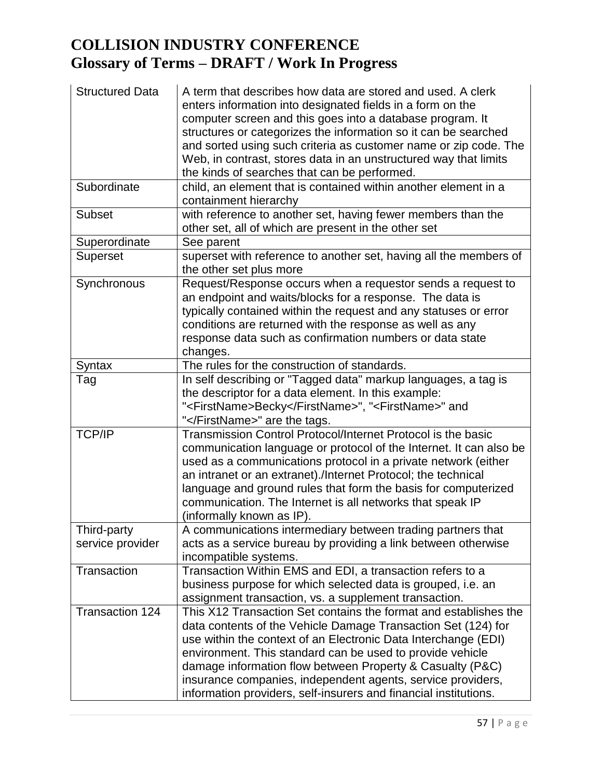| <b>Structured Data</b><br>Subordinate | A term that describes how data are stored and used. A clerk<br>enters information into designated fields in a form on the<br>computer screen and this goes into a database program. It<br>structures or categorizes the information so it can be searched<br>and sorted using such criteria as customer name or zip code. The<br>Web, in contrast, stores data in an unstructured way that limits<br>the kinds of searches that can be performed.<br>child, an element that is contained within another element in a |
|---------------------------------------|----------------------------------------------------------------------------------------------------------------------------------------------------------------------------------------------------------------------------------------------------------------------------------------------------------------------------------------------------------------------------------------------------------------------------------------------------------------------------------------------------------------------|
|                                       | containment hierarchy                                                                                                                                                                                                                                                                                                                                                                                                                                                                                                |
| <b>Subset</b>                         | with reference to another set, having fewer members than the<br>other set, all of which are present in the other set                                                                                                                                                                                                                                                                                                                                                                                                 |
| Superordinate                         | See parent                                                                                                                                                                                                                                                                                                                                                                                                                                                                                                           |
| <b>Superset</b>                       | superset with reference to another set, having all the members of<br>the other set plus more                                                                                                                                                                                                                                                                                                                                                                                                                         |
| Synchronous                           | Request/Response occurs when a requestor sends a request to<br>an endpoint and waits/blocks for a response. The data is<br>typically contained within the request and any statuses or error<br>conditions are returned with the response as well as any<br>response data such as confirmation numbers or data state<br>changes.                                                                                                                                                                                      |
| Syntax                                | The rules for the construction of standards.                                                                                                                                                                                                                                                                                                                                                                                                                                                                         |
| Tag                                   | In self describing or "Tagged data" markup languages, a tag is<br>the descriptor for a data element. In this example:<br>" <firstname>Becky</firstname> ", " <firstname>" and<br/>"</firstname> " are the tags.                                                                                                                                                                                                                                                                                                      |
| <b>TCP/IP</b>                         | Transmission Control Protocol/Internet Protocol is the basic<br>communication language or protocol of the Internet. It can also be<br>used as a communications protocol in a private network (either<br>an intranet or an extranet)./Internet Protocol; the technical<br>language and ground rules that form the basis for computerized<br>communication. The Internet is all networks that speak IP<br>(informally known as IP).                                                                                    |
| Third-party                           | A communications intermediary between trading partners that                                                                                                                                                                                                                                                                                                                                                                                                                                                          |
| service provider                      | acts as a service bureau by providing a link between otherwise<br>incompatible systems.                                                                                                                                                                                                                                                                                                                                                                                                                              |
| Transaction                           | Transaction Within EMS and EDI, a transaction refers to a<br>business purpose for which selected data is grouped, i.e. an<br>assignment transaction, vs. a supplement transaction.                                                                                                                                                                                                                                                                                                                                   |
| <b>Transaction 124</b>                | This X12 Transaction Set contains the format and establishes the<br>data contents of the Vehicle Damage Transaction Set (124) for<br>use within the context of an Electronic Data Interchange (EDI)<br>environment. This standard can be used to provide vehicle<br>damage information flow between Property & Casualty (P&C)<br>insurance companies, independent agents, service providers,<br>information providers, self-insurers and financial institutions.                                                     |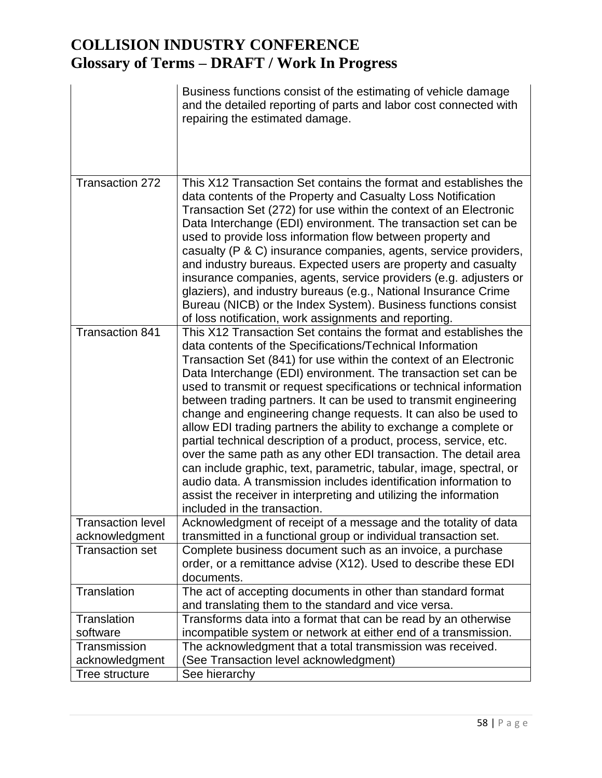|                                            | Business functions consist of the estimating of vehicle damage<br>and the detailed reporting of parts and labor cost connected with<br>repairing the estimated damage.                                                                                                                                                                                                                                                                                                                                                                                                                                                                                                                                                                                                                                                                                                                                                                           |
|--------------------------------------------|--------------------------------------------------------------------------------------------------------------------------------------------------------------------------------------------------------------------------------------------------------------------------------------------------------------------------------------------------------------------------------------------------------------------------------------------------------------------------------------------------------------------------------------------------------------------------------------------------------------------------------------------------------------------------------------------------------------------------------------------------------------------------------------------------------------------------------------------------------------------------------------------------------------------------------------------------|
| <b>Transaction 272</b>                     | This X12 Transaction Set contains the format and establishes the<br>data contents of the Property and Casualty Loss Notification<br>Transaction Set (272) for use within the context of an Electronic<br>Data Interchange (EDI) environment. The transaction set can be<br>used to provide loss information flow between property and<br>casualty (P & C) insurance companies, agents, service providers,<br>and industry bureaus. Expected users are property and casualty<br>insurance companies, agents, service providers (e.g. adjusters or<br>glaziers), and industry bureaus (e.g., National Insurance Crime<br>Bureau (NICB) or the Index System). Business functions consist<br>of loss notification, work assignments and reporting.                                                                                                                                                                                                   |
| <b>Transaction 841</b>                     | This X12 Transaction Set contains the format and establishes the<br>data contents of the Specifications/Technical Information<br>Transaction Set (841) for use within the context of an Electronic<br>Data Interchange (EDI) environment. The transaction set can be<br>used to transmit or request specifications or technical information<br>between trading partners. It can be used to transmit engineering<br>change and engineering change requests. It can also be used to<br>allow EDI trading partners the ability to exchange a complete or<br>partial technical description of a product, process, service, etc.<br>over the same path as any other EDI transaction. The detail area<br>can include graphic, text, parametric, tabular, image, spectral, or<br>audio data. A transmission includes identification information to<br>assist the receiver in interpreting and utilizing the information<br>included in the transaction. |
| <b>Transaction level</b><br>acknowledgment | Acknowledgment of receipt of a message and the totality of data<br>transmitted in a functional group or individual transaction set.                                                                                                                                                                                                                                                                                                                                                                                                                                                                                                                                                                                                                                                                                                                                                                                                              |
| <b>Transaction set</b>                     | Complete business document such as an invoice, a purchase<br>order, or a remittance advise (X12). Used to describe these EDI<br>documents.                                                                                                                                                                                                                                                                                                                                                                                                                                                                                                                                                                                                                                                                                                                                                                                                       |
| Translation                                | The act of accepting documents in other than standard format<br>and translating them to the standard and vice versa.                                                                                                                                                                                                                                                                                                                                                                                                                                                                                                                                                                                                                                                                                                                                                                                                                             |
| Translation<br>software                    | Transforms data into a format that can be read by an otherwise<br>incompatible system or network at either end of a transmission.                                                                                                                                                                                                                                                                                                                                                                                                                                                                                                                                                                                                                                                                                                                                                                                                                |
| Transmission                               | The acknowledgment that a total transmission was received.                                                                                                                                                                                                                                                                                                                                                                                                                                                                                                                                                                                                                                                                                                                                                                                                                                                                                       |
| acknowledgment                             | (See Transaction level acknowledgment)                                                                                                                                                                                                                                                                                                                                                                                                                                                                                                                                                                                                                                                                                                                                                                                                                                                                                                           |
| Tree structure                             | See hierarchy                                                                                                                                                                                                                                                                                                                                                                                                                                                                                                                                                                                                                                                                                                                                                                                                                                                                                                                                    |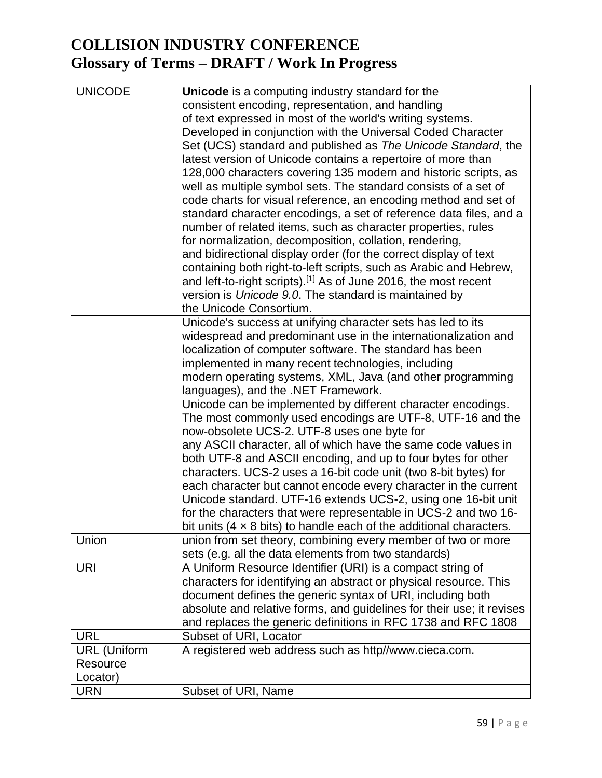| <b>UNICODE</b>      | <b>Unicode</b> is a computing industry standard for the<br>consistent encoding, representation, and handling<br>of text expressed in most of the world's writing systems.<br>Developed in conjunction with the Universal Coded Character<br>Set (UCS) standard and published as The Unicode Standard, the<br>latest version of Unicode contains a repertoire of more than<br>128,000 characters covering 135 modern and historic scripts, as<br>well as multiple symbol sets. The standard consists of a set of<br>code charts for visual reference, an encoding method and set of<br>standard character encodings, a set of reference data files, and a |
|---------------------|----------------------------------------------------------------------------------------------------------------------------------------------------------------------------------------------------------------------------------------------------------------------------------------------------------------------------------------------------------------------------------------------------------------------------------------------------------------------------------------------------------------------------------------------------------------------------------------------------------------------------------------------------------|
|                     | number of related items, such as character properties, rules<br>for normalization, decomposition, collation, rendering,                                                                                                                                                                                                                                                                                                                                                                                                                                                                                                                                  |
|                     | and bidirectional display order (for the correct display of text                                                                                                                                                                                                                                                                                                                                                                                                                                                                                                                                                                                         |
|                     | containing both right-to-left scripts, such as Arabic and Hebrew,                                                                                                                                                                                                                                                                                                                                                                                                                                                                                                                                                                                        |
|                     | and left-to-right scripts). <sup>[1]</sup> As of June 2016, the most recent<br>version is Unicode 9.0. The standard is maintained by                                                                                                                                                                                                                                                                                                                                                                                                                                                                                                                     |
|                     | the Unicode Consortium.                                                                                                                                                                                                                                                                                                                                                                                                                                                                                                                                                                                                                                  |
|                     | Unicode's success at unifying character sets has led to its                                                                                                                                                                                                                                                                                                                                                                                                                                                                                                                                                                                              |
|                     | widespread and predominant use in the internationalization and<br>localization of computer software. The standard has been                                                                                                                                                                                                                                                                                                                                                                                                                                                                                                                               |
|                     | implemented in many recent technologies, including                                                                                                                                                                                                                                                                                                                                                                                                                                                                                                                                                                                                       |
|                     | modern operating systems, XML, Java (and other programming                                                                                                                                                                                                                                                                                                                                                                                                                                                                                                                                                                                               |
|                     | languages), and the .NET Framework.                                                                                                                                                                                                                                                                                                                                                                                                                                                                                                                                                                                                                      |
|                     | Unicode can be implemented by different character encodings.<br>The most commonly used encodings are UTF-8, UTF-16 and the<br>now-obsolete UCS-2. UTF-8 uses one byte for                                                                                                                                                                                                                                                                                                                                                                                                                                                                                |
|                     | any ASCII character, all of which have the same code values in<br>both UTF-8 and ASCII encoding, and up to four bytes for other                                                                                                                                                                                                                                                                                                                                                                                                                                                                                                                          |
|                     | characters. UCS-2 uses a 16-bit code unit (two 8-bit bytes) for<br>each character but cannot encode every character in the current                                                                                                                                                                                                                                                                                                                                                                                                                                                                                                                       |
|                     | Unicode standard. UTF-16 extends UCS-2, using one 16-bit unit<br>for the characters that were representable in UCS-2 and two 16-                                                                                                                                                                                                                                                                                                                                                                                                                                                                                                                         |
|                     | bit units $(4 \times 8 \text{ bits})$ to handle each of the additional characters.                                                                                                                                                                                                                                                                                                                                                                                                                                                                                                                                                                       |
| Union               | union from set theory, combining every member of two or more                                                                                                                                                                                                                                                                                                                                                                                                                                                                                                                                                                                             |
|                     | sets (e.g. all the data elements from two standards)                                                                                                                                                                                                                                                                                                                                                                                                                                                                                                                                                                                                     |
| <b>URI</b>          | A Uniform Resource Identifier (URI) is a compact string of                                                                                                                                                                                                                                                                                                                                                                                                                                                                                                                                                                                               |
|                     | characters for identifying an abstract or physical resource. This                                                                                                                                                                                                                                                                                                                                                                                                                                                                                                                                                                                        |
|                     | document defines the generic syntax of URI, including both                                                                                                                                                                                                                                                                                                                                                                                                                                                                                                                                                                                               |
|                     | absolute and relative forms, and guidelines for their use; it revises                                                                                                                                                                                                                                                                                                                                                                                                                                                                                                                                                                                    |
|                     | and replaces the generic definitions in RFC 1738 and RFC 1808                                                                                                                                                                                                                                                                                                                                                                                                                                                                                                                                                                                            |
| <b>URL</b>          | Subset of URI, Locator                                                                                                                                                                                                                                                                                                                                                                                                                                                                                                                                                                                                                                   |
| <b>URL</b> (Uniform | A registered web address such as http//www.cieca.com.                                                                                                                                                                                                                                                                                                                                                                                                                                                                                                                                                                                                    |
| Resource            |                                                                                                                                                                                                                                                                                                                                                                                                                                                                                                                                                                                                                                                          |
| Locator)            |                                                                                                                                                                                                                                                                                                                                                                                                                                                                                                                                                                                                                                                          |
| <b>URN</b>          | Subset of URI, Name                                                                                                                                                                                                                                                                                                                                                                                                                                                                                                                                                                                                                                      |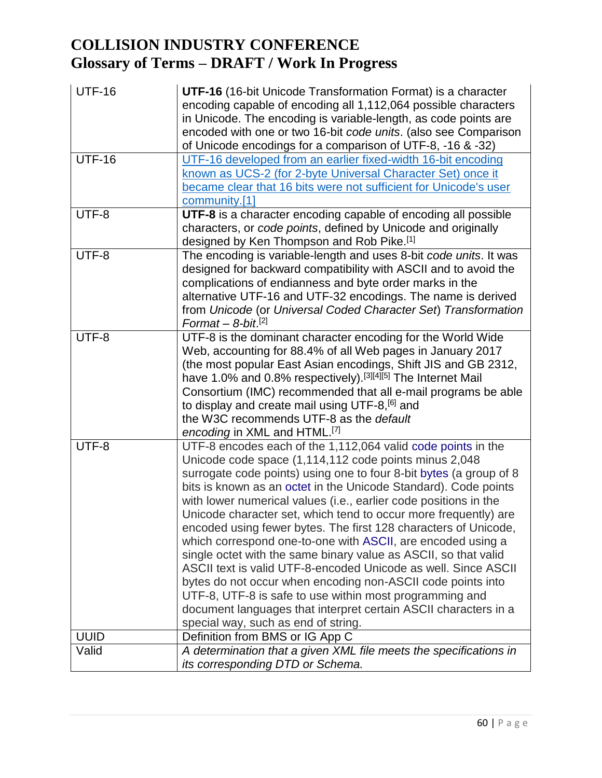| <b>UTF-16</b> | UTF-16 (16-bit Unicode Transformation Format) is a character                                                                      |
|---------------|-----------------------------------------------------------------------------------------------------------------------------------|
|               | encoding capable of encoding all 1,112,064 possible characters<br>in Unicode. The encoding is variable-length, as code points are |
|               | encoded with one or two 16-bit code units. (also see Comparison                                                                   |
|               | of Unicode encodings for a comparison of UTF-8, -16 & -32)                                                                        |
| <b>UTF-16</b> | UTF-16 developed from an earlier fixed-width 16-bit encoding                                                                      |
|               | known as UCS-2 (for 2-byte Universal Character Set) once it                                                                       |
|               | became clear that 16 bits were not sufficient for Unicode's user                                                                  |
|               | community.[1]                                                                                                                     |
| UTF-8         | UTF-8 is a character encoding capable of encoding all possible                                                                    |
|               | characters, or code points, defined by Unicode and originally                                                                     |
|               | designed by Ken Thompson and Rob Pike.[1]                                                                                         |
| UTF-8         | The encoding is variable-length and uses 8-bit code units. It was                                                                 |
|               | designed for backward compatibility with ASCII and to avoid the<br>complications of endianness and byte order marks in the        |
|               | alternative UTF-16 and UTF-32 encodings. The name is derived                                                                      |
|               | from Unicode (or Universal Coded Character Set) Transformation                                                                    |
|               | Format - $8$ -bit. <sup>[2]</sup>                                                                                                 |
| UTF-8         | UTF-8 is the dominant character encoding for the World Wide                                                                       |
|               | Web, accounting for 88.4% of all Web pages in January 2017                                                                        |
|               | (the most popular East Asian encodings, Shift JIS and GB 2312,                                                                    |
|               | have 1.0% and 0.8% respectively). [3][4][5] The Internet Mail                                                                     |
|               | Consortium (IMC) recommended that all e-mail programs be able                                                                     |
|               | to display and create mail using UTF-8, <sup>[6]</sup> and                                                                        |
|               | the W3C recommends UTF-8 as the default                                                                                           |
|               | encoding in XML and HTML. <sup>[7]</sup>                                                                                          |
| UTF-8         | UTF-8 encodes each of the 1,112,064 valid code points in the                                                                      |
|               | Unicode code space (1,114,112 code points minus 2,048                                                                             |
|               | surrogate code points) using one to four 8-bit bytes (a group of 8                                                                |
|               | bits is known as an octet in the Unicode Standard). Code points                                                                   |
|               | with lower numerical values (i.e., earlier code positions in the                                                                  |
|               | Unicode character set, which tend to occur more frequently) are                                                                   |
|               | encoded using fewer bytes. The first 128 characters of Unicode,<br>which correspond one-to-one with ASCII, are encoded using a    |
|               | single octet with the same binary value as ASCII, so that valid                                                                   |
|               | ASCII text is valid UTF-8-encoded Unicode as well. Since ASCII                                                                    |
|               | bytes do not occur when encoding non-ASCII code points into                                                                       |
|               | UTF-8, UTF-8 is safe to use within most programming and                                                                           |
|               | document languages that interpret certain ASCII characters in a                                                                   |
|               | special way, such as end of string.                                                                                               |
| <b>UUID</b>   | Definition from BMS or IG App C                                                                                                   |
| Valid         | A determination that a given XML file meets the specifications in                                                                 |
|               | its corresponding DTD or Schema.                                                                                                  |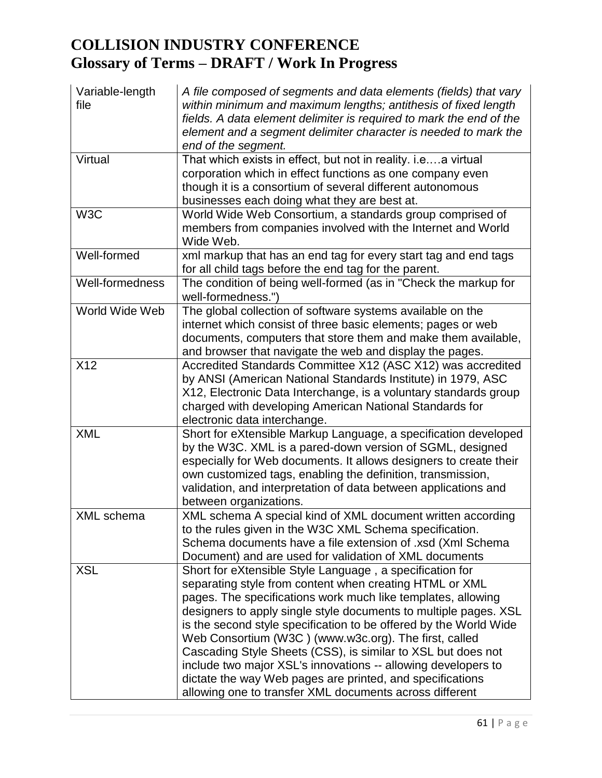| Variable-length  | A file composed of segments and data elements (fields) that vary    |
|------------------|---------------------------------------------------------------------|
| file             | within minimum and maximum lengths; antithesis of fixed length      |
|                  | fields. A data element delimiter is required to mark the end of the |
|                  | element and a segment delimiter character is needed to mark the     |
|                  | end of the segment.                                                 |
| Virtual          | That which exists in effect, but not in reality. i.ea virtual       |
|                  | corporation which in effect functions as one company even           |
|                  | though it is a consortium of several different autonomous           |
|                  | businesses each doing what they are best at.                        |
| W <sub>3</sub> C | World Wide Web Consortium, a standards group comprised of           |
|                  | members from companies involved with the Internet and World         |
|                  | Wide Web.                                                           |
| Well-formed      | xml markup that has an end tag for every start tag and end tags     |
|                  | for all child tags before the end tag for the parent.               |
| Well-formedness  | The condition of being well-formed (as in "Check the markup for     |
|                  | well-formedness.")                                                  |
| World Wide Web   | The global collection of software systems available on the          |
|                  | internet which consist of three basic elements; pages or web        |
|                  | documents, computers that store them and make them available,       |
|                  | and browser that navigate the web and display the pages.            |
| X12              | Accredited Standards Committee X12 (ASC X12) was accredited         |
|                  | by ANSI (American National Standards Institute) in 1979, ASC        |
|                  | X12, Electronic Data Interchange, is a voluntary standards group    |
|                  | charged with developing American National Standards for             |
|                  | electronic data interchange.                                        |
| <b>XML</b>       | Short for eXtensible Markup Language, a specification developed     |
|                  | by the W3C. XML is a pared-down version of SGML, designed           |
|                  | especially for Web documents. It allows designers to create their   |
|                  | own customized tags, enabling the definition, transmission,         |
|                  | validation, and interpretation of data between applications and     |
|                  | between organizations.                                              |
| XML schema       | XML schema A special kind of XML document written according         |
|                  | to the rules given in the W3C XML Schema specification.             |
|                  | Schema documents have a file extension of .xsd (Xml Schema          |
|                  | Document) and are used for validation of XML documents              |
| <b>XSL</b>       | Short for eXtensible Style Language, a specification for            |
|                  | separating style from content when creating HTML or XML             |
|                  | pages. The specifications work much like templates, allowing        |
|                  | designers to apply single style documents to multiple pages. XSL    |
|                  | is the second style specification to be offered by the World Wide   |
|                  | Web Consortium (W3C) (www.w3c.org). The first, called               |
|                  | Cascading Style Sheets (CSS), is similar to XSL but does not        |
|                  | include two major XSL's innovations -- allowing developers to       |
|                  | dictate the way Web pages are printed, and specifications           |
|                  | allowing one to transfer XML documents across different             |